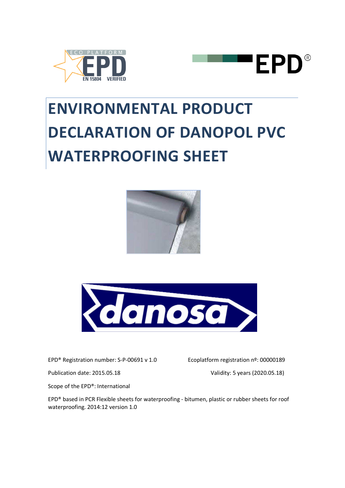



# **ENVIRONMENTAL PRODUCT DECLARATION OF DANOPOL PVC WATERPROOFING SHEET**





EPD® Registration number: S-P-00691 v 1.0 Ecoplatform registration nº: 00000189

Publication date: 2015.05.18 Validity: 5 years (2020.05.18)

Scope of the EPD®: International

EPD® based in PCR Flexible sheets for waterproofing - bitumen, plastic or rubber sheets for roof waterproofing. 2014:12 version 1.0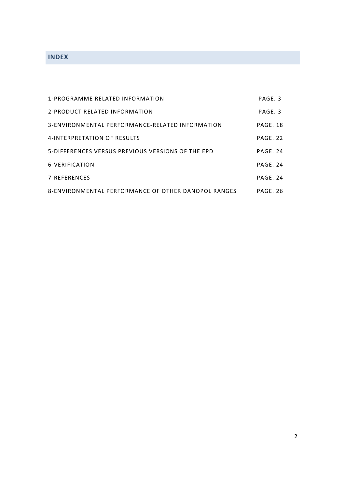# **INDEX**

| 1-PROGRAMME RELATED INFORMATION                     | PAGE. 3  |
|-----------------------------------------------------|----------|
| 2-PRODUCT RELATED INFORMATION                       | PAGF 3   |
| 3-ENVIRONMENTAL PERFORMANCE-RELATED INFORMATION     | PAGE, 18 |
| 4-INTERPRETATION OF RESULTS                         | PAGF. 22 |
| 5-DIFFERENCES VERSUS PREVIOUS VERSIONS OF THE EPD   | PAGF. 24 |
| 6-VERIFICATION                                      | PAGF. 24 |
| 7-REFERENCES                                        | PAGF, 24 |
| 8-ENVIRONMENTAL PERFORMANCE OF OTHER DANOPOL RANGES | PAGF. 26 |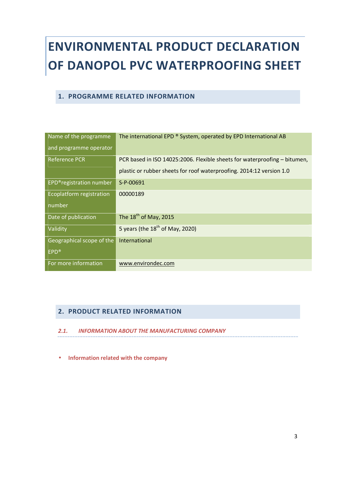# **ENVIRONMENTAL PRODUCT DECLARATION OF DANOPOL PVC WATERPROOFING SHEET**

#### **1. PROGRAMME RELATED INFORMATION**

| Name of the programme<br>and programme operator | The international EPD ® System, operated by EPD International AB          |
|-------------------------------------------------|---------------------------------------------------------------------------|
| <b>Reference PCR</b>                            | PCR based in ISO 14025:2006. Flexible sheets for waterproofing - bitumen, |
|                                                 | plastic or rubber sheets for roof waterproofing. 2014:12 version 1.0      |
| EPD®registration number                         | S-P-00691                                                                 |
| Ecoplatform registration                        | 00000189                                                                  |
| number                                          |                                                                           |
| Date of publication                             | The $18th$ of May, 2015                                                   |
| Validity                                        | 5 years (the $18th$ of May, 2020)                                         |
| Geographical scope of the                       | International                                                             |
| <b>EPD®</b>                                     |                                                                           |
| For more information                            | www.environdec.com                                                        |

## **2. PRODUCT RELATED INFORMATION**

#### *2.1. INFORMATION ABOUT THE MANUFACTURING COMPANY*

• **Information related with the company**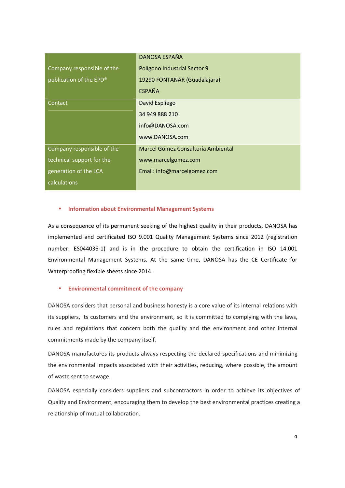|                            | DANOSA ESPAÑA                      |
|----------------------------|------------------------------------|
| Company responsible of the | Polígono Industrial Sector 9       |
| publication of the EPD®    | 19290 FONTANAR (Guadalajara)       |
|                            | <b>ESPAÑA</b>                      |
| Contact                    | David Espliego                     |
|                            | 34 949 888 210                     |
|                            | info@DANOSA.com                    |
|                            | www.DANOSA.com                     |
| Company responsible of the | Marcel Gómez Consultoría Ambiental |
| technical support for the  | www.marcelgomez.com                |
| generation of the LCA      | Email: info@marcelgomez.com        |
| calculations               |                                    |

#### • **Information about Environmental Management Systems**

As a consequence of its permanent seeking of the highest quality in their products, DANOSA has implemented and certificated ISO 9.001 Quality Management Systems since 2012 (registration number: ES044036-1) and is in the procedure to obtain the certification in ISO 14.001 Environmental Management Systems. At the same time, DANOSA has the CE Certificate for Waterproofing flexible sheets since 2014.

#### • **Environmental commitment of the company**

DANOSA considers that personal and business honesty is a core value of its internal relations with its suppliers, its customers and the environment, so it is committed to complying with the laws, rules and regulations that concern both the quality and the environment and other internal commitments made by the company itself.

DANOSA manufactures its products always respecting the declared specifications and minimizing the environmental impacts associated with their activities, reducing, where possible, the amount of waste sent to sewage.

DANOSA especially considers suppliers and subcontractors in order to achieve its objectives of Quality and Environment, encouraging them to develop the best environmental practices creating a relationship of mutual collaboration.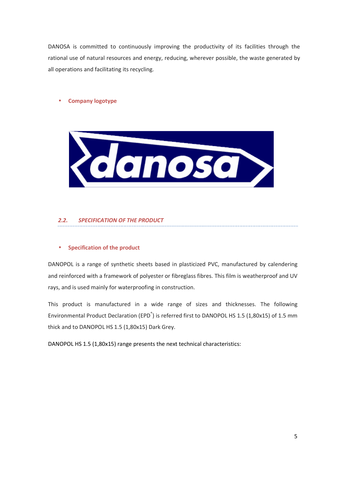DANOSA is committed to continuously improving the productivity of its facilities through the rational use of natural resources and energy, reducing, wherever possible, the waste generated by all operations and facilitating its recycling.

#### • **Company logotype**



#### *2.2. SPECIFICATION OF THE PRODUCT*

#### • **Specification of the product**

DANOPOL is a range of synthetic sheets based in plasticized PVC, manufactured by calendering and reinforced with a framework of polyester or fibreglass fibres. This film is weatherproof and UV rays, and is used mainly for waterproofing in construction.

This product is manufactured in a wide range of sizes and thicknesses. The following Environmental Product Declaration (EPD<sup>®</sup>) is referred first to DANOPOL HS 1.5 (1,80x15) of 1.5 mm thick and to DANOPOL HS 1.5 (1,80x15) Dark Grey.

DANOPOL HS 1.5 (1,80x15) range presents the next technical characteristics: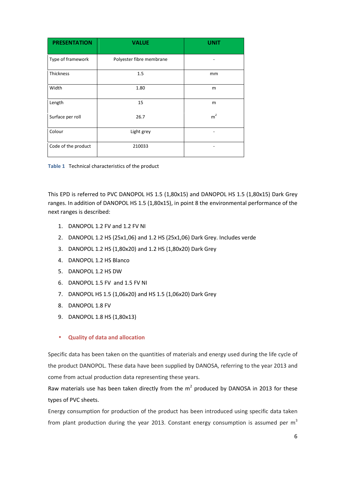| <b>PRESENTATION</b> | <b>VALUE</b>             | <b>UNIT</b>    |
|---------------------|--------------------------|----------------|
| Type of framework   | Polyester fibre membrane |                |
| Thickness           | 1.5                      | mm             |
| Width               | 1.80                     | m              |
| Length              | 15                       | m              |
| Surface per roll    | 26.7                     | m <sup>2</sup> |
| Colour              | Light grey               |                |
| Code of the product | 210033                   |                |

**Table 1** Technical characteristics of the product

This EPD is referred to PVC DANOPOL HS 1.5 (1,80x15) and DANOPOL HS 1.5 (1,80x15) Dark Grey ranges. In addition of DANOPOL HS 1.5 (1,80x15), in point 8 the environmental performance of the next ranges is described:

- 1. DANOPOL 1.2 FV and 1.2 FV NI
- 2. DANOPOL 1.2 HS (25x1,06) and 1.2 HS (25x1,06) Dark Grey. Includes verde
- 3. DANOPOL 1.2 HS (1,80x20) and 1.2 HS (1,80x20) Dark Grey
- 4. DANOPOL 1.2 HS Blanco
- 5. DANOPOL 1.2 HS DW
- 6. DANOPOL 1.5 FV and 1.5 FV NI
- 7. DANOPOL HS 1.5 (1,06x20) and HS 1.5 (1,06x20) Dark Grey
- 8. DANOPOL 1.8 FV
- 9. DANOPOL 1.8 HS (1,80x13)

#### • **Quality of data and allocation**

Specific data has been taken on the quantities of materials and energy used during the life cycle of the product DANOPOL. These data have been supplied by DANOSA, referring to the year 2013 and come from actual production data representing these years.

Raw materials use has been taken directly from the  $m^2$  produced by DANOSA in 2013 for these types of PVC sheets.

Energy consumption for production of the product has been introduced using specific data taken from plant production during the year 2013. Constant energy consumption is assumed per  $m<sup>3</sup>$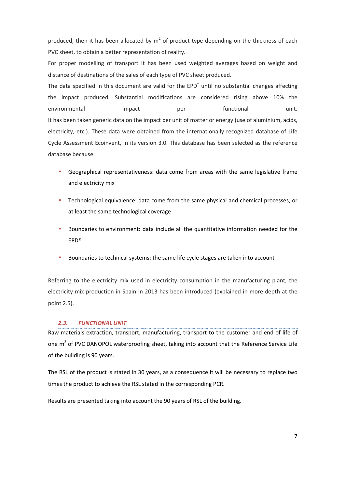produced, then it has been allocated by  $m^2$  of product type depending on the thickness of each PVC sheet, to obtain a better representation of reality.

For proper modelling of transport it has been used weighted averages based on weight and distance of destinations of the sales of each type of PVC sheet produced.

The data specified in this document are valid for the EPD<sup>®</sup> until no substantial changes affecting the impact produced. Substantial modifications are considered rising above 10% the environmental impact per functional unit. It has been taken generic data on the impact per unit of matter or energy (use of aluminium, acids, electricity, etc.). These data were obtained from the internationally recognized database of Life Cycle Assessment Ecoinvent, in its version 3.0. This database has been selected as the reference database because:

- Geographical representativeness: data come from areas with the same legislative frame and electricity mix
- Technological equivalence: data come from the same physical and chemical processes, or at least the same technological coverage
- Boundaries to environment: data include all the quantitative information needed for the EPD®
- Boundaries to technical systems: the same life cycle stages are taken into account

Referring to the electricity mix used in electricity consumption in the manufacturing plant, the electricity mix production in Spain in 2013 has been introduced (explained in more depth at the point 2.5).

#### *2.3. FUNCTIONAL UNIT*

Raw materials extraction, transport, manufacturing, transport to the customer and end of life of one  $m^2$  of PVC DANOPOL waterproofing sheet, taking into account that the Reference Service Life of the building is 90 years.

The RSL of the product is stated in 30 years, as a consequence it will be necessary to replace two times the product to achieve the RSL stated in the corresponding PCR.

Results are presented taking into account the 90 years of RSL of the building.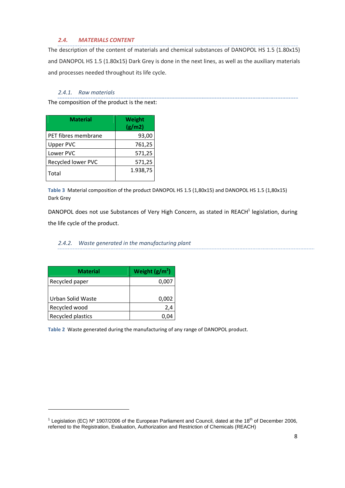#### *2.4. MATERIALS CONTENT*

The description of the content of materials and chemical substances of DANOPOL HS 1.5 (1.80x15) and DANOPOL HS 1.5 (1.80x15) Dark Grey is done in the next lines, as well as the auxiliary materials and processes needed throughout its life cycle.

#### *2.4.1. Raw materials*

The composition of the product is the next:

| <b>Material</b>     | Weight<br>(g/m2) |
|---------------------|------------------|
| PET fibres membrane | 93,00            |
| <b>Upper PVC</b>    | 761,25           |
| Lower PVC           | 571,25           |
| Recycled lower PVC  | 571,25           |
| Total               | 1.938,75         |

**Table 3** Material composition of the product DANOPOL HS 1.5 (1,80x15) and DANOPOL HS 1.5 (1,80x15) Dark Grey

DANOPOL does not use Substances of Very High Concern, as stated in REACH<sup>1</sup> legislation, during the life cycle of the product.

#### *2.4.2. Waste generated in the manufacturing plant*

| <b>Material</b>   | Weight $(g/m^2)$ |
|-------------------|------------------|
| Recycled paper    | 0,007            |
|                   |                  |
| Urban Solid Waste | 0,002            |
| Recycled wood     | 2,4              |
| Recycled plastics |                  |

<u>.</u>

**Table 2** Waste generated during the manufacturing of any range of DANOPOL product.

<sup>&</sup>lt;sup>1</sup> Legislation (EC) Nº 1907/2006 of the European Parliament and Council, dated at the 18<sup>th</sup> of December 2006, referred to the Registration, Evaluation, Authorization and Restriction of Chemicals (REACH)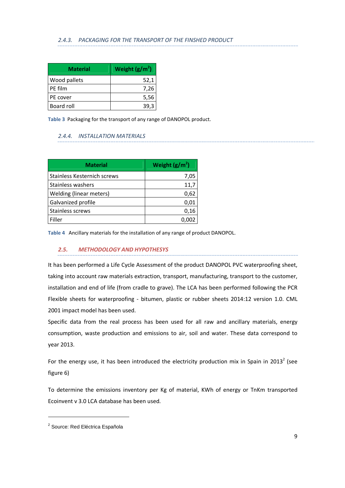| <b>Material</b> | Weight $(g/m^2)$ |
|-----------------|------------------|
| Wood pallets    | 52,1             |
| PE film         | 7,26             |
| PE cover        | 5,56             |
| Board roll      | 39,3             |

**Table 3** Packaging for the transport of any range of DANOPOL product.

#### *2.4.4. INSTALLATION MATERIALS*

| <b>Material</b>             | Weight $(g/m^2)$ |
|-----------------------------|------------------|
| Stainless Kesternich screws | 7,05             |
| Stainless washers           | 11,7             |
| Welding (linear meters)     | 0,62             |
| Galvanized profile          | 0,01             |
| Stainless screws            | 0,16             |
| Filler                      |                  |

**Table 4** Ancillary materials for the installation of any range of product DANOPOL.

#### *2.5. METHODOLOGY AND HYPOTHESYS*

It has been performed a Life Cycle Assessment of the product DANOPOL PVC waterproofing sheet, taking into account raw materials extraction, transport, manufacturing, transport to the customer, installation and end of life (from cradle to grave). The LCA has been performed following the PCR Flexible sheets for waterproofing - bitumen, plastic or rubber sheets 2014:12 version 1.0. CML 2001 impact model has been used.

Specific data from the real process has been used for all raw and ancillary materials, energy consumption, waste production and emissions to air, soil and water. These data correspond to year 2013.

For the energy use, it has been introduced the electricity production mix in Spain in 2013<sup>2</sup> (see figure 6)

To determine the emissions inventory per Kg of material, KWh of energy or TnKm transported Ecoinvent v 3.0 LCA database has been used.

<u>.</u>

<sup>&</sup>lt;sup>2</sup> Source: Red Eléctrica Española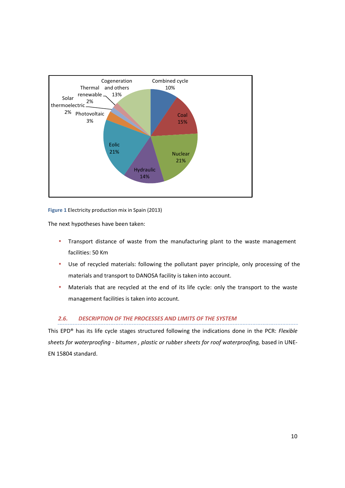

**Figure 1** Electricity production mix in Spain (2013)

The next hypotheses have been taken:

- Transport distance of waste from the manufacturing plant to the waste management facilities: 50 Km
- Use of recycled materials: following the pollutant payer principle, only processing of the materials and transport to DANOSA facility is taken into account.
- Materials that are recycled at the end of its life cycle: only the transport to the waste management facilities is taken into account.

#### *2.6. DESCRIPTION OF THE PROCESSES AND LIMITS OF THE SYSTEM*

This EPD® has its life cycle stages structured following the indications done in the PCR: *Flexible sheets for waterproofing - bitumen , plastic or rubber sheets for roof waterproofing,* based in UNE-EN 15804 standard.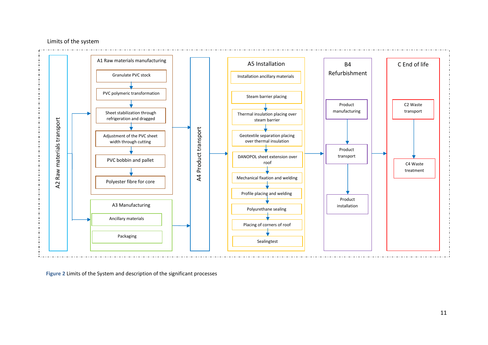#### Limits of the system



**Figure 2** Limits of the System and description of the significant processes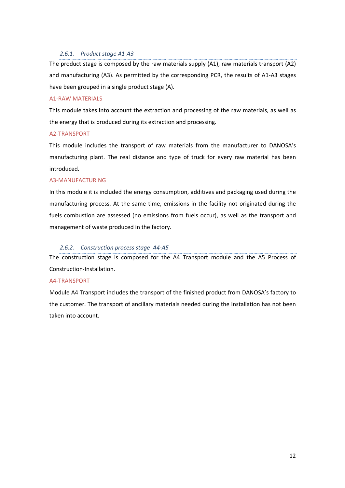#### *2.6.1. Product stage A1-A3*

The product stage is composed by the raw materials supply (A1), raw materials transport (A2) and manufacturing (A3). As permitted by the corresponding PCR, the results of A1-A3 stages have been grouped in a single product stage (A).

#### A1-RAW MATERIALS

This module takes into account the extraction and processing of the raw materials, as well as the energy that is produced during its extraction and processing.

#### A2-TRANSPORT

This module includes the transport of raw materials from the manufacturer to DANOSA's manufacturing plant. The real distance and type of truck for every raw material has been introduced.

#### A3-MANUFACTURING

In this module it is included the energy consumption, additives and packaging used during the manufacturing process. At the same time, emissions in the facility not originated during the fuels combustion are assessed (no emissions from fuels occur), as well as the transport and management of waste produced in the factory.

#### *2.6.2. Construction process stage A4-A5*

The construction stage is composed for the A4 Transport module and the A5 Process of Construction-Installation.

#### A4-TRANSPORT

Module A4 Transport includes the transport of the finished product from DANOSA's factory to the customer. The transport of ancillary materials needed during the installation has not been taken into account.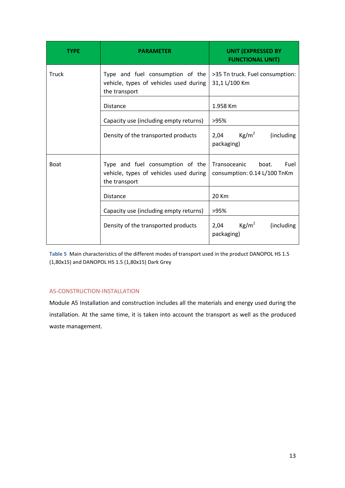| <b>TYPE</b> | <b>PARAMETER</b>                                                                            | <b>UNIT (EXPRESSED BY</b><br><b>FUNCTIONAL UNIT)</b>          |
|-------------|---------------------------------------------------------------------------------------------|---------------------------------------------------------------|
| Truck       | Type and fuel consumption of the<br>vehicle, types of vehicles used during<br>the transport | >35 Tn truck. Fuel consumption:<br>31,1 L/100 Km              |
|             | <b>Distance</b>                                                                             | 1.958 Km                                                      |
|             | Capacity use (including empty returns)                                                      | >95%                                                          |
|             | Density of the transported products                                                         | $\text{Kg/m}^2$<br>(including<br>2,04<br>packaging)           |
| <b>Boat</b> | Type and fuel consumption of the<br>vehicle, types of vehicles used during<br>the transport | Transoceanic<br>boat.<br>Fuel<br>consumption: 0.14 L/100 TnKm |
|             | <b>Distance</b>                                                                             | 20 Km                                                         |
|             | Capacity use (including empty returns)                                                      | >95%                                                          |
|             | Density of the transported products                                                         | Kg/m <sup>2</sup><br>(including<br>2,04<br>packaging)         |

**Table 5** Main characteristics of the different modes of transport used in the product DANOPOL HS 1.5 (1,80x15) and DANOPOL HS 1.5 (1,80x15) Dark Grey

#### A5-CONSTRUCTION-INSTALLATION

Module A5 Installation and construction includes all the materials and energy used during the installation. At the same time, it is taken into account the transport as well as the produced waste management.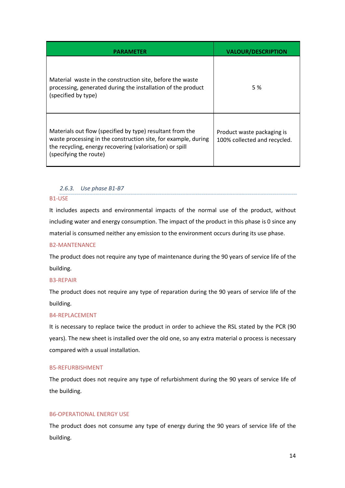|                                                                                                                                                                                                                   | <b>VALOUR/DESCRIPTION</b>                                  |
|-------------------------------------------------------------------------------------------------------------------------------------------------------------------------------------------------------------------|------------------------------------------------------------|
| Material waste in the construction site, before the waste<br>processing, generated during the installation of the product<br>(specified by type)                                                                  | 5 %                                                        |
| Materials out flow (specified by type) resultant from the<br>waste processing in the construction site, for example, during<br>the recycling, energy recovering (valorisation) or spill<br>(specifying the route) | Product waste packaging is<br>100% collected and recycled. |

#### *2.6.3. Use phase B1-B7*

#### B1-USE

It includes aspects and environmental impacts of the normal use of the product, without including water and energy consumption. The impact of the product in this phase is 0 since any material is consumed neither any emission to the environment occurs during its use phase.

#### B2-MANTENANCE

The product does not require any type of maintenance during the 90 years of service life of the building.

#### B3-REPAIR

The product does not require any type of reparation during the 90 years of service life of the building.

#### B4-REPLACEMENT

It is necessary to replace twice the product in order to achieve the RSL stated by the PCR (90 years). The new sheet is installed over the old one, so any extra material o process is necessary compared with a usual installation.

#### B5-REFURBISHMENT

The product does not require any type of refurbishment during the 90 years of service life of the building.

#### B6-OPERATIONAL ENERGY USE

The product does not consume any type of energy during the 90 years of service life of the building.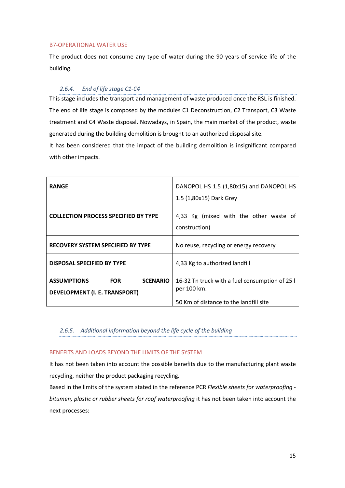#### B7-OPERATIONAL WATER USE

The product does not consume any type of water during the 90 years of service life of the building.

#### *2.6.4. End of life stage C1-C4*

This stage includes the transport and management of waste produced once the RSL is finished. The end of life stage is composed by the modules C1 Deconstruction, C2 Transport, C3 Waste treatment and C4 Waste disposal. Nowadays, in Spain, the main market of the product, waste generated during the building demolition is brought to an authorized disposal site.

It has been considered that the impact of the building demolition is insignificant compared with other impacts.

| <b>RANGE</b>                                                                                | DANOPOL HS 1.5 (1,80x15) and DANOPOL HS<br>1.5 (1,80x15) Dark Grey                                      |  |  |  |  |  |
|---------------------------------------------------------------------------------------------|---------------------------------------------------------------------------------------------------------|--|--|--|--|--|
| <b>COLLECTION PROCESS SPECIFIED BY TYPE</b>                                                 | 4,33 Kg (mixed with the other waste of<br>construction)                                                 |  |  |  |  |  |
| <b>RECOVERY SYSTEM SPECIFIED BY TYPE</b>                                                    | No reuse, recycling or energy recovery                                                                  |  |  |  |  |  |
| <b>DISPOSAL SPECIFIED BY TYPE</b>                                                           | 4,33 Kg to authorized landfill                                                                          |  |  |  |  |  |
| <b>ASSUMPTIONS</b><br><b>FOR</b><br><b>SCENARIO</b><br><b>DEVELOPMENT (I. E. TRANSPORT)</b> | 16-32 Tn truck with a fuel consumption of 25 l<br>per 100 km.<br>50 Km of distance to the landfill site |  |  |  |  |  |

#### *2.6.5. Additional information beyond the life cycle of the building*

#### BENEFITS AND LOADS BEYOND THE LIMITS OF THE SYSTEM

It has not been taken into account the possible benefits due to the manufacturing plant waste recycling, neither the product packaging recycling.

Based in the limits of the system stated in the reference PCR *Flexible sheets for waterproofing bitumen, plastic or rubber sheets for roof waterproofing* it has not been taken into account the next processes: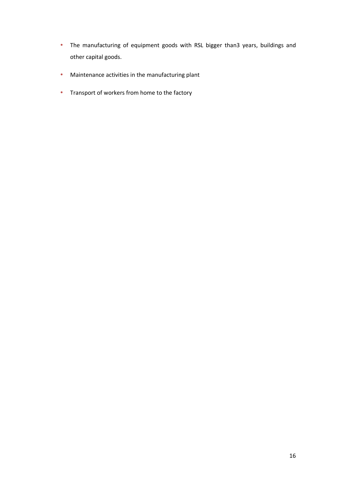- The manufacturing of equipment goods with RSL bigger than3 years, buildings and other capital goods.
- Maintenance activities in the manufacturing plant
- Transport of workers from home to the factory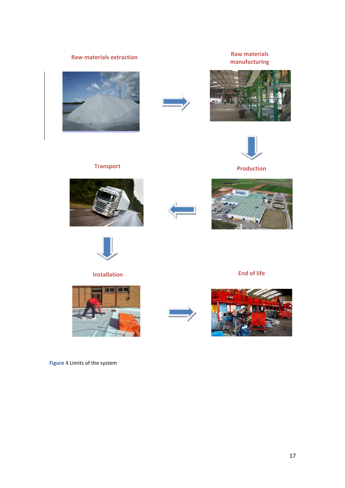**Raw materials extraction Raw materials manufacturing** 









**Production**

# **Transport**









# **Installation End of life**

**THE REAL PROPERTY** 





**Figure 4** Limits of the system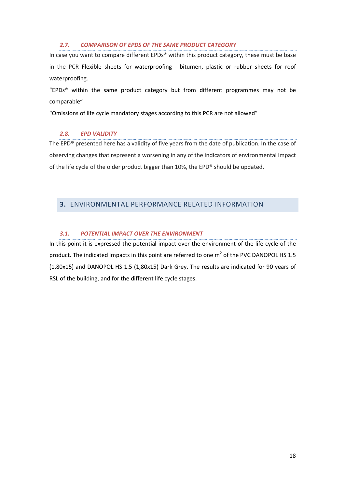#### *2.7. COMPARISON OF EPDS OF THE SAME PRODUCT CATEGORY*

In case you want to compare different EPDs® within this product category, these must be base in the PCR Flexible sheets for waterproofing - bitumen, plastic or rubber sheets for roof waterproofing.

"EPDs<sup>®</sup> within the same product category but from different programmes may not be comparable"

"Omissions of life cycle mandatory stages according to this PCR are not allowed"

#### *2.8. EPD VALIDITY*

The EPD® presented here has a validity of five years from the date of publication. In the case of observing changes that represent a worsening in any of the indicators of environmental impact of the life cycle of the older product bigger than 10%, the EPD® should be updated.

#### **3.** ENVIRONMENTAL PERFORMANCE RELATED INFORMATION

#### *3.1. POTENTIAL IMPACT OVER THE ENVIRONMENT*

In this point it is expressed the potential impact over the environment of the life cycle of the product. The indicated impacts in this point are referred to one  $m^2$  of the PVC DANOPOL HS 1.5 (1,80x15) and DANOPOL HS 1.5 (1,80x15) Dark Grey. The results are indicated for 90 years of RSL of the building, and for the different life cycle stages.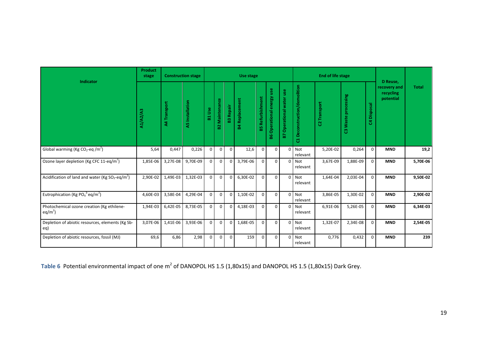| Indicator                                                            | <b>Product</b><br>stage |                     | <b>Construction stage</b> |                                       | Use stage        |                |                  |                     |                              |                             |                                | <b>End of life stage</b> | D Reuse,            |               |                                        |              |
|----------------------------------------------------------------------|-------------------------|---------------------|---------------------------|---------------------------------------|------------------|----------------|------------------|---------------------|------------------------------|-----------------------------|--------------------------------|--------------------------|---------------------|---------------|----------------------------------------|--------------|
|                                                                      | <b>A1/A2/A3</b>         | <b>A4 Transport</b> | A5 Installation           | <b>Use</b><br>$\overline{\mathbf{a}}$ | Maintenance<br>얾 | Repair<br>83   | Replacement<br>훎 | Refurbishment<br>59 | Operational energy use<br>86 | Operational water use<br>P. | Deconstruction/demolition<br>ដ | C2 Transport             | C3 Waste processing | Disposal<br>δ | recovery and<br>recycling<br>potential | <b>Total</b> |
| Global warming (Kg CO <sub>2</sub> -eq /m <sup>2</sup> )             | 5,64                    | 0,447               | 0,226                     | $\Omega$                              | $\Omega$         | $\Omega$       | 12,6             | $\Omega$            | $\Omega$                     | $\Omega$                    | <b>Not</b><br>relevant         | 5,20E-02                 | 0,264               | $\Omega$      | <b>MND</b>                             | 19,2         |
| Ozone layer depletion (Kg CFC 11-eq/m <sup>2</sup> )                 | 1,85E-06                | 3,27E-08            | 9,70E-09                  | $\Omega$                              | $\mathbf 0$      | $\mathbf{0}$   | 3,79E-06         | $\Omega$            | $\Omega$                     | $\Omega$                    | Not<br>relevant                | 3,67E-09                 | 1,88E-09            | $\Omega$      | <b>MND</b>                             | 5,70E-06     |
| Acidification of land and water (Kg $SO_2$ -eq/m <sup>2</sup> )      | 2,90E-02                | 1,49E-03            | 1,32E-03                  | $\Omega$                              | $\Omega$         | $\mathbf{0}$   | 6,30E-02         | $\Omega$            | $\Omega$                     | $\Omega$                    | Not<br>relevant                | 1,64E-04                 | 2,03E-04            | $\Omega$      | <b>MND</b>                             | 9,50E-02     |
| Eutrophication (Kg PO <sub>4</sub> <sup>3-</sup> eq/m <sup>2</sup> ) | 4,60E-03                | 3,58E-04            | 4,29E-04                  | $\mathbf 0$                           | $\mathbf 0$      | $\overline{0}$ | 1,10E-02         | $\Omega$            | $\mathbf{0}$                 | $\overline{0}$              | Not<br>relevant                | 3,86E-05                 | 1,30E-02            | $\mathbf 0$   | <b>MND</b>                             | 2,90E-02     |
| Photochemical ozone creation (Kg ethilene-<br>$eq/m2$ )              | 1,94E-03                | 6,42E-05            | 8,73E-05                  | $\Omega$                              | $\mathbf 0$      | $\Omega$       | 4,18E-03         | $\Omega$            | $\Omega$                     | $\Omega$                    | Not<br>relevant                | 6,91E-06                 | 5,26E-05            | $\Omega$      | <b>MND</b>                             | 6,34E-03     |
| Depletion of abiotic resources, elements (Kg Sb-<br>eq)              | 3,07E-06                | 1,41E-06            | 3,93E-06                  | $\Omega$                              | $\Omega$         | $\overline{0}$ | 1,68E-05         | $\Omega$            | $\Omega$                     |                             | 0 Not<br>relevant              | 1,32E-07                 | 2,34E-08            | $\mathbf 0$   | <b>MND</b>                             | 2,54E-05     |
| Depletion of abiotic resources, fossil (MJ)                          | 69,6                    | 6,86                | 2,98                      | $\Omega$                              | $\Omega$         | $\Omega$       | 159              | $\Omega$            | $\Omega$                     | $\overline{0}$              | Not<br>relevant                | 0,776                    | 0,432               | $\Omega$      | <b>MND</b>                             | 239          |

**Table 6** Potential environmental impact of one m<sup>2</sup> of DANOPOL HS 1.5 (1,80x15) and DANOPOL HS 1.5 (1,80x15) Dark Grey.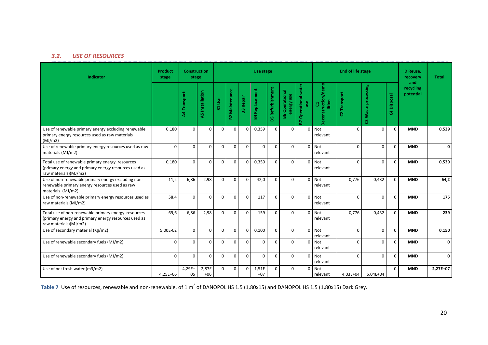#### *3.2.USE OF RESOURCES*

| Indicator                                                                                                                            | Product<br>stage | <b>Construction</b><br>Use stage<br>stage |                        |          |                       |                  |                       |                         |                                     | End of life stage              |                                                     |                | D Reuse.<br>recovery<br>and | <b>Total</b> |                        |          |
|--------------------------------------------------------------------------------------------------------------------------------------|------------------|-------------------------------------------|------------------------|----------|-----------------------|------------------|-----------------------|-------------------------|-------------------------------------|--------------------------------|-----------------------------------------------------|----------------|-----------------------------|--------------|------------------------|----------|
|                                                                                                                                      |                  | A4 Transport                              | <b>A5</b> Installation | B1 Use   | <b>B2 Maintenance</b> | <b>B3 Repair</b> | <b>B4 Replacement</b> | <b>B5 Refurbishment</b> | <b>B6 Operational</b><br>energy use | Operational water<br>use<br>B7 | truction/demo<br>lition<br>$\overline{G}$<br>ë<br>g | Transport<br>8 | C3 Waste processing         | C4 Disposal  | recycling<br>potential |          |
| Use of renewable primary energy excluding renewable<br>primary energy resources used as raw materials<br>(MJ/m2)                     | 0,180            | $\Omega$                                  | $\Omega$               | $\Omega$ | $\Omega$              | $\mathbf 0$      | 0,359                 | $\Omega$                | $\Omega$                            | $\Omega$                       | Not<br>relevant                                     | $\Omega$       | $\Omega$                    | $\Omega$     | <b>MND</b>             | 0,539    |
| Use of renewable primary energy resources used as raw<br>materials (MJ/m2)                                                           | $\mathbf 0$      | $\Omega$                                  | $\Omega$               | $\Omega$ | $\Omega$              | $\Omega$         | $\Omega$              | $\Omega$                | $\Omega$                            |                                | $0$ Not<br>relevant                                 | $\Omega$       | $\Omega$                    | $\Omega$     | <b>MND</b>             | 0        |
| Total use of renewable primary energy resources<br>(primary energy and primary energy resources used as<br>raw materials)(MJ/m2)     | 0,180            | $\Omega$                                  | $\Omega$               | $\Omega$ | $\mathbf 0$           | $\mathbf 0$      | 0,359                 | $\Omega$                | $\Omega$                            | $\Omega$                       | Not<br>relevant                                     | $\Omega$       | $\Omega$                    | $\Omega$     | <b>MND</b>             | 0,539    |
| Use of non-renewable primary energy excluding non-<br>renewable primary energy resources used as raw<br>materials (MJ/m2)            | 11,2             | 6,86                                      | 2,98                   | $\Omega$ | $\Omega$              | $\mathbf 0$      | 42,0                  | $\Omega$                | $\Omega$                            | $\Omega$                       | <b>Not</b><br>relevant                              | 0,776          | 0,432                       | $\Omega$     | <b>MND</b>             | 64,2     |
| Use of non-renewable primary energy resources used as<br>raw materials (MJ/m2)                                                       | 58,4             | $\Omega$                                  | $\Omega$               | $\Omega$ | $\Omega$              | $\Omega$         | 117                   | $\Omega$                | $\Omega$                            |                                | $0$ Not<br>relevant                                 | $\Omega$       | $\Omega$                    | $\Omega$     | <b>MND</b>             | 175      |
| Total use of non-renewable primary energy resources<br>(primary energy and primary energy resources used as<br>raw materials)(MJ/m2) | 69,6             | 6,86                                      | 2,98                   | $\Omega$ | $\Omega$              | 0                | 159                   | $\Omega$                | $\Omega$                            |                                | 0 Not<br>relevant                                   | 0,776          | 0,432                       | $\Omega$     | <b>MND</b>             | 239      |
| Use of secondary material (Kg/m2)                                                                                                    | 5,00E-02         | $\Omega$                                  | $\Omega$               | $\Omega$ | $\mathbf 0$           | 0                | 0,100                 | $\Omega$                | $\Omega$                            | $\Omega$                       | Not<br>relevant                                     | $\Omega$       | $\Omega$                    | $\Omega$     | <b>MND</b>             | 0,150    |
| Use of renewable secondary fuels (MJ/m2)                                                                                             | $\mathbf 0$      | $\Omega$                                  | $\Omega$               | $\Omega$ | $\Omega$              | $\Omega$         | $\mathbf 0$           | $\Omega$                | $\Omega$                            |                                | 0 Not<br>relevant                                   | $\Omega$       | $\Omega$                    | $\Omega$     | <b>MND</b>             | 0        |
| Use of renewable secondary fuels (MJ/m2)                                                                                             | $\mathbf 0$      | $\Omega$                                  | $\Omega$               | $\Omega$ | $\Omega$              | $\mathbf 0$      | $\mathbf 0$           | $\Omega$                | $\Omega$                            | $\Omega$                       | <b>Not</b><br>relevant                              | $\Omega$       | $\Omega$                    | $\Omega$     | <b>MND</b>             | 0        |
| Use of net fresh water (m3/m2)                                                                                                       | 4,25E+06         | 4,29E+<br>05                              | 2,87E<br>$+06$         | $\Omega$ | $\mathbf 0$           | $\mathbf 0$      | 1,51E<br>$+07$        | $\Omega$                | $\Omega$                            |                                | 0 Not<br>relevant                                   | 4,03E+04       | $5,04E+04$                  | $\Omega$     | <b>MND</b>             | 2,27E+07 |

Table 7 Use of resources, renewable and non-renewable, of 1 m<sup>2</sup> of DANOPOL HS 1.5 (1,80x15) and DANOPOL HS 1.5 (1,80x15) Dark Grey.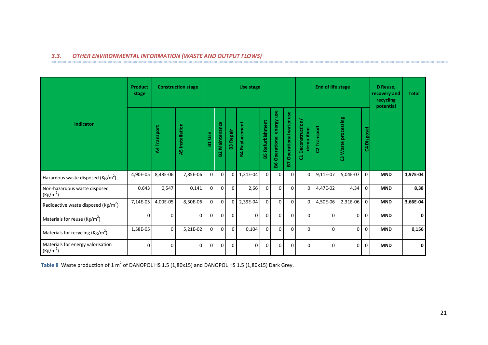#### *3.3. OTHER ENVIRONMENTAL INFORMATION (WASTE AND OUTPUT FLOWS)*

|                                                      | <b>Product</b><br>stage |                     | <b>Construction stage</b> | Use stage       |                               |                |                   |                         |                                  |                             |                                    | <b>End of life stage</b> |                     |                | D Reuse,<br>recovery and<br>recycling<br>potential | <b>Total</b> |
|------------------------------------------------------|-------------------------|---------------------|---------------------------|-----------------|-------------------------------|----------------|-------------------|-------------------------|----------------------------------|-----------------------------|------------------------------------|--------------------------|---------------------|----------------|----------------------------------------------------|--------------|
| Indicator                                            |                         | <b>A4 Transport</b> | <b>A5</b> Installation    | <b>Jse</b><br>뷺 | Maintenance<br>$\overline{2}$ | Repair<br>23   | Replacement<br>Pg | <b>B5 Refurbishment</b> | use<br>Operational energy<br>န္ထ | Operational water use<br>29 | Deconstruction/<br>demolition<br>đ | C2 Transport             | C3 Waste processing | Disposal<br>3  |                                                    |              |
| Hazardous waste disposed ( $\text{Kg/m}^2$ )         | 4,90E-05                | 8,48E-06            | 7,85E-06                  | 0               | $\mathbf 0$                   | $\overline{0}$ | 1,31E-04          | $\mathbf{0}$            | $\boldsymbol{0}$                 | $\mathbf{0}$                | 0                                  | 9,11E-07                 | 5,04E-07            | $\mathbf 0$    | <b>MND</b>                                         | 1,97E-04     |
| Non-hazardous waste disposed<br>(Kg/m <sup>2</sup> ) | 0,643                   | 0,547               | 0,141                     | 0               | $\mathbf 0$                   | $\overline{0}$ | 2,66              | $\Omega$                | $\mathbf 0$                      | $\Omega$                    | $\Omega$                           | 4,47E-02                 | 4,34                | $\mathbf 0$    | <b>MND</b>                                         | 8,38         |
| Radioactive waste disposed (Kg/m <sup>2</sup> )      | 7,14E-05                | 4,00E-05            | 8,30E-06                  | $\overline{0}$  | $\mathbf 0$                   | $\overline{0}$ | 2,39E-04          | $\Omega$                | $\mathbf 0$                      | $\Omega$                    | $\Omega$                           | 4,50E-06                 | $2,31E-06$          | $\overline{0}$ | <b>MND</b>                                         | 3,66E-04     |
| Materials for reuse ( $\text{Kg/m}^2$ )              | $\Omega$                | $\Omega$            | $\Omega$                  | $\Omega$        | $\Omega$                      | $\Omega$       | $\Omega$          | $\Omega$                | $\Omega$                         | $\Omega$                    | $\Omega$                           | $\Omega$                 | $\Omega$            | $\Omega$       | <b>MND</b>                                         | $\mathbf{0}$ |
| Materials for recycling ( $\text{Kg/m}^2$ )          | 1,58E-05                | $\mathbf 0$         | 5,21E-02                  | 0               | $\mathbf 0$                   | $\mathbf{0}$   | 0,104             | 0                       | $\mathbf 0$                      | $\Omega$                    | $\Omega$                           | $\Omega$                 | $\mathbf 0$         | $\mathbf 0$    | <b>MND</b>                                         | 0,156        |
| Materials for energy valorisation<br>$(Kg/m^2)$      | $\Omega$                | O                   | $\Omega$                  | $\overline{0}$  | $\Omega$                      | $\Omega$       | $\Omega$          | $\Omega$                | $\Omega$                         | $\Omega$                    | $\Omega$                           | $\Omega$                 | $\Omega$            | $\Omega$       | <b>MND</b>                                         | 0            |

Table 8 Waste production of 1 m<sup>2</sup> of DANOPOL HS 1.5 (1,80x15) and DANOPOL HS 1.5 (1,80x15) Dark Grey.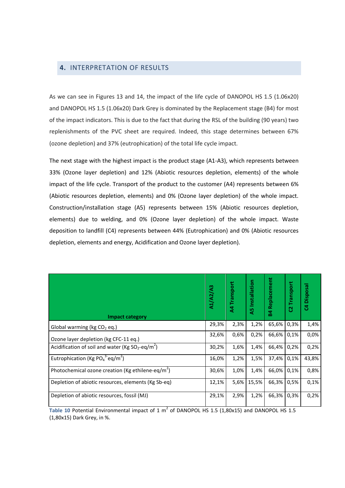#### **4.** INTERPRETATION OF RESULTS

As we can see in Figures 13 and 14, the impact of the life cycle of DANOPOL HS 1.5 (1.06x20) and DANOPOL HS 1.5 (1.06x20) Dark Grey is dominated by the Replacement stage (B4) for most of the impact indicators. This is due to the fact that during the RSL of the building (90 years) two replenishments of the PVC sheet are required. Indeed, this stage determines between 67% (ozone depletion) and 37% (eutrophication) of the total life cycle impact.

The next stage with the highest impact is the product stage (A1-A3), which represents between 33% (Ozone layer depletion) and 12% (Abiotic resources depletion, elements) of the whole impact of the life cycle. Transport of the product to the customer (A4) represents between 6% (Abiotic resources depletion, elements) and 0% (Ozone layer depletion) of the whole impact. Construction/installation stage (A5) represents between 15% (Abiotic resources depletion, elements) due to welding, and 0% (Ozone layer depletion) of the whole impact. Waste deposition to landfill (C4) represents between 44% (Eutrophication) and 0% (Abiotic resources depletion, elements and energy, Acidification and Ozone layer depletion).

| <b>Impact category</b>                                               | A1/A2/A3 | <b>A4 Transport</b> | Installation<br>ಳಿ | Replacement<br>54 | Transport<br>ប | <b>SS</b><br>Dispo:<br>ೆ |
|----------------------------------------------------------------------|----------|---------------------|--------------------|-------------------|----------------|--------------------------|
| Global warming (kg $CO2$ eq.)                                        | 29,3%    | 2,3%                | 1,2%               | 65,6%             | 0,3%           | 1,4%                     |
| Ozone layer depletion (kg CFC-11 eq.)                                | 32,6%    | 0,6%                | 0,2%               | 66,6%             | 0,1%           | 0,0%                     |
| Acidification of soil and water (Kg $SO_2$ -eq/m <sup>2</sup> )      | 30,2%    | 1,6%                | 1,4%               | 66,4%             | 0,2%           | 0,2%                     |
| Eutrophication (Kg PO <sub>4</sub> <sup>3-</sup> eq/m <sup>2</sup> ) | 16,0%    | 1,2%                | 1,5%               | 37,4%             | 0,1%           | 43,8%                    |
| Photochemical ozone creation (Kg ethilene-eq/m <sup>2</sup> )        | 30,6%    | 1,0%                | 1,4%               | 66,0%             | 0.1%           | 0,8%                     |
| Depletion of abiotic resources, elements (Kg Sb-eq)                  | 12,1%    | 5,6%                | 15,5%              | 66,3%             | 0,5%           | 0,1%                     |
| Depletion of abiotic resources, fossil (MJ)                          | 29,1%    | 2,9%                | 1,2%               | 66,3%             | 0,3%           | 0,2%                     |

**Table 10** Potential Environmental impact of 1  $m^2$  of DANOPOL HS 1.5 (1,80x15) and DANOPOL HS 1.5 (1,80x15) Dark Grey, in %.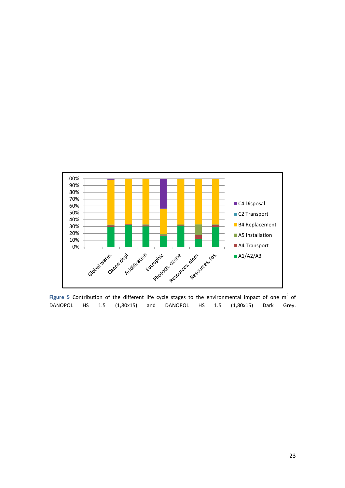

Figure 5 Contribution of the different life cycle stages to the environmental impact of one  $m<sup>2</sup>$  of DANOPOL HS 1.5 (1,80x15) and DANOPOL HS 1.5 (1,80x15) Dark Grey.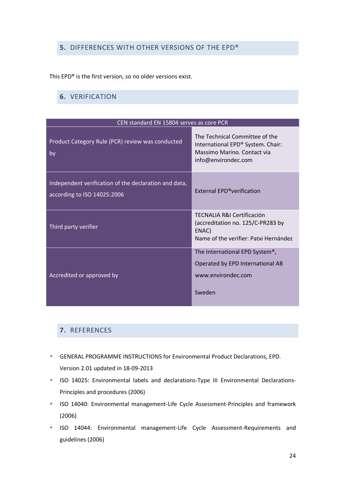# **5.** DIFFERENCES WITH OTHER VERSIONS OF THE EPD®

This EPD® is the first version, so no older versions exist.

### **6.** VERIFICATION

| CEN standard EN 15804 serves as core PCR                                             |                                                                                                                           |
|--------------------------------------------------------------------------------------|---------------------------------------------------------------------------------------------------------------------------|
| Product Category Rule (PCR) review was conducted<br>by                               | The Technical Committee of the<br>International EPD® System. Chair:<br>Massimo Marino, Contact via<br>info@environdec.com |
| Independent verification of the declaration and data,<br>according to ISO 14025:2006 | External EPD <sup>®</sup> verification                                                                                    |
| Third party verifier                                                                 | TECNALIA R&I Certificación<br>(accreditation no. 125/C-PR283 by<br>ENAC)<br>Name of the verifier: Patxi Hernández         |
| Accredited or approved by                                                            | The International EPD System <sup>®</sup> ,<br>Operated by EPD International AB<br>www.environdec.com<br>Sweden           |

#### **7.** REFERENCES

- GENERAL PROGRAMME INSTRUCTIONS for Environmental Product Declarations, EPD. Version 2.01 updated in 18-09-2013
- ISO 14025: Environmental labels and declarations-Type III Environmental Declarations-Principles and procedures (2006)
- ISO 14040: Environmental management-Life Cycle Assessment-Principles and framework (2006)
- ISO 14044: Environmental management-Life Cycle Assessment-Requirements and guidelines (2006)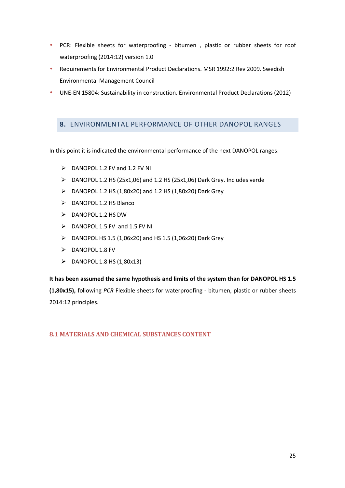- PCR: Flexible sheets for waterproofing bitumen , plastic or rubber sheets for roof waterproofing (2014:12) version 1.0
- Requirements for Environmental Product Declarations. MSR 1992:2 Rev 2009. Swedish Environmental Management Council
- UNE-EN 15804: Sustainability in construction. Environmental Product Declarations (2012)

### **8.** ENVIRONMENTAL PERFORMANCE OF OTHER DANOPOL RANGES

In this point it is indicated the environmental performance of the next DANOPOL ranges:

- DANOPOL 1.2 FV and 1.2 FV NI
- $\triangleright$  DANOPOL 1.2 HS (25x1,06) and 1.2 HS (25x1,06) Dark Grey. Includes verde
- $\triangleright$  DANOPOL 1.2 HS (1,80x20) and 1.2 HS (1,80x20) Dark Grey
- $\triangleright$  DANOPOL 1.2 HS Blanco
- $\triangleright$  DANOPOL 1.2 HS DW
- $\triangleright$  DANOPOL 1.5 FV and 1.5 FV NI
- $\triangleright$  DANOPOL HS 1.5 (1,06x20) and HS 1.5 (1,06x20) Dark Grey
- $\triangleright$  DANOPOL 1.8 FV
- $\triangleright$  DANOPOL 1.8 HS (1,80x13)

**It has been assumed the same hypothesis and limits of the system than for DANOPOL HS 1.5 (1,80x15),** following *PCR* Flexible sheets for waterproofing - bitumen, plastic or rubber sheets 2014:12 principles.

**8.1 MATERIALS AND CHEMICAL SUBSTANCES CONTENT**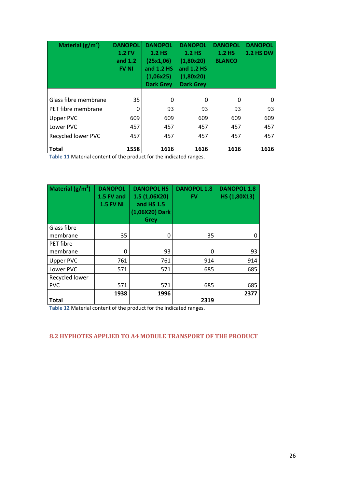| Material $(g/m^2)$        | <b>DANOPOL</b><br>$1.2$ FV<br>and $1.2$<br><b>FV NI</b> | <b>DANOPOL</b><br><b>1.2 HS</b><br>(25x1,06)<br>and 1.2 HS<br>(1,06x25)<br><b>Dark Grey</b> | <b>DANOPOL</b><br><b>1.2 HS</b><br>(1,80x20)<br>and 1.2 HS<br>(1,80x20)<br><b>Dark Grey</b> | <b>DANOPOL</b><br><b>1.2 HS</b><br><b>BLANCO</b> | <b>DANOPOL</b><br><b>1.2 HS DW</b> |
|---------------------------|---------------------------------------------------------|---------------------------------------------------------------------------------------------|---------------------------------------------------------------------------------------------|--------------------------------------------------|------------------------------------|
| Glass fibre membrane      | 35                                                      | 0                                                                                           | 0                                                                                           | 0                                                | 0                                  |
| PET fibre membrane        | 0                                                       | 93                                                                                          | 93                                                                                          | 93                                               | 93                                 |
| <b>Upper PVC</b>          | 609                                                     | 609                                                                                         | 609                                                                                         | 609                                              | 609                                |
| Lower PVC                 | 457                                                     | 457                                                                                         | 457                                                                                         | 457                                              | 457                                |
| <b>Recycled lower PVC</b> | 457                                                     | 457                                                                                         | 457                                                                                         | 457                                              | 457                                |
| <b>Total</b>              | 1558                                                    | 1616                                                                                        | 1616                                                                                        | 1616                                             | 1616                               |

**Table 11** Material content of the product for the indicated ranges.

| Material $(g/m^2)$ | <b>DANOPOL</b><br>1.5 FV and<br><b>1.5 FV NI</b> | <b>DANOPOL HS</b><br>1.5 (1,06X20)<br>and HS 1.5<br>(1,06X20) Dark<br><b>Grey</b> | <b>DANOPOL 1.8</b><br><b>FV</b> | <b>DANOPOL 1.8</b><br>HS (1,80X13) |
|--------------------|--------------------------------------------------|-----------------------------------------------------------------------------------|---------------------------------|------------------------------------|
| Glass fibre        |                                                  |                                                                                   |                                 |                                    |
| membrane           | 35                                               | 0                                                                                 | 35                              | 0                                  |
| PET fibre          |                                                  |                                                                                   |                                 |                                    |
| membrane           | 0                                                | 93                                                                                | 0                               | 93                                 |
| <b>Upper PVC</b>   | 761                                              | 761                                                                               | 914                             | 914                                |
| Lower PVC          | 571                                              | 571                                                                               | 685                             | 685                                |
| Recycled lower     |                                                  |                                                                                   |                                 |                                    |
| <b>PVC</b>         | 571                                              | 571                                                                               | 685                             | 685                                |
| <b>Total</b>       | 1938                                             | 1996                                                                              | 2319                            | 2377                               |

**Table 12** Material content of the product for the indicated ranges.

#### **8.2 HYPHOTES APPLIED TO A4 MODULE TRANSPORT OF THE PRODUCT**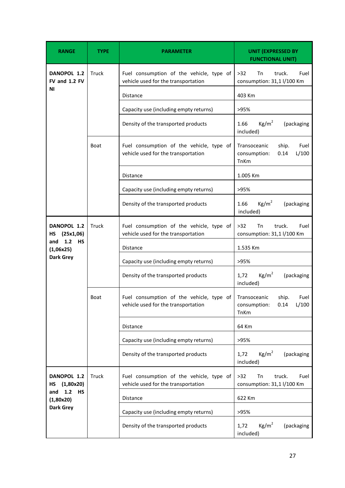| <b>RANGE</b>                         | TYPE         | <b>PARAMETER</b>                                                                | <b>UNIT (EXPRESSED BY</b><br><b>FUNCTIONAL UNIT)</b>                   |
|--------------------------------------|--------------|---------------------------------------------------------------------------------|------------------------------------------------------------------------|
| DANOPOL 1.2<br>FV and 1.2 FV         | Truck        | Fuel consumption of the vehicle, type of<br>vehicle used for the transportation | $>32$<br>Тn<br>truck.<br>Fuel<br>consumption: 31,1 l/100 Km            |
| ΝI                                   |              | Distance                                                                        | 403 Km                                                                 |
|                                      |              | Capacity use (including empty returns)                                          | >95%                                                                   |
|                                      |              | Density of the transported products                                             | Kg/m <sup>2</sup><br>1.66<br>(packaging<br>included)                   |
|                                      | <b>Boat</b>  | Fuel consumption of the vehicle, type of<br>vehicle used for the transportation | Fuel<br>Transoceanic<br>ship.<br>L/100<br>consumption:<br>0.14<br>TnKm |
|                                      |              | Distance                                                                        | 1.005 Km                                                               |
|                                      |              | Capacity use (including empty returns)                                          | >95%                                                                   |
|                                      |              | Density of the transported products                                             | Kg/m <sup>2</sup><br>1.66<br>(packaging<br>included)                   |
| DANOPOL 1.2<br>(25x1,06)<br>HS       | <b>Truck</b> | Fuel consumption of the vehicle, type of<br>vehicle used for the transportation | $>32$<br>Tn<br>truck.<br>Fuel<br>consumption: 31,1 l/100 Km            |
| 1.2 HS<br>and<br>(1,06x25)           |              | <b>Distance</b>                                                                 | 1.535 Km                                                               |
| <b>Dark Grey</b>                     |              | Capacity use (including empty returns)                                          | >95%                                                                   |
|                                      |              | Density of the transported products                                             | Kg/m <sup>2</sup><br>1,72<br>(packaging<br>included)                   |
|                                      | Boat         | Fuel consumption of the vehicle, type of<br>vehicle used for the transportation | Transoceanic<br>ship.<br>Fuel<br>consumption:<br>0.14<br>L/100<br>TnKm |
|                                      |              | <b>Distance</b>                                                                 | 64 Km                                                                  |
|                                      |              | Capacity use (including empty returns)                                          | >95%                                                                   |
|                                      |              | Density of the transported products                                             | Kg/m <sup>2</sup><br>(packaging<br>1,72<br>included)                   |
| DANOPOL 1.2<br>(1,80x20)<br>HS       | Truck        | Fuel consumption of the vehicle, type of<br>vehicle used for the transportation | $>32$<br>Tn<br>truck.<br>Fuel<br>consumption: 31,1 l/100 Km            |
| 1.2<br><b>HS</b><br>and<br>(1,80x20) |              | Distance                                                                        | 622 Km                                                                 |
| Dark Grey                            |              | Capacity use (including empty returns)                                          | >95%                                                                   |
|                                      |              | Density of the transported products                                             | Kg/m <sup>2</sup><br>1,72<br>(packaging<br>included)                   |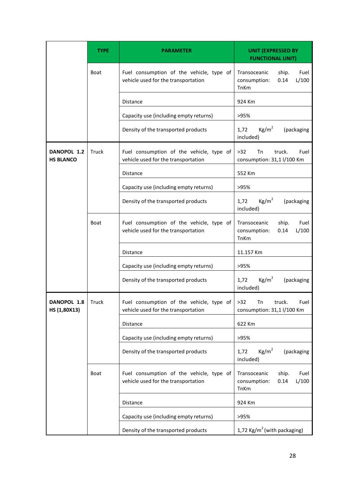|                                 | <b>TYPE</b> | <b>PARAMETER</b>                                                                | <b>UNIT (EXPRESSED BY</b><br><b>FUNCTIONAL UNIT)</b>                          |  |  |  |  |  |
|---------------------------------|-------------|---------------------------------------------------------------------------------|-------------------------------------------------------------------------------|--|--|--|--|--|
|                                 | <b>Boat</b> | Fuel consumption of the vehicle, type of<br>vehicle used for the transportation | Fuel<br>Transoceanic<br>ship.<br>0.14<br>L/100<br>consumption:<br><b>TnKm</b> |  |  |  |  |  |
|                                 |             | <b>Distance</b>                                                                 | 924 Km                                                                        |  |  |  |  |  |
|                                 |             | Capacity use (including empty returns)                                          | >95%                                                                          |  |  |  |  |  |
|                                 |             | Density of the transported products                                             | Kg/m <sup>2</sup><br>1,72<br>(packaging<br>included)                          |  |  |  |  |  |
| DANOPOL 1.2<br><b>HS BLANCO</b> | Truck       | Fuel consumption of the vehicle, type of<br>vehicle used for the transportation | Fuel<br>>32<br>Tn<br>truck.<br>consumption: 31,1 l/100 Km                     |  |  |  |  |  |
|                                 |             | <b>Distance</b>                                                                 | 552 Km                                                                        |  |  |  |  |  |
|                                 |             | Capacity use (including empty returns)                                          | >95%                                                                          |  |  |  |  |  |
|                                 |             | Density of the transported products                                             | $Kg/m^2$<br>1,72<br>(packaging<br>included)                                   |  |  |  |  |  |
|                                 | <b>Boat</b> | Fuel consumption of the vehicle, type of<br>vehicle used for the transportation | Transoceanic<br>ship.<br>Fuel<br>L/100<br>consumption:<br>0.14<br>TnKm        |  |  |  |  |  |
|                                 |             | <b>Distance</b>                                                                 | 11.157 Km                                                                     |  |  |  |  |  |
|                                 |             | Capacity use (including empty returns)                                          | >95%                                                                          |  |  |  |  |  |
|                                 |             | Density of the transported products                                             | Kg/m <sup>2</sup><br>1,72<br>(packaging<br>included)                          |  |  |  |  |  |
| DANOPOL 1.8<br>HS (1,80X13)     | Truck       | Fuel consumption of the vehicle, type of<br>vehicle used for the transportation | $>32$<br>Tn<br>truck.<br>Fuel<br>consumption: 31,1 l/100 Km                   |  |  |  |  |  |
|                                 |             | <b>Distance</b>                                                                 | 622 Km                                                                        |  |  |  |  |  |
|                                 |             | Capacity use (including empty returns)                                          | >95%                                                                          |  |  |  |  |  |
|                                 |             | Density of the transported products                                             | Kg/m <sup>2</sup><br>1,72<br>(packaging<br>included)                          |  |  |  |  |  |
|                                 | Boat        | Fuel consumption of the vehicle, type of<br>vehicle used for the transportation | Fuel<br>Transoceanic<br>ship.<br>0.14<br>L/100<br>consumption:<br>TnKm        |  |  |  |  |  |
|                                 |             | Distance                                                                        | 924 Km                                                                        |  |  |  |  |  |
|                                 |             | Capacity use (including empty returns)                                          | >95%                                                                          |  |  |  |  |  |
|                                 |             | Density of the transported products                                             | 1,72 Kg/m <sup>2</sup> (with packaging)                                       |  |  |  |  |  |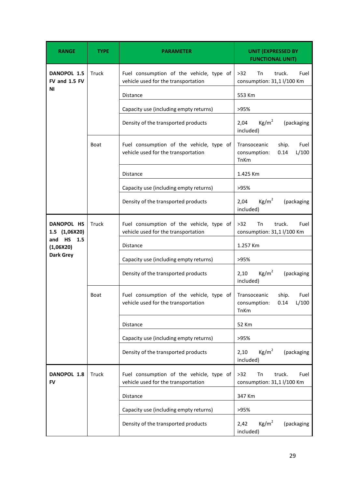| <b>RANGE</b>                 | TYPE  | <b>PARAMETER</b>                                                                | <b>UNIT (EXPRESSED BY</b><br><b>FUNCTIONAL UNIT)</b>                   |
|------------------------------|-------|---------------------------------------------------------------------------------|------------------------------------------------------------------------|
| DANOPOL 1.5<br>FV and 1.5 FV | Truck | Fuel consumption of the vehicle, type of<br>vehicle used for the transportation | $>32$<br>Tn<br>truck.<br>Fuel<br>consumption: 31,1 l/100 Km            |
| ΝI                           |       | <b>Distance</b>                                                                 | 553 Km                                                                 |
|                              |       | Capacity use (including empty returns)                                          | >95%                                                                   |
|                              |       | Density of the transported products                                             | Kg/m <sup>2</sup><br>2,04<br>(packaging<br>included)                   |
|                              | Boat  | Fuel consumption of the vehicle, type of<br>vehicle used for the transportation | Transoceanic<br>Fuel<br>ship.<br>consumption:<br>L/100<br>0.14<br>TnKm |
|                              |       | Distance                                                                        | 1.425 Km                                                               |
|                              |       | Capacity use (including empty returns)                                          | >95%                                                                   |
|                              |       | Density of the transported products                                             | Kg/m <sup>2</sup><br>2,04<br>(packaging<br>included)                   |
| DANOPOL HS<br>1.5 (1,06X20)  | Truck | Fuel consumption of the vehicle, type of<br>vehicle used for the transportation | $>32$<br><b>Tn</b><br>truck.<br>Fuel<br>consumption: 31,1 l/100 Km     |
| and HS<br>1.5<br>(1,06X20)   |       | <b>Distance</b>                                                                 | 1.257 Km                                                               |
| <b>Dark Grey</b>             |       | Capacity use (including empty returns)                                          | >95%                                                                   |
|                              |       | Density of the transported products                                             | Kg/m <sup>2</sup><br>2,10<br>(packaging<br>included)                   |
|                              | Boat  | Fuel consumption of the vehicle, type of<br>vehicle used for the transportation | Transoceanic<br>ship.<br>Fuel<br>L/100<br>consumption:<br>0.14<br>TnKm |
|                              |       | <b>Distance</b>                                                                 | 52 Km                                                                  |
|                              |       | Capacity use (including empty returns)                                          | >95%                                                                   |
|                              |       | Density of the transported products                                             | Kg/m <sup>2</sup><br>(packaging<br>2,10<br>included)                   |
| DANOPOL 1.8<br>FV            | Truck | Fuel consumption of the vehicle, type of<br>vehicle used for the transportation | $>32$<br><b>Tn</b><br>truck.<br>Fuel<br>consumption: 31,1 l/100 Km     |
|                              |       | Distance                                                                        | 347 Km                                                                 |
|                              |       | Capacity use (including empty returns)                                          | >95%                                                                   |
|                              |       | Density of the transported products                                             | Kg/m <sup>2</sup><br>2,42<br>(packaging<br>included)                   |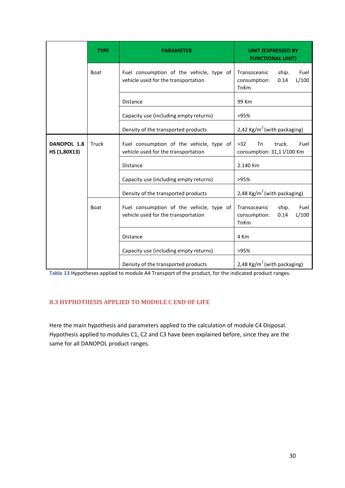|                             | <b>TYPE</b> | <b>PARAMETER</b>                                                                | <b>UNIT (EXPRESSED BY</b><br><b>FUNCTIONAL UNIT)</b>                   |  |  |  |  |  |  |
|-----------------------------|-------------|---------------------------------------------------------------------------------|------------------------------------------------------------------------|--|--|--|--|--|--|
|                             | Boat        | Fuel consumption of the vehicle, type of<br>vehicle used for the transportation | Transoceanic<br>Fuel<br>ship.<br>0.14<br>L/100<br>consumption:<br>TnKm |  |  |  |  |  |  |
|                             |             | <b>Distance</b>                                                                 | 99 Km                                                                  |  |  |  |  |  |  |
|                             |             | Capacity use (including empty returns)                                          | >95%                                                                   |  |  |  |  |  |  |
|                             |             | Density of the transported products                                             | 2,42 Kg/m <sup>2</sup> (with packaging)                                |  |  |  |  |  |  |
| DANOPOL 1.8<br>HS (1,80X13) | Truck       | Fuel consumption of the vehicle, type of<br>vehicle used for the transportation | <b>Tn</b><br>truck.<br>Fuel<br>$>32$<br>consumption: 31,1 l/100 Km     |  |  |  |  |  |  |
|                             |             | Distance                                                                        | 2.140 Km                                                               |  |  |  |  |  |  |
|                             |             | Capacity use (including empty returns)                                          | >95%                                                                   |  |  |  |  |  |  |
|                             |             | Density of the transported products                                             | 2,48 Kg/ $m^2$ (with packaging)                                        |  |  |  |  |  |  |
|                             | Boat        | Fuel consumption of the vehicle, type of<br>vehicle used for the transportation | Fuel<br>Transoceanic<br>ship.<br>L/100<br>consumption:<br>0.14<br>TnKm |  |  |  |  |  |  |
|                             |             | <b>Distance</b>                                                                 | 4 Km                                                                   |  |  |  |  |  |  |
|                             |             | Capacity use (including empty returns)                                          | >95%                                                                   |  |  |  |  |  |  |
|                             |             | Density of the transported products                                             | 2,48 Kg/m <sup>2</sup> (with packaging)                                |  |  |  |  |  |  |

**Table 13** Hypotheses applied to module A4 Transport of the product, for the indicated product ranges.

#### **8.3 HYPHOTHESIS APPLIED TO MODULE C END OF LIFE**

Here the main hypothesis and parameters applied to the calculation of module C4 Disposal. Hypothesis applied to modules C1, C2 and C3 have been explained before, since they are the same for all DANOPOL product ranges.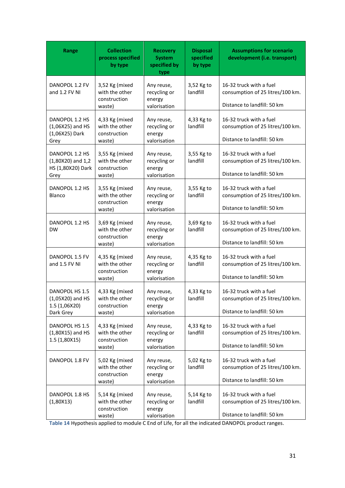| Range                                                                | <b>Collection</b><br>process specified<br>by type          | <b>Recovery</b><br><b>System</b><br>specified by<br>type | <b>Disposal</b><br>specified<br>by type | <b>Assumptions for scenario</b><br>development (i.e. transport)                            |  |  |  |
|----------------------------------------------------------------------|------------------------------------------------------------|----------------------------------------------------------|-----------------------------------------|--------------------------------------------------------------------------------------------|--|--|--|
| DANOPOL 1.2 FV<br>and 1.2 FV NI                                      | 3,52 Kg (mixed<br>with the other<br>construction<br>waste) | Any reuse,<br>recycling or<br>energy<br>valorisation     | 3,52 Kg to<br>landfill                  | 16-32 truck with a fuel<br>consumption of 25 litres/100 km.<br>Distance to landfill: 50 km |  |  |  |
| DANOPOL 1.2 HS<br>$(1,06X25)$ and HS<br>(1,06X25) Dark<br>Grey       | 4,33 Kg (mixed<br>with the other<br>construction<br>waste) | Any reuse,<br>recycling or<br>energy<br>valorisation     | 4,33 Kg to<br>landfill                  | 16-32 truck with a fuel<br>consumption of 25 litres/100 km.<br>Distance to landfill: 50 km |  |  |  |
| DANOPOL 1.2 HS<br>$(1,80X20)$ and $1,2$<br>HS (1,80X20) Dark<br>Grey | 3,55 Kg (mixed<br>with the other<br>construction<br>waste) | Any reuse,<br>recycling or<br>energy<br>valorisation     | 3,55 Kg to<br>landfill                  | 16-32 truck with a fuel<br>consumption of 25 litres/100 km.<br>Distance to landfill: 50 km |  |  |  |
| DANOPOL 1.2 HS<br>Blanco                                             | 3,55 Kg (mixed<br>with the other<br>construction<br>waste) | Any reuse,<br>recycling or<br>energy<br>valorisation     | 3,55 Kg to<br>landfill                  | 16-32 truck with a fuel<br>consumption of 25 litres/100 km.<br>Distance to landfill: 50 km |  |  |  |
| DANOPOL 1.2 HS<br><b>DW</b>                                          | 3,69 Kg (mixed<br>with the other<br>construction<br>waste) | Any reuse,<br>recycling or<br>energy<br>valorisation     | 3,69 Kg to<br>landfill                  | 16-32 truck with a fuel<br>consumption of 25 litres/100 km.<br>Distance to landfill: 50 km |  |  |  |
| DANOPOL 1.5 FV<br>and 1.5 FV NI                                      | 4,35 Kg (mixed<br>with the other<br>construction<br>waste) | Any reuse,<br>recycling or<br>energy<br>valorisation     | 4,35 Kg to<br>landfill                  | 16-32 truck with a fuel<br>consumption of 25 litres/100 km.<br>Distance to landfill: 50 km |  |  |  |
| DANOPOL HS 1.5<br>$(1,05X20)$ and HS<br>1.5 (1,06X20)<br>Dark Grey   | 4,33 Kg (mixed<br>with the other<br>construction<br>waste) | Any reuse,<br>recycling or<br>energy<br>valorisation     | 4,33 Kg to<br>landfill                  | 16-32 truck with a fuel<br>consumption of 25 litres/100 km.<br>Distance to landfill: 50 km |  |  |  |
| DANOPOL HS 1.5<br>$(1,80X15)$ and HS<br>1.5 (1,80X15)                | 4,33 Kg (mixed<br>with the other<br>construction<br>waste) | Any reuse,<br>recycling or<br>energy<br>valorisation     | 4,33 Kg to<br>landfill                  | 16-32 truck with a fuel<br>consumption of 25 litres/100 km.<br>Distance to landfill: 50 km |  |  |  |
| DANOPOL 1.8 FV                                                       | 5,02 Kg (mixed<br>with the other<br>construction<br>waste) | Any reuse,<br>recycling or<br>energy<br>valorisation     | 5,02 Kg to<br>landfill                  | 16-32 truck with a fuel<br>consumption of 25 litres/100 km.<br>Distance to landfill: 50 km |  |  |  |
| DANOPOL 1.8 HS<br>(1,80X13)                                          | 5,14 Kg (mixed<br>with the other<br>construction<br>waste) | Any reuse,<br>recycling or<br>energy<br>valorisation     | 5,14 Kg to<br>landfill                  | 16-32 truck with a fuel<br>consumption of 25 litres/100 km.<br>Distance to landfill: 50 km |  |  |  |

**Table 14** Hypothesis applied to module C End of Life, for all the indicated DANOPOL product ranges.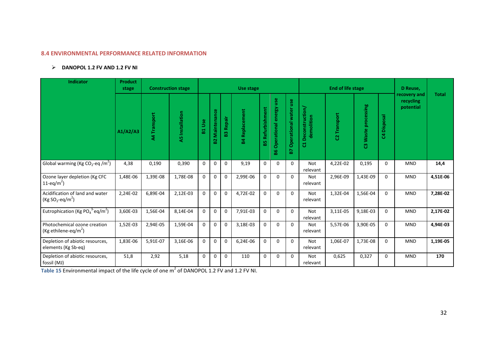#### **8.4 ENVIRONMENTAL PERFORMANCE RELATED INFORMATION**

# **DANOPOL 1.2 FV AND 1.2 FV NI**

| <b>Indicator</b>                                                     | <b>Product</b><br>stage |              | <b>Construction stage</b> |                 |                    |              | <b>Use stage</b>      |                         |                                    |                            |                                          | <b>End of life stage</b> | D Reuse,              |             |                                        |              |
|----------------------------------------------------------------------|-------------------------|--------------|---------------------------|-----------------|--------------------|--------------|-----------------------|-------------------------|------------------------------------|----------------------------|------------------------------------------|--------------------------|-----------------------|-------------|----------------------------------------|--------------|
|                                                                      | A1/A2/A3                | A4 Transport | <b>A5</b> Installation    | <b>Use</b><br>ដ | Maintenance<br>ន្ល | Repair<br>83 | <b>B4 Replacement</b> | <b>B5 Refurbishment</b> | use<br>energy<br>Operational<br>88 | Operational water use<br>2 | <b>Deconstruction</b><br>demolition<br>륭 | C2 Transport             | Waste processing<br>ၛ | C4 Disposal | recovery and<br>recycling<br>potential | <b>Total</b> |
| Global warming (Kg CO <sub>2</sub> -eq /m <sup>2</sup> )             | 4,38                    | 0,190        | 0,390                     | $\mathbf 0$     | $\mathbf 0$        | $\mathbf 0$  | 9,19                  | $\mathbf 0$             | $\mathbf 0$                        | $\Omega$                   | Not<br>relevant                          | 4,22E-02                 | 0,195                 | 0           | <b>MND</b>                             | 14,4         |
| Ozone layer depletion (Kg CFC<br>11-eq/m <sup>2</sup> )              | 1,48E-06                | 1,39E-08     | 1,78E-08                  | 0               | 0                  | 0            | 2,99E-06              | $\mathbf 0$             | $\Omega$                           | $\Omega$                   | <b>Not</b><br>relevant                   | 2,96E-09                 | 1,43E-09              | $\Omega$    | <b>MND</b>                             | 4,51E-06     |
| Acidification of land and water<br>$(Kg SO2-eq/m2)$                  | 2,24E-02                | 6,89E-04     | 2,12E-03                  | $\Omega$        | $\Omega$           | $\Omega$     | 4,72E-02              | $\Omega$                | $\Omega$                           | $\Omega$                   | Not<br>relevant                          | 1,32E-04                 | 1,56E-04              | $\Omega$    | <b>MND</b>                             | 7,28E-02     |
| Eutrophication (Kg PO <sub>4</sub> <sup>3-</sup> eq/m <sup>2</sup> ) | 3,60E-03                | 1,56E-04     | 8,14E-04                  | $\Omega$        | 0                  | $\Omega$     | 7,91E-03              | $\mathbf 0$             | $\mathbf 0$                        | $\Omega$                   | Not<br>relevant                          | 3,11E-05                 | 9,18E-03              | $\Omega$    | <b>MND</b>                             | 2,17E-02     |
| Photochemical ozone creation<br>(Kg ethilene-eq/m <sup>2</sup> )     | 1,52E-03                | 2,94E-05     | 1,59E-04                  | $\Omega$        | $\Omega$           | $\Omega$     | 3,18E-03              | $\Omega$                | $\Omega$                           | $\Omega$                   | Not<br>relevant                          | 5,57E-06                 | 3,90E-05              | $\Omega$    | <b>MND</b>                             | 4,94E-03     |
| Depletion of abiotic resources,<br>elements (Kg Sb-eq)               | 1,83E-06                | 5,91E-07     | 3,16E-06                  | $\Omega$        | $\Omega$           | $\Omega$     | 6,24E-06              | $\Omega$                | $\Omega$                           | $\Omega$                   | <b>Not</b><br>relevant                   | 1,06E-07                 | 1,73E-08              | $\Omega$    | <b>MND</b>                             | 1,19E-05     |
| Depletion of abiotic resources,<br>fossil (MJ)                       | 51,8                    | 2,92         | 5,18                      | $\Omega$        | 0                  | $\Omega$     | 110                   | $\mathbf 0$             | $\Omega$                           | $\Omega$                   | <b>Not</b><br>relevant                   | 0,625                    | 0,327                 | $\Omega$    | <b>MND</b>                             | 170          |

**Table 15** Environmental impact of the life cycle of one  $m^2$  of DANOPOL 1.2 FV and 1.2 FV NI.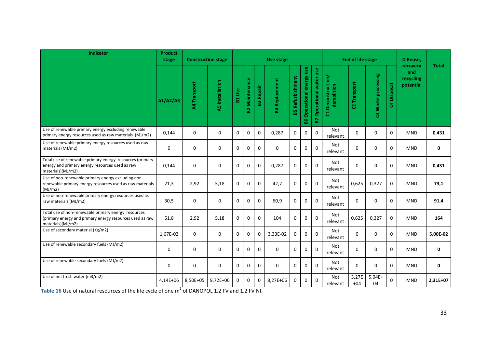| <b>Indicator</b>                                                                                                                     | <b>Product</b><br>stage | <b>Construction stage</b> |                        |               |                   |                  | Use stage             |                         |                              |                                 |                                  | <b>End of life stage</b> |                              |                | D Reuse,                                  |              |
|--------------------------------------------------------------------------------------------------------------------------------------|-------------------------|---------------------------|------------------------|---------------|-------------------|------------------|-----------------------|-------------------------|------------------------------|---------------------------------|----------------------------------|--------------------------|------------------------------|----------------|-------------------------------------------|--------------|
|                                                                                                                                      | A1/A2/A3                | A4 Transport              | <b>A5</b> Installation | <b>B1 Use</b> | Maintenance<br>S. | <b>B3 Repair</b> | <b>B4 Replacement</b> | <b>B5 Refurbishment</b> | Operational energy use<br>86 | <b>B7 Operational water use</b> | C1 Deconstruction/<br>demolition | C2 Transport             | Waste processing<br><b>m</b> | Disposal<br>\$ | recovery<br>and<br>recycling<br>potential | <b>Total</b> |
| Use of renewable primary energy excluding renewable<br>primary energy resources used as raw materials (MJ/m2)                        | 0,144                   | $\mathbf 0$               | $\mathbf 0$            | $\Omega$      | 0                 | $\Omega$         | 0,287                 | $\Omega$                | $\mathbf 0$                  | $\mathbf{0}$                    | Not<br>relevant                  | $\Omega$                 | $\Omega$                     | $\Omega$       | <b>MND</b>                                | 0,431        |
| Use of renewable primary energy resources used as raw<br>materials (MJ/m2)                                                           | $\mathbf 0$             | $\mathbf 0$               | $\mathbf 0$            | 0             | 0                 | $\Omega$         | $\Omega$              | $\mathbf 0$             | $\mathbf 0$                  | $\Omega$                        | Not<br>relevant                  | $\Omega$                 | 0                            | $\mathbf 0$    | <b>MND</b>                                | $\mathbf 0$  |
| Total use of renewable primary energy resources (primary<br>energy and primary energy resources used as raw<br>materials)(MJ/m2)     | 0,144                   | $\mathbf 0$               | $\mathbf 0$            | $\mathbf 0$   | $\Omega$          | $\mathbf 0$      | 0,287                 | $\mathbf 0$             | $\mathbf 0$                  | $\mathbf{0}$                    | Not<br>relevant                  | $\Omega$                 | $\Omega$                     | $\mathbf 0$    | <b>MND</b>                                | 0,431        |
| Use of non-renewable primary energy excluding non-<br>renewable primary energy resources used as raw materials<br>(MJ/m2)            | 21,3                    | 2,92                      | 5,18                   | 0             | $\Omega$          | $\mathbf 0$      | 42,7                  | $\mathbf{0}$            | 0                            | $\mathbf 0$                     | Not<br>relevant                  | 0,625                    | 0,327                        | $\mathbf 0$    | <b>MND</b>                                | 73,1         |
| Use of non-renewable primary energy resources used as<br>raw materials (MJ/m2)                                                       | 30,5                    | $\mathbf 0$               | $\mathbf 0$            | $\mathbf 0$   | $\mathbf 0$       | $\mathbf 0$      | 60,9                  | $\mathbf 0$             | $\mathbf 0$                  | $\Omega$                        | Not<br>relevant                  | $\Omega$                 | 0                            | $\mathbf 0$    | <b>MND</b>                                | 91,4         |
| Total use of non-renewable primary energy resources<br>(primary energy and primary energy resources used as raw<br>materials)(MJ/m2) | 51,8                    | 2,92                      | 5,18                   | 0             | $\Omega$          | $\Omega$         | 104                   | $\Omega$                | $\Omega$                     | $\Omega$                        | Not<br>relevant                  | 0,625                    | 0,327                        | $\mathbf{0}$   | <b>MND</b>                                | 164          |
| Use of secondary material (Kg/m2)                                                                                                    | 1,67E-02                | $\mathbf 0$               | $\mathbf 0$            | 0             | $\Omega$          | $\mathbf 0$      | 3,33E-02              | $\mathbf 0$             | 0                            | $\mathbf{0}$                    | Not<br>relevant                  | $\Omega$                 | 0                            | $\Omega$       | <b>MND</b>                                | 5,00E-02     |
| Use of renewable secondary fuels (MJ/m2)                                                                                             | $\mathbf 0$             | $\mathbf 0$               | $\Omega$               | $\Omega$      | $\Omega$          | $\Omega$         | $\Omega$              | $\Omega$                | $\Omega$                     | $\Omega$                        | Not<br>relevant                  | $\Omega$                 | $\Omega$                     | $\Omega$       | <b>MND</b>                                | $\mathbf 0$  |
| Use of renewable secondary fuels (MJ/m2)                                                                                             | $\mathbf 0$             | 0                         | $\pmb{0}$              | 0             | 0                 | $\mathbf 0$      | $\mathbf 0$           | $\mathbf 0$             | $\mathbf 0$                  | $\pmb{0}$                       | Not<br>relevant                  | $\Omega$                 | 0                            | $\mathbf 0$    | <b>MND</b>                                | 0            |
| Use of net fresh water (m3/m2)                                                                                                       | 4,14E+06                | 8,50E+05                  | $9,72E+06$             | $\mathbf 0$   | $\Omega$          | $\mathbf 0$      | 8,27E+06              | $\Omega$                | $\mathbf 0$                  | $\mathbf{0}$                    | Not<br>relevant                  | 3,27E<br>$+04$           | $5,04E+$<br>04               | $\Omega$       | <b>MND</b>                                | 2,31E+07     |

**Table 16** Use of natural resources of the life cycle of one m<sup>2</sup> of DANOPOL 1.2 FV and 1.2 FV NI.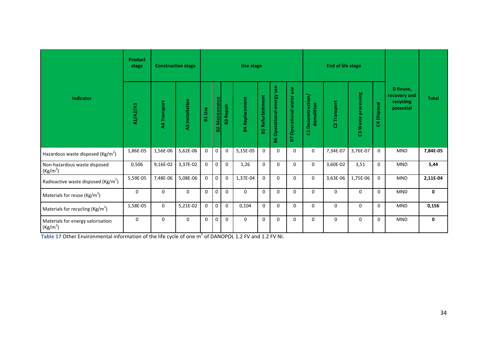|                                                           | <b>Product</b><br>stage |              | <b>Construction stage</b> |               |                   |                  | Use stage             |                    |                              |                            |                                  | <b>End of life stage</b> |                     |              |                                                    |              |
|-----------------------------------------------------------|-------------------------|--------------|---------------------------|---------------|-------------------|------------------|-----------------------|--------------------|------------------------------|----------------------------|----------------------------------|--------------------------|---------------------|--------------|----------------------------------------------------|--------------|
| Indicator                                                 | A1/A2/A3                | A4 Transport | A5 Installation           | <b>B1 Use</b> | Maintenance<br>S2 | <b>B3 Repair</b> | <b>B4 Replacement</b> | Refurbishment<br>盟 | Operational energy use<br>86 | Operational water use<br>2 | C1 Deconstruction/<br>demolition | C2 Transport             | C3 Waste processing | C4 Disposal  | D Reuse,<br>recovery and<br>recycling<br>potential | <b>Total</b> |
| Hazardous waste disposed (Kg/m <sup>2</sup> )             | 1,86E-05                | 1,56E-06     | 5,62E-06                  | $\mathbf 0$   | $\mathbf 0$       | $\mathbf 0$      | 5,15E-05              | $\mathbf{0}$       | $\mathbf 0$                  | 0                          | 0                                | 7,34E-07                 | 3,76E-07            | $\mathbf 0$  | <b>MND</b>                                         | 7,84E-05     |
| Non-hazardous waste disposed<br>(Kg/m <sup>2</sup> )      | 0,506                   | 9,16E-02     | 3,37E-02                  | $\mathbf 0$   | $\mathbf 0$       | $\mathbf 0$      | 1,26                  | 0                  | $\mathbf 0$                  | $\mathbf 0$                | 0                                | 3,60E-02                 | 3,51                | $\mathbf 0$  | <b>MND</b>                                         | 5,44         |
| Radioactive waste disposed ( $\text{Kg/m}^2$ )            | 5,59E-05                | 7,48E-06     | 5,08E-06                  | $\mathbf 0$   | $\overline{0}$    | $\mathbf{0}$     | 1,37E-04              | $\mathbf{0}$       | $\mathbf 0$                  | $\Omega$                   | $\mathbf 0$                      | 3,63E-06                 | 1,75E-06            | $\mathbf{0}$ | <b>MND</b>                                         | 2,11E-04     |
| Materials for reuse ( $\text{Kg/m}^2$ )                   | $\mathbf 0$             | $\mathbf{0}$ | 0                         | $\mathbf 0$   | $\overline{0}$    | $\Omega$         | $\Omega$              | $\Omega$           | $\mathbf 0$                  | $\Omega$                   | $\mathbf 0$                      | $\mathbf 0$              | $\Omega$            | $\mathbf{0}$ | <b>MND</b>                                         | 0            |
| Materials for recycling ( $\text{Kg/m}^2$ )               | 1,58E-05                | $\mathbf{0}$ | 5,21E-02                  | $\mathbf 0$   | $\mathbf 0$       | $\mathbf 0$      | 0,104                 | $\Omega$           | $\mathbf 0$                  | $\Omega$                   | $\mathbf 0$                      | 0                        | $\Omega$            | $\mathbf 0$  | <b>MND</b>                                         | 0,156        |
| Materials for energy valorisation<br>(Kg/m <sup>2</sup> ) | $\mathbf 0$             | $\mathbf{0}$ | 0                         | $\mathbf 0$   | $\mathbf 0$       | $\mathbf 0$      | $\mathbf{0}$          | $\mathbf 0$        | $\mathbf 0$                  | $\mathbf 0$                | $\mathbf 0$                      | $\mathbf 0$              | $\mathbf 0$         | $\mathbf 0$  | <b>MND</b>                                         | 0            |

Table 17 Other Environmental information of the life cycle of one m<sup>2</sup> of DANOPOL 1.2 FV and 1.2 FV NI.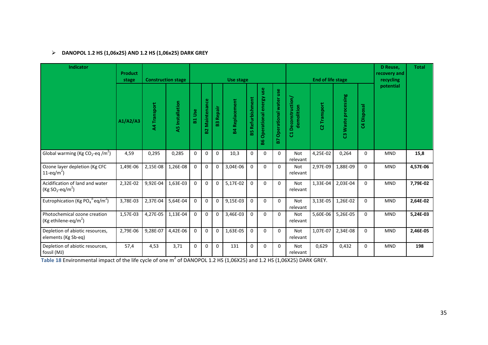# **DANOPOL 1.2 HS (1,06x25) AND 1.2 HS (1,06x25) DARK GREY**

| <b>Indicator</b>                                                     | <b>Product</b><br>stage |                   | <b>Construction stage</b> |              |                   |              | Use stage         |                         |                               |                             |                                          | <b>End of life stage</b> |                     |               | D Reuse,<br>recovery and<br>recycling | <b>Total</b> |
|----------------------------------------------------------------------|-------------------------|-------------------|---------------------------|--------------|-------------------|--------------|-------------------|-------------------------|-------------------------------|-----------------------------|------------------------------------------|--------------------------|---------------------|---------------|---------------------------------------|--------------|
|                                                                      | A1/A2/A3                | A4 Transport      | <b>A5</b> Installation    | Use<br>뷺     | Maintenance<br>S. | Repair<br>23 | Replacement<br>¥, | <b>B5 Refurbishment</b> | Operational energy use<br>မ္ထ | Operational water use<br>29 | <b>Deconstruction</b><br>demolition<br>ರ | C2 Transport             | C3 Waste processing | Disposal<br>3 | potential                             |              |
| Global warming (Kg CO <sub>2</sub> -eq /m <sup>2</sup> )             | 4,59                    | 0,295             | 0,285                     | $\Omega$     | $\mathbf 0$       | $\Omega$     | 10,3              | 0                       | $\Omega$                      | $\Omega$                    | Not<br>relevant                          | 4,25E-02                 | 0,264               | $\Omega$      | <b>MND</b>                            | 15,8         |
| Ozone layer depletion (Kg CFC<br>11-eq/m <sup>2</sup> )              | 1,49E-06                | 2,15E-08          | 1,26E-08                  | $\mathbf 0$  | 0                 | 0            | 3,04E-06          | $\Omega$                | $\Omega$                      | $\Omega$                    | <b>Not</b><br>relevant                   | 2,97E-09                 | 1,88E-09            | 0             | <b>MND</b>                            | 4,57E-06     |
| Acidification of land and water<br>$(Kg SO2-eq/m2)$                  | 2,32E-02                | 9,92E-04 1,63E-03 |                           | $\Omega$     | $\Omega$          | $\Omega$     | 5,17E-02          | $\mathbf 0$             | $\mathbf 0$                   | $\Omega$                    | <b>Not</b><br>relevant                   | 1,33E-04                 | 2,03E-04            | 0             | <b>MND</b>                            | 7,79E-02     |
| Eutrophication (Kg PO <sub>4</sub> <sup>3-</sup> eq/m <sup>2</sup> ) | 3,78E-03                | 2,37E-04          | 5,64E-04                  | $\mathbf{0}$ | $\mathbf 0$       | $\mathbf 0$  | 9,15E-03          | $\Omega$                | $\Omega$                      | $\Omega$                    | <b>Not</b><br>relevant                   | 3,13E-05                 | 1,26E-02            | 0             | <b>MND</b>                            | 2,64E-02     |
| Photochemical ozone creation<br>(Kg ethilene-eq/m <sup>2</sup> )     | 1,57E-03                | 4,27E-05          | 1,13E-04                  | $\mathbf{0}$ | 0                 | $\Omega$     | 3,46E-03          | $\mathbf 0$             | $\mathbf 0$                   | $\Omega$                    | <b>Not</b><br>relevant                   | 5,60E-06                 | 5,26E-05            | 0             | <b>MND</b>                            | 5,24E-03     |
| Depletion of abiotic resources,<br>elements (Kg Sb-eq)               | 2,79E-06                | 9,28E-07          | 4,42E-06                  | $\mathbf 0$  | $\mathbf 0$       | $\mathbf 0$  | 1,63E-05          | 0                       | $\mathbf 0$                   | $\Omega$                    | <b>Not</b><br>relevant                   | 1,07E-07                 | 2,34E-08            | 0             | <b>MND</b>                            | 2,46E-05     |
| Depletion of abiotic resources,<br>fossil (MJ)                       | 57,4                    | 4,53              | 3,71                      | $\mathbf 0$  | 0                 | $\mathbf 0$  | 131               | 0                       | $\mathbf 0$                   | $\Omega$                    | Not<br>relevant                          | 0,629                    | 0,432               | 0             | <b>MND</b>                            | 198          |

**Table 18** Environmental impact of the life cycle of one m<sup>2</sup> of DANOPOL 1.2 HS (1,06X25) and 1.2 HS (1,06X25) DARK GREY.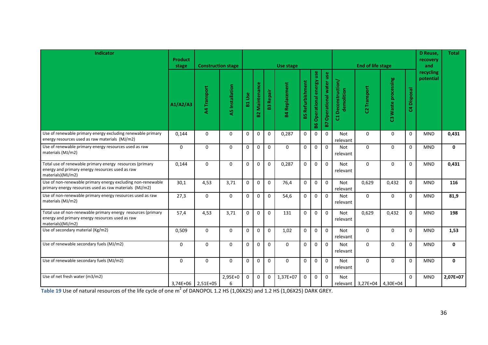| <b>Indicator</b>                                                                                                                     | <b>Product</b><br>stage | <b>Construction stage</b> |                        |              |                       |                  | Use stage             |                         |                                  |                                 |                                  | <b>End of life stage</b> |                     |             | D Reuse.<br>recovery<br>and | <b>Total</b> |
|--------------------------------------------------------------------------------------------------------------------------------------|-------------------------|---------------------------|------------------------|--------------|-----------------------|------------------|-----------------------|-------------------------|----------------------------------|---------------------------------|----------------------------------|--------------------------|---------------------|-------------|-----------------------------|--------------|
|                                                                                                                                      | A1/A2/A3                | <b>A4 Transport</b>       | <b>A5</b> Installation | B1 Use       | <b>B2 Maintenance</b> | <b>B3 Repair</b> | <b>B4 Replacement</b> | <b>B5 Refurbishment</b> | <b>B6 Operational energy use</b> | <b>B7 Operational water use</b> | C1 Deconstruction/<br>demolition | Transport<br>g.          | C3 Waste processing | C4 Disposal | recycling<br>potential      |              |
| Use of renewable primary energy excluding renewable primary<br>energy resources used as raw materials (MJ/m2)                        | 0,144                   | $\mathbf 0$               | $\mathbf 0$            | $\mathbf 0$  | $\mathbf 0$           | $\mathbf 0$      | 0,287                 | $\mathbf 0$             | $\mathbf 0$                      | $\Omega$                        | Not<br>relevant                  | $\mathbf 0$              | $\mathbf 0$         | $\mathbf 0$ | <b>MND</b>                  | 0,431        |
| Use of renewable primary energy resources used as raw<br>materials (MJ/m2)                                                           | $\mathbf{0}$            | $\mathbf 0$               | $\mathbf 0$            | $\mathbf 0$  | $\mathbf 0$           | $\mathbf 0$      | $\Omega$              | $\mathbf 0$             | $\Omega$                         | $\mathbf{0}$                    | Not<br>relevant                  | $\Omega$                 | $\mathbf 0$         | $\mathbf 0$ | <b>MND</b>                  | 0            |
| Total use of renewable primary energy resources (primary<br>energy and primary energy resources used as raw<br>materials)(MJ/m2)     | 0,144                   | $\Omega$                  | $\mathbf 0$            | $\mathbf 0$  | $\mathbf 0$           | $\mathbf 0$      | 0,287                 | $\mathbf 0$             | $\mathbf 0$                      | $\mathbf 0$                     | <b>Not</b><br>relevant           | $\Omega$                 | $\Omega$            | $\mathbf 0$ | <b>MND</b>                  | 0,431        |
| Use of non-renewable primary energy excluding non-renewable<br>primary energy resources used as raw materials (MJ/m2)                | 30,1                    | 4,53                      | 3,71                   | $\mathbf 0$  | $\mathbf 0$           | $\mathbf 0$      | 76,4                  | $\mathbf 0$             | $\mathbf 0$                      | $\mathbf{0}$                    | Not<br>relevant                  | 0,629                    | 0,432               | $\mathbf 0$ | <b>MND</b>                  | 116          |
| Use of non-renewable primary energy resources used as raw<br>materials (MJ/m2)                                                       | 27,3                    | $\Omega$                  | $\Omega$               | $\Omega$     | $\mathbf 0$           | $\mathbf 0$      | 54,6                  | $\mathbf 0$             | $\Omega$                         | $\mathbf 0$                     | Not<br>relevant                  | $\Omega$                 | $\Omega$            | $\mathbf 0$ | <b>MND</b>                  | 81,9         |
| Total use of non-renewable primary energy resources (primary<br>energy and primary energy resources used as raw<br>materials)(MJ/m2) | 57,4                    | 4,53                      | 3,71                   | $\mathbf 0$  | $\mathbf 0$           | $\Omega$         | 131                   | $\mathbf 0$             | $\Omega$                         | $\Omega$                        | <b>Not</b><br>relevant           | 0,629                    | 0.432               | $\Omega$    | <b>MND</b>                  | 198          |
| Use of secondary material (Kg/m2)                                                                                                    | 0,509                   | $\Omega$                  | $\mathbf 0$            | $\Omega$     | $\Omega$              | $\Omega$         | 1,02                  | $\mathbf 0$             | $\Omega$                         | $\Omega$                        | Not<br>relevant                  | $\Omega$                 | $\Omega$            | $\mathbf 0$ | <b>MND</b>                  | 1,53         |
| Use of renewable secondary fuels (MJ/m2)                                                                                             | $\Omega$                | $\Omega$                  | $\Omega$               | $\mathbf 0$  | $\mathbf 0$           | $\mathbf 0$      | $\Omega$              | $\mathbf 0$             | $\mathbf 0$                      | $\Omega$                        | Not<br>relevant                  | $\Omega$                 | $\Omega$            | $\mathbf 0$ | <b>MND</b>                  | $\mathbf 0$  |
| Use of renewable secondary fuels (MJ/m2)                                                                                             | $\Omega$                | $\Omega$                  | $\Omega$               | $\Omega$     | $\mathbf 0$           | $\mathbf 0$      | $\Omega$              | $\mathbf 0$             | $\Omega$                         | $\Omega$                        | Not<br>relevant                  | $\Omega$                 | $\Omega$            | $\mathbf 0$ | <b>MND</b>                  | $\mathbf{0}$ |
| Use of net fresh water (m3/m2)                                                                                                       |                         | $3,74E+06$ 2,51E+05       | 2,95E+0<br>6           | $\mathbf{0}$ | $\boldsymbol{0}$      | $\mathbf 0$      | 1,37E+07              | $\pmb{0}$               | $\mathbf 0$                      | $\mathbf 0$                     | <b>Not</b>                       | relevant 3,27E+04        | 4,30E+04            | $\Omega$    | <b>MND</b>                  | 2,07E+07     |

3,74E+06 2,51E+05 6 **Table 19** Use of natural resources of the life cycle of one m<sup>2</sup> of DANOPOL 1.2 HS (1,06X25) and 1.2 HS (1,06X25) DARK GREY.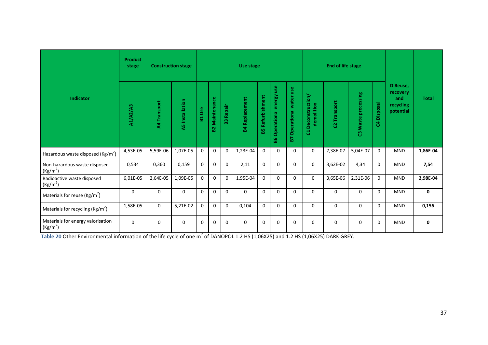|                                                           | <b>Product</b><br>stage |              | <b>Construction stage</b> |                 |                    |              | Use stage             |                    |                                           |                             |                                    | <b>End of life stage</b> |                       |               |                                                       |              |
|-----------------------------------------------------------|-------------------------|--------------|---------------------------|-----------------|--------------------|--------------|-----------------------|--------------------|-------------------------------------------|-----------------------------|------------------------------------|--------------------------|-----------------------|---------------|-------------------------------------------------------|--------------|
| Indicator                                                 | <b>A1/A2/A3</b>         | A4 Transport | <b>A5</b> Installation    | <b>Use</b><br>뷺 | Maintenance<br>ន្ល | Repair<br>23 | <b>B4 Replacement</b> | Refurbishment<br>留 | use<br>energy<br><b>Operational</b><br>86 | Operational water use<br>P. | Deconstruction/<br>demolition<br>룡 | Transport<br>ន           | Waste processing<br>ឌ | Disposal<br>3 | D Reuse,<br>recovery<br>and<br>recycling<br>potential | <b>Total</b> |
| Hazardous waste disposed (Kg/m <sup>2</sup> )             | 4,53E-05                | 5,59E-06     | 1,07E-05                  | 0               | $\mathbf 0$        | $\mathbf 0$  | 1,23E-04              | $\Omega$           | $\mathbf 0$                               | $\Omega$                    | $\mathbf 0$                        | 7,38E-07                 | 5,04E-07              | $\Omega$      | <b>MND</b>                                            | 1,86E-04     |
| Non-hazardous waste disposed<br>(Kg/m <sup>2</sup> )      | 0,534                   | 0,360        | 0,159                     | 0               | $\Omega$           | $\Omega$     | 2,11                  | $\Omega$           | $\Omega$                                  | $\Omega$                    | $\mathbf 0$                        | 3,62E-02                 | 4,34                  | $\Omega$      | <b>MND</b>                                            | 7,54         |
| Radioactive waste disposed<br>(Kg/m <sup>2</sup> )        | 6,01E-05                | 2,64E-05     | 1,09E-05                  | 0               | $\mathbf 0$        | 0            | 1,95E-04              | $\mathbf 0$        | $\mathbf 0$                               | $\mathbf 0$                 | $\mathbf 0$                        | 3,65E-06                 | 2,31E-06              | $\Omega$      | <b>MND</b>                                            | 2,98E-04     |
| Materials for reuse ( $\text{Kg/m}^2$ )                   | $\mathbf 0$             | 0            | $\Omega$                  | $\Omega$        | $\Omega$           | $\Omega$     | 0                     | $\Omega$           | $\Omega$                                  | $\Omega$                    | $\Omega$                           | $\Omega$                 | $\Omega$              | $\Omega$      | <b>MND</b>                                            | 0            |
| Materials for recycling ( $\text{Kg/m}^2$ )               | 1,58E-05                | 0            | 5,21E-02                  | 0               | $\Omega$           | $\mathbf 0$  | 0,104                 | $\mathbf 0$        | $\Omega$                                  | $\Omega$                    | $\Omega$                           | $\Omega$                 | $\mathbf 0$           | $\Omega$      | <b>MND</b>                                            | 0,156        |
| Materials for energy valorisation<br>(Kg/m <sup>2</sup> ) | $\mathbf 0$             | 0            | 0                         | 0               | $\mathbf 0$        | 0            | 0                     | 0                  | $\mathbf 0$                               | $\mathbf 0$                 | $\Omega$                           | $\Omega$                 | $\mathbf 0$           | $\Omega$      | <b>MND</b>                                            | 0            |

**Table 20** Other Environmental information of the life cycle of one  $m^2$  of DANOPOL 1.2 HS (1,06X25) and 1.2 HS (1,06X25) DARK GREY.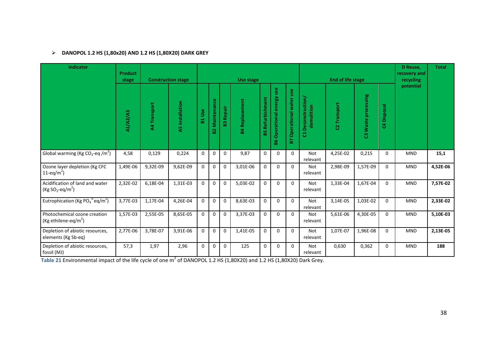# **DANOPOL 1.2 HS (1,80x20) AND 1.2 HS (1,80X20) DARK GREY**

| <b>Indicator</b>                                                 | <b>Product</b><br>stage |              | <b>Construction stage</b> |             |                   |                  | Use stage             |                    |                                  |                             |                                          | <b>End of life stage</b> |                     |             | D Reuse,<br>recovery and<br>recycling | <b>Total</b> |
|------------------------------------------------------------------|-------------------------|--------------|---------------------------|-------------|-------------------|------------------|-----------------------|--------------------|----------------------------------|-----------------------------|------------------------------------------|--------------------------|---------------------|-------------|---------------------------------------|--------------|
|                                                                  | A1/A2/A3                | A4 Transport | <b>A5</b> Installation    | Use<br>뷺    | Maintenance<br>S. | <b>B3 Repair</b> | <b>B4 Replacement</b> | Refurbishment<br>留 | use<br>Operational energy<br>န္တ | Operational water use<br>B7 | <b>Deconstruction</b><br>demolition<br>ដ | C2 Transport             | C3 Waste processing | C4 Disposal | potential                             |              |
| Global warming (Kg CO <sub>2</sub> -eq /m <sup>2</sup> )         | 4,58                    | 0,129        | 0,224                     | $\mathbf 0$ | $\mathbf 0$       | $\mathbf 0$      | 9,87                  | $\mathbf 0$        | $\mathbf 0$                      | $\mathbf 0$                 | <b>Not</b><br>relevant                   | 4,25E-02                 | 0,215               | $\mathbf 0$ | <b>MND</b>                            | 15,1         |
| Ozone layer depletion (Kg CFC<br>11-eq/m <sup>2</sup> )          | 1,49E-06                | 9,32E-09     | 9,62E-09                  | $\mathbf 0$ | 0                 | $\mathbf 0$      | 3,01E-06              | $\mathbf 0$        | $\mathbf 0$                      | $\mathbf{0}$                | Not<br>relevant                          | 2,98E-09                 | 1,57E-09            | $\Omega$    | MND                                   | 4,52E-06     |
| Acidification of land and water<br>$(Kg SO2-eq/m2)$              | 2,32E-02                | 6,18E-04     | 1,31E-03                  | $\mathbf 0$ | $\mathbf 0$       | $\mathbf 0$      | 5,03E-02              | $\mathbf 0$        | $\mathbf 0$                      | $\mathbf{0}$                | <b>Not</b><br>relevant                   | 1,33E-04                 | 1,67E-04            | $\Omega$    | <b>MND</b>                            | 7,57E-02     |
| Eutrophication (Kg $PO_4^{3.2}$ eq/m <sup>2</sup> )              | 3,77E-03                | 1,17E-04     | 4,26E-04                  | $\mathbf 0$ | $\mathbf 0$       | $\mathbf 0$      | 8,63E-03              | $\mathbf 0$        | $\mathbf 0$                      | $\Omega$                    | Not<br>relevant                          | 3,14E-05                 | 1,03E-02            | $\mathbf 0$ | <b>MND</b>                            | 2,33E-02     |
| Photochemical ozone creation<br>(Kg ethilene-eq/m <sup>2</sup> ) | 1,57E-03                | 2,55E-05     | 8,65E-05                  | $\Omega$    | $\mathbf 0$       | $\mathbf 0$      | 3,37E-03              | $\mathbf 0$        | $\mathbf 0$                      | $\Omega$                    | <b>Not</b><br>relevant                   | 5,61E-06                 | 4,30E-05            | $\Omega$    | <b>MND</b>                            | 5,10E-03     |
| Depletion of abiotic resources,<br>elements (Kg Sb-eq)           | 2,77E-06                | 3,78E-07     | 3,91E-06                  | $\mathbf 0$ | $\mathbf 0$       | $\mathbf 0$      | 1,41E-05              | $\mathbf 0$        | $\mathbf 0$                      | $\Omega$                    | Not<br>relevant                          | 1,07E-07                 | 1,96E-08            | 0           | <b>MND</b>                            | 2,13E-05     |
| Depletion of abiotic resources,<br>fossil (MJ)                   | 57,3                    | 1,97         | 2,96                      | 0           | $\mathbf 0$       | $\mathbf 0$      | 125                   | 0                  | 0                                | $\mathbf 0$                 | Not<br>relevant                          | 0,630                    | 0,362               | $\mathbf 0$ | <b>MND</b>                            | 188          |

**Table 21** Environmental impact of the life cycle of one m<sup>2</sup> of DANOPOL 1.2 HS (1,80X20) and 1.2 HS (1,80X20) Dark Grey.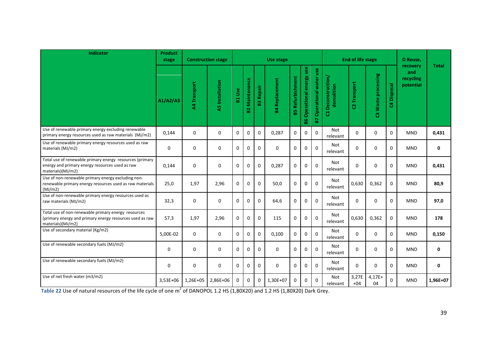| <b>Indicator</b>                                                                                                                     | <b>Product</b><br>stage | <b>Construction stage</b> |                        |               |                   |                  | Use stage             |                         |                              |                                         |                                  | <b>End of life stage</b> |                        |                | D Reuse,                                  |              |
|--------------------------------------------------------------------------------------------------------------------------------------|-------------------------|---------------------------|------------------------|---------------|-------------------|------------------|-----------------------|-------------------------|------------------------------|-----------------------------------------|----------------------------------|--------------------------|------------------------|----------------|-------------------------------------------|--------------|
|                                                                                                                                      | A1/A2/A3                | A4 Transport              | <b>A5</b> Installation | <b>B1 Use</b> | Maintenance<br>B2 | <b>B3 Repair</b> | <b>B4 Replacement</b> | <b>B5 Refurbishment</b> | Operational energy use<br>86 | Operational water use<br>$\overline{B}$ | C1 Deconstruction/<br>demolition | C2 Transport             | Waste processing<br>ၛၟ | Disposal<br>\$ | recovery<br>and<br>recycling<br>potential | <b>Total</b> |
| Use of renewable primary energy excluding renewable<br>primary energy resources used as raw materials (MJ/m2)                        | 0,144                   | $\mathbf 0$               | $\mathbf 0$            | 0             | 0                 | $\mathbf 0$      | 0,287                 | $\Omega$                | $\mathbf 0$                  | $\mathbf{0}$                            | Not<br>relevant                  | $\Omega$                 | $\Omega$               | $\Omega$       | <b>MND</b>                                | 0,431        |
| Use of renewable primary energy resources used as raw<br>materials (MJ/m2)                                                           | $\mathbf 0$             | $\mathbf 0$               | $\Omega$               | 0             | 0                 | $\Omega$         | $\Omega$              | $\Omega$                | $\Omega$                     | $\Omega$                                | Not<br>relevant                  | $\Omega$                 | $\Omega$               | $\Omega$       | <b>MND</b>                                | $\mathbf{0}$ |
| Total use of renewable primary energy resources (primary<br>energy and primary energy resources used as raw<br>materials)(MJ/m2)     | 0,144                   | $\mathbf 0$               | $\Omega$               | $\Omega$      | $\Omega$          | $\Omega$         | 0,287                 | $\Omega$                | $\Omega$                     | $\Omega$                                | Not<br>relevant                  | $\Omega$                 | $\Omega$               | $\Omega$       | <b>MND</b>                                | 0,431        |
| Use of non-renewable primary energy excluding non-<br>renewable primary energy resources used as raw materials<br>(MJ/m2)            | 25,0                    | 1,97                      | 2,96                   | 0             | 0                 | $\mathbf 0$      | 50,0                  | $\mathbf{0}$            | $\mathbf 0$                  | $\mathbf 0$                             | Not<br>relevant                  | 0,630                    | 0,362                  | $\mathbf 0$    | <b>MND</b>                                | 80,9         |
| Use of non-renewable primary energy resources used as<br>raw materials (MJ/m2)                                                       | 32,3                    | $\mathbf 0$               | $\mathbf 0$            | $\mathbf 0$   | $\Omega$          | $\Omega$         | 64,6                  | $\mathbf 0$             | $\mathbf 0$                  | $\Omega$                                | Not<br>relevant                  | $\Omega$                 | $\Omega$               | $\Omega$       | <b>MND</b>                                | 97,0         |
| Total use of non-renewable primary energy resources<br>(primary energy and primary energy resources used as raw<br>materials)(MJ/m2) | 57,3                    | 1,97                      | 2,96                   | $\Omega$      | $\Omega$          | $\Omega$         | 115                   | $\Omega$                | $\Omega$                     | $\Omega$                                | Not<br>relevant                  | 0,630                    | 0,362                  | $\mathbf{0}$   | <b>MND</b>                                | 178          |
| Use of secondary material (Kg/m2)                                                                                                    | 5,00E-02                | $\mathbf 0$               | $\mathbf 0$            | 0             | $\Omega$          | $\mathbf 0$      | 0,100                 | 0                       | $\mathbf 0$                  | $\mathbf{0}$                            | Not<br>relevant                  | $\Omega$                 | 0                      | 0              | <b>MND</b>                                | 0,150        |
| Use of renewable secondary fuels (MJ/m2)                                                                                             | $\mathbf 0$             | $\mathbf 0$               | $\mathbf 0$            | $\mathbf 0$   | $\Omega$          | $\Omega$         | $\Omega$              | $\Omega$                | $\Omega$                     | $\Omega$                                | Not<br>relevant                  | $\Omega$                 | $\Omega$               | $\Omega$       | <b>MND</b>                                | $\mathbf 0$  |
| Use of renewable secondary fuels (MJ/m2)                                                                                             | $\mathbf 0$             | $\mathbf 0$               | $\mathbf 0$            | $\mathbf 0$   | $\mathbf{0}$      | $\mathbf 0$      | $\mathbf 0$           | $\mathbf{0}$            | $\mathbf 0$                  | $\pmb{0}$                               | Not<br>relevant                  | $\Omega$                 | 0                      | $\mathbf 0$    | <b>MND</b>                                | $\mathbf 0$  |
| Use of net fresh water (m3/m2)                                                                                                       | 3,53E+06                | 1,26E+05                  | 2,86E+06               | $\Omega$      | $\Omega$          | $\Omega$         | 1,30E+07              | $\Omega$                | $\mathbf 0$                  | $\mathbf{0}$                            | <b>Not</b><br>relevant           | 3,27E<br>$+04$           | $4,17E+$<br>04         | $\Omega$       | <b>MND</b>                                | 1,96E+07     |

**Table 22** Use of natural resources of the life cycle of one m<sup>2</sup> of DANOPOL 1.2 HS (1,80X20) and 1.2 HS (1,80X20) Dark Grey.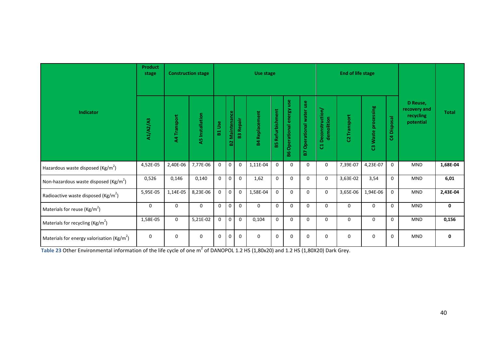|                                                       | <b>Product</b><br>stage |              | <b>Construction stage</b> |                  |                         |                  | Use stage             |                    |                              |                                       |                                    | End of life stage |                     |             |                                                    |              |
|-------------------------------------------------------|-------------------------|--------------|---------------------------|------------------|-------------------------|------------------|-----------------------|--------------------|------------------------------|---------------------------------------|------------------------------------|-------------------|---------------------|-------------|----------------------------------------------------|--------------|
| Indicator                                             | A1/A2/A3                | A4 Transport | <b>A5</b> Installation    | <b>Use</b><br>E. | <b>Maintenance</b><br>ន | <b>B3 Repair</b> | <b>B4 Replacement</b> | Refurbishment<br>뗢 | Operational energy use<br>86 | use<br><b>Operational water</b><br>P. | Deconstruction/<br>demolition<br>ರ | C2 Transport      | C3 Waste processing | C4 Disposal | D Reuse,<br>recovery and<br>recycling<br>potential | <b>Total</b> |
| Hazardous waste disposed (Kg/m <sup>2</sup> )         | 4,52E-05                | 2,40E-06     | 7,77E-06                  | $\mathbf 0$      | $\pmb{0}$               | $\mathbf 0$      | 1,11E-04              | $\mathbf 0$        | $\mathbf 0$                  | $\mathbf 0$                           | $\mathbf 0$                        | 7,39E-07          | 4,23E-07            | 0           | <b>MND</b>                                         | 1,68E-04     |
| Non-hazardous waste disposed ( $\text{Kg/m}^2$ )      | 0,526                   | 0,146        | 0,140                     | 0                | $\pmb{0}$               | $\mathbf 0$      | 1,62                  | $\Omega$           | 0                            | $\mathbf 0$                           | 0                                  | 3,63E-02          | 3,54                | 0           | <b>MND</b>                                         | 6,01         |
| Radioactive waste disposed ( $\text{Kg/m}^2$ )        | 5,95E-05                | 1,14E-05     | 8,23E-06                  | $\mathbf 0$      | $\mathbf 0$             | $\mathbf 0$      | 1,58E-04              | $\mathbf 0$        | $\mathbf 0$                  | $\mathbf 0$                           | $\mathbf 0$                        | 3,65E-06          | 1,94E-06            | $\mathbf 0$ | <b>MND</b>                                         | 2,43E-04     |
| Materials for reuse ( $\text{Kg/m}^2$ )               | $\Omega$                | $\Omega$     | $\mathbf 0$               | $\Omega$         | $\mathbf 0$             | $\mathbf{0}$     | $\mathbf{0}$          | $\Omega$           | $\Omega$                     | $\Omega$                              | $\Omega$                           | $\Omega$          | $\Omega$            | $\mathbf 0$ | <b>MND</b>                                         | $\mathbf{0}$ |
| Materials for recycling ( $\text{Kg/m}^2$ )           | 1,58E-05                | $\mathbf 0$  | 5,21E-02                  | $\mathbf 0$      | $\mathbf 0$             | $\mathbf 0$      | 0,104                 | $\mathbf{0}$       | $\mathbf 0$                  | $\mathbf 0$                           | $\mathbf{0}$                       | $\mathbf 0$       | $\Omega$            | 0           | <b>MND</b>                                         | 0,156        |
| Materials for energy valorisation ( $\text{Kg/m}^2$ ) | 0                       | $\mathbf 0$  | 0                         | $\Omega$         | $\Omega$                | $\mathbf 0$      | 0                     | $\Omega$           | $\mathbf 0$                  | $\Omega$                              | $\mathbf 0$                        | $\mathbf 0$       | $\Omega$            | 0           | <b>MND</b>                                         | 0            |

**Table 23** Other Environmental information of the life cycle of one m<sup>2</sup> of DANOPOL 1.2 HS (1,80x20) and 1.2 HS (1,80X20) Dark Grey.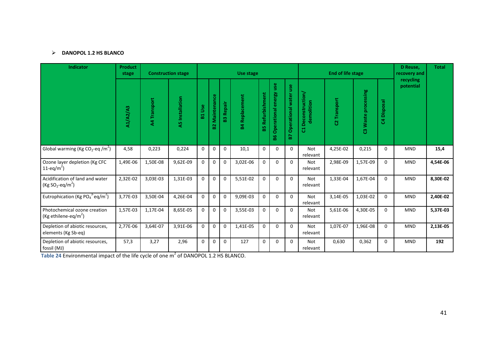# **DANOPOL 1.2 HS BLANCO**

| <b>Indicator</b>                                                                                | <b>Product</b><br>stage |              | <b>Construction stage</b> |               |                       |                  | Use stage             |                         |                                 |                             |                                          | <b>End of life stage</b> |                     |             | D Reuse,<br>recovery and | <b>Total</b> |
|-------------------------------------------------------------------------------------------------|-------------------------|--------------|---------------------------|---------------|-----------------------|------------------|-----------------------|-------------------------|---------------------------------|-----------------------------|------------------------------------------|--------------------------|---------------------|-------------|--------------------------|--------------|
|                                                                                                 | A1/A2/A3                | A4 Transport | <b>A5</b> Installation    | <b>B1 Use</b> | <b>B2 Maintenance</b> | <b>B3 Repair</b> | <b>B4 Replacement</b> | <b>B5 Refurbishment</b> | use<br>Operational energy<br>86 | Operational water use<br>B7 | <b>Deconstruction</b><br>demolition<br>ದ | C2 Transport             | C3 Waste processing | C4 Disposal | recycling<br>potential   |              |
| Global warming (Kg $CO_2$ -eq /m <sup>2</sup> )                                                 | 4,58                    | 0,223        | 0,224                     | $\mathbf{0}$  | $\mathbf 0$           | $\mathbf 0$      | 10,1                  | $\mathbf 0$             | $\mathbf 0$                     | $\Omega$                    | <b>Not</b><br>relevant                   | 4,25E-02                 | 0,215               | $\mathbf 0$ | <b>MND</b>               | 15,4         |
| Ozone layer depletion (Kg CFC<br>$11 - eq/m^2$                                                  | 1,49E-06                | 1,50E-08     | 9,62E-09                  | $\Omega$      | $\mathbf 0$           | $\mathbf 0$      | 3,02E-06              | $\mathbf 0$             | $\Omega$                        | $\Omega$                    | <b>Not</b><br>relevant                   | 2,98E-09                 | 1,57E-09            | $\Omega$    | <b>MND</b>               | 4,54E-06     |
| Acidification of land and water<br>$(Kg SO2-eq/m2)$                                             | 2,32E-02                | 3,03E-03     | 1,31E-03                  | $\mathbf{0}$  | $\mathbf 0$           | $\pmb{0}$        | 5,51E-02              | $\mathbf 0$             | $\Omega$                        | $\Omega$                    | Not<br>relevant                          | 1,33E-04                 | 1,67E-04            | $\mathbf 0$ | <b>MND</b>               | 8,30E-02     |
| Eutrophication (Kg $PO_4^{3}$ eq/m <sup>2</sup> )                                               | 3,77E-03                | 3,50E-04     | 4,26E-04                  | $\Omega$      | $\Omega$              | $\Omega$         | 9,09E-03              | $\Omega$                | $\Omega$                        | $\Omega$                    | <b>Not</b><br>relevant                   | 3,14E-05                 | 1,03E-02            | $\Omega$    | <b>MND</b>               | 2,40E-02     |
| Photochemical ozone creation<br>(Kg ethilene-eq/m <sup>2</sup> )                                | 1,57E-03                | 1,17E-04     | 8,65E-05                  | $\mathbf{0}$  | $\mathbf 0$           | $\mathbf 0$      | 3,55E-03              | $\mathbf 0$             | $\mathbf 0$                     | $\Omega$                    | <b>Not</b><br>relevant                   | 5,61E-06                 | 4,30E-05            | $\Omega$    | <b>MND</b>               | 5,37E-03     |
| Depletion of abiotic resources,<br>elements (Kg Sb-eq)                                          | 2,77E-06                | 3,64E-07     | 3,91E-06                  | $\mathbf{0}$  | $\mathbf 0$           | $\mathbf 0$      | 1,41E-05              | $\mathbf 0$             | $\mathbf 0$                     | $\Omega$                    | Not<br>relevant                          | 1,07E-07                 | 1,96E-08            | $\mathbf 0$ | <b>MND</b>               | 2,13E-05     |
| Depletion of abiotic resources,<br>fossil (MJ)                                                  | 57,3                    | 3,27         | 2,96                      | $\Omega$      | $\mathbf 0$           | $\Omega$         | 127                   | $\mathbf 0$             | $\Omega$                        | $\Omega$                    | <b>Not</b><br>relevant                   | 0,630                    | 0,362               | 0           | <b>MND</b>               | 192          |
| Table 24 Environmental impact of the life cycle of one m <sup>2</sup> of DANOPOL 1.2 HS BLANCO. |                         |              |                           |               |                       |                  |                       |                         |                                 |                             |                                          |                          |                     |             |                          |              |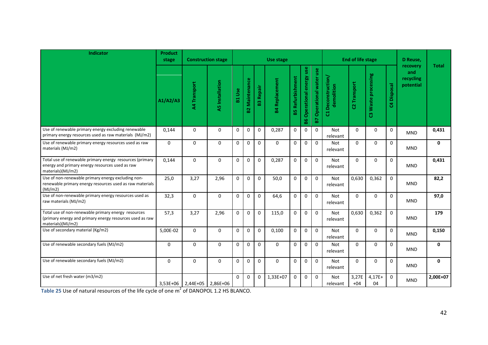| Indicator                                                                                                                            | <b>Product</b><br>stage |                                  | <b>Construction stage</b> |               |                   |                  | Use stage             |                         |                                          |                                 |                                  | <b>End of life stage</b> |                     |                                     | D Reuse,                                  |              |
|--------------------------------------------------------------------------------------------------------------------------------------|-------------------------|----------------------------------|---------------------------|---------------|-------------------|------------------|-----------------------|-------------------------|------------------------------------------|---------------------------------|----------------------------------|--------------------------|---------------------|-------------------------------------|-------------------------------------------|--------------|
|                                                                                                                                      | A1/A2/A3                | A4 Transport                     | <b>A5</b> Installation    | <b>B1 Use</b> | Maintenance<br>B2 | <b>B3 Repair</b> | <b>B4 Replacement</b> | <b>B5 Refurbishment</b> | Operational energy use<br>$\overline{8}$ | <b>B7 Operational water use</b> | C1 Deconstruction/<br>demolition | C2 Transport             | C3 Waste processing | Disposal<br>$\overline{\mathbf{a}}$ | recovery<br>and<br>recycling<br>potential | <b>Total</b> |
| Use of renewable primary energy excluding renewable<br>primary energy resources used as raw materials (MJ/m2)                        | 0,144                   | $\Omega$                         | $\Omega$                  | $\mathbf 0$   | 0                 | $\mathbf 0$      | 0,287                 | $\mathbf 0$             | $\mathbf 0$                              | $\Omega$                        | Not<br>relevant                  | $\Omega$                 | $\Omega$            | $\mathbf 0$                         | <b>MND</b>                                | 0,431        |
| Use of renewable primary energy resources used as raw<br>materials (MJ/m2)                                                           | $\mathbf 0$             | $\mathbf 0$                      | $\mathbf 0$               | $\mathbf 0$   | 0                 | $\Omega$         | $\Omega$              | $\mathbf 0$             | $\mathbf 0$                              | $\mathbf 0$                     | Not<br>relevant                  | $\Omega$                 | $\Omega$            | $\mathbf 0$                         | <b>MND</b>                                | 0            |
| Total use of renewable primary energy resources (primary<br>energy and primary energy resources used as raw<br>materials)(MJ/m2)     | 0,144                   | $\mathbf 0$                      | $\Omega$                  | $\Omega$      | $\Omega$          | $\Omega$         | 0,287                 | $\Omega$                | $\mathbf 0$                              | $\Omega$                        | <b>Not</b><br>relevant           | $\Omega$                 | $\Omega$            | $\Omega$                            | <b>MND</b>                                | 0,431        |
| Use of non-renewable primary energy excluding non-<br>renewable primary energy resources used as raw materials<br>(MJ/m2)            | 25,0                    | 3,27                             | 2,96                      | $\Omega$      | $\Omega$          | $\Omega$         | 50,0                  | $\Omega$                | $\Omega$                                 | $\Omega$                        | <b>Not</b><br>relevant           | 0,630                    | 0,362               | $\mathbf 0$                         | <b>MND</b>                                | 82,2         |
| Use of non-renewable primary energy resources used as<br>raw materials (MJ/m2)                                                       | 32,3                    | $\mathbf 0$                      | $\mathbf 0$               | $\mathbf 0$   | $\Omega$          | $\Omega$         | 64,6                  | $\Omega$                | $\mathbf 0$                              | $\mathbf 0$                     | Not<br>relevant                  | $\Omega$                 | $\Omega$            | $\mathbf 0$                         | <b>MND</b>                                | 97,0         |
| Total use of non-renewable primary energy resources<br>(primary energy and primary energy resources used as raw<br>materials)(MJ/m2) | 57,3                    | 3,27                             | 2,96                      | $\Omega$      | $\Omega$          | $\mathbf 0$      | 115,0                 | $\mathbf 0$             | $\mathbf 0$                              | $\Omega$                        | <b>Not</b><br>relevant           | 0,630                    | 0,362               | $\Omega$                            | <b>MND</b>                                | 179          |
| Use of secondary material (Kg/m2)                                                                                                    | 5,00E-02                | $\mathbf 0$                      | $\mathbf 0$               | $\mathbf 0$   | $\Omega$          | $\mathbf 0$      | 0,100                 | $\mathbf 0$             | $\mathbf 0$                              | $\mathbf{0}$                    | Not<br>relevant                  | $\Omega$                 | $\mathbf 0$         | $\mathbf 0$                         | <b>MND</b>                                | 0,150        |
| Use of renewable secondary fuels (MJ/m2)                                                                                             | $\mathbf 0$             | $\pmb{0}$                        | $\mathbf 0$               | $\mathbf 0$   | $\mathbf 0$       | $\mathbf{0}$     | $\mathbf 0$           | $\mathbf 0$             | $\mathbf 0$                              | $\mathbf{0}$                    | Not<br>relevant                  | $\Omega$                 | $\mathbf 0$         | $\mathbf{0}$                        | <b>MND</b>                                | 0            |
| Use of renewable secondary fuels (MJ/m2)                                                                                             | $\Omega$                | $\Omega$                         | $\Omega$                  | $\Omega$      | $\Omega$          | $\Omega$         | $\Omega$              | $\Omega$                | $\mathbf 0$                              | $\Omega$                        | Not<br>relevant                  | $\Omega$                 | $\Omega$            | $\mathbf 0$                         | <b>MND</b>                                | $\mathbf{0}$ |
| Use of net fresh water (m3/m2)                                                                                                       |                         | $3,53E+06$   2,44E+05   2,86E+06 |                           | $\Omega$      | $\Omega$          | $\mathbf 0$      | 1,33E+07              | $\mathbf 0$             | $\mathbf 0$                              | $\mathbf 0$                     | <b>Not</b><br>relevant           | 3,27E<br>$+04$           | $4,17E+$<br>04      | $\mathbf 0$                         | <b>MND</b>                                | 2,00E+07     |

**Table 25** Use of natural resources of the life cycle of one m<sup>2</sup> of DANOPOL 1.2 HS BLANCO.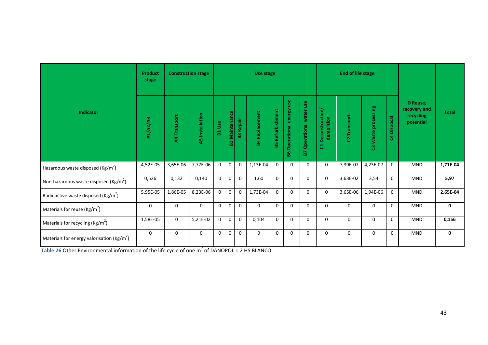|                                                       | <b>Product</b><br>stage |              | <b>Construction stage</b> |                  |                           |                  | Use stage             |                    |                              |                             |                                    | <b>End of life stage</b> |                     |             |                                                    |              |
|-------------------------------------------------------|-------------------------|--------------|---------------------------|------------------|---------------------------|------------------|-----------------------|--------------------|------------------------------|-----------------------------|------------------------------------|--------------------------|---------------------|-------------|----------------------------------------------------|--------------|
| Indicator                                             | A1/A2/A3                | A4 Transport | <b>A5</b> Installation    | <b>Use</b><br>E. | <b>Maintenance</b><br>ន្ល | <b>B3 Repair</b> | <b>B4 Replacement</b> | Refurbishment<br>盟 | Operational energy use<br>86 | Operational water use<br>P. | Deconstruction/<br>demolition<br>ರ | C2 Transport             | C3 Waste processing | C4 Disposal | D Reuse,<br>recovery and<br>recycling<br>potential | <b>Total</b> |
| Hazardous waste disposed (Kg/m <sup>2</sup> )         | 4,52E-05                | 3,65E-06     | 7,77E-06                  | $\mathbf 0$      | $\pmb{0}$                 | $\mathbf 0$      | 1,13E-04              | $\mathbf 0$        | $\mathbf 0$                  | $\mathbf 0$                 | $\mathbf 0$                        | 7,39E-07                 | 4,23E-07            | 0           | <b>MND</b>                                         | 1,71E-04     |
| Non-hazardous waste disposed ( $\text{Kg/m}^2$ )      | 0,526                   | 0,132        | 0,140                     | $\mathbf 0$      | $\mathbf 0$               | $\mathbf 0$      | 1,60                  | $\Omega$           | $\mathbf 0$                  | $\mathbf 0$                 | $\mathbf 0$                        | 3,63E-02                 | 3,54                | 0           | <b>MND</b>                                         | 5,97         |
| Radioactive waste disposed (Kg/m <sup>2</sup> )       | 5,95E-05                | 1,86E-05     | 8,23E-06                  | $\mathbf 0$      | $\pmb{0}$                 | $\mathbf 0$      | 1,73E-04              | $\mathbf 0$        | $\mathbf 0$                  | $\mathbf 0$                 | $\mathbf 0$                        | 3,65E-06                 | 1,94E-06            | 0           | <b>MND</b>                                         | 2,65E-04     |
| Materials for reuse ( $\text{Kg/m}^2$ )               | $\mathbf 0$             | $\mathbf 0$  | $\mathbf{0}$              | $\mathbf 0$      | $\mathbf 0$               | $\mathbf 0$      | $\mathbf 0$           | $\Omega$           | $\mathbf 0$                  | $\Omega$                    | $\mathbf 0$                        | $\mathbf 0$              | $\mathbf 0$         | 0           | <b>MND</b>                                         | 0            |
| Materials for recycling ( $\text{Kg/m}^2$ )           | 1,58E-05                | $\mathbf 0$  | 5,21E-02                  | $\mathbf 0$      | $\mathbf 0$               | $\mathbf 0$      | 0,104                 | $\Omega$           | $\mathbf 0$                  | $\Omega$                    | $\Omega$                           | $\mathbf 0$              | $\Omega$            | 0           | <b>MND</b>                                         | 0,156        |
| Materials for energy valorisation ( $\text{Kg/m}^2$ ) | $\mathbf 0$             | $\mathbf 0$  | $\mathbf 0$               | $\mathbf 0$      | $\mathbf 0$               | $\mathbf 0$      | $\mathbf 0$           | $\Omega$           | $\mathbf 0$                  | $\Omega$                    | $\mathbf 0$                        | 0                        | $\mathbf 0$         | 0           | <b>MND</b>                                         | 0            |

**Table 26 Other Environmental information of the life cycle of one m<sup>2</sup> of DANOPOL 1.2 HS BLANCO.**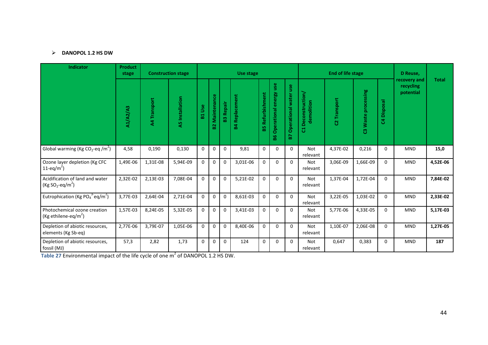# **DANOPOL 1.2 HS DW**

| <b>Indicator</b>                                                                            | <b>Product</b><br>stage |              | <b>Construction stage</b> |              |                   |                  | Use stage                     |                         |                              |                             |                                    | <b>End of life stage</b> |                     |             | D Reuse,                               |              |
|---------------------------------------------------------------------------------------------|-------------------------|--------------|---------------------------|--------------|-------------------|------------------|-------------------------------|-------------------------|------------------------------|-----------------------------|------------------------------------|--------------------------|---------------------|-------------|----------------------------------------|--------------|
|                                                                                             | A1/A2/A3                | A4 Transport | A5 Installation           | B1 Use       | Maintenance<br>53 | <b>B3 Repair</b> | Replacement<br>$\overline{a}$ | <b>B5 Refurbishment</b> | Operational energy use<br>88 | Operational water use<br>P. | Deconstruction/<br>demolition<br>ដ | C2 Transport             | C3 Waste processing | C4 Disposal | recovery and<br>recycling<br>potential | <b>Total</b> |
| Global warming (Kg CO <sub>2</sub> -eq /m <sup>2</sup> )                                    | 4,58                    | 0,190        | 0,130                     | $\mathbf 0$  | $\mathbf 0$       | $\Omega$         | 9,81                          | $\mathbf 0$             | $\mathbf 0$                  | $\Omega$                    | <b>Not</b><br>relevant             | 4,37E-02                 | 0,216               | $\mathbf 0$ | <b>MND</b>                             | 15,0         |
| Ozone layer depletion (Kg CFC<br>11-eq/m <sup>2</sup> )                                     | 1,49E-06                | 1,31E-08     | 5,94E-09                  | $\mathbf 0$  | $\mathbf 0$       | $\mathbf 0$      | 3,01E-06                      | $\mathbf 0$             | $\mathbf{0}$                 | $\Omega$                    | <b>Not</b><br>relevant             | 3,06E-09                 | 1,66E-09            | $\mathbf 0$ | <b>MND</b>                             | 4,52E-06     |
| Acidification of land and water<br>(Kg SO <sub>2</sub> -eq/m <sup>2</sup> )                 | 2,32E-02                | 2,13E-03     | 7,08E-04                  | $\mathbf{0}$ | $\pmb{0}$         | $\mathbf 0$      | 5,21E-02                      | $\mathbf 0$             | $\mathbf 0$                  | $\Omega$                    | Not<br>relevant                    | 1,37E-04                 | 1,72E-04            | $\mathbf 0$ | <b>MND</b>                             | 7,84E-02     |
| Eutrophication (Kg PO <sub>4</sub> <sup>3-</sup> eq/m <sup>2</sup> )                        | 3,77E-03                | 2,64E-04     | 2,71E-04                  | $\Omega$     | $\mathbf 0$       | $\Omega$         | 8,61E-03                      | $\Omega$                | $\Omega$                     | $\Omega$                    | <b>Not</b><br>relevant             | 3,22E-05                 | 1,03E-02            | $\Omega$    | <b>MND</b>                             | 2,33E-02     |
| Photochemical ozone creation<br>(Kg ethilene-eq/m <sup>2</sup> )                            | 1,57E-03                | 8,24E-05     | 5,32E-05                  | $\mathbf 0$  | $\mathbf 0$       | $\mathbf 0$      | 3,41E-03                      | $\mathbf 0$             | $\mathbf 0$                  | $\Omega$                    | <b>Not</b><br>relevant             | 5,77E-06                 | 4,33E-05            | $\mathbf 0$ | <b>MND</b>                             | 5,17E-03     |
| Depletion of abiotic resources,<br>elements (Kg Sb-eq)                                      | 2,77E-06                | 3,79E-07     | 1,05E-06                  | $\Omega$     | $\mathbf 0$       | $\mathbf 0$      | 8,40E-06                      | $\mathbf 0$             | $\Omega$                     | $\Omega$                    | <b>Not</b><br>relevant             | 1,10E-07                 | 2,06E-08            | $\mathbf 0$ | <b>MND</b>                             | 1,27E-05     |
| Depletion of abiotic resources,<br>fossil (MJ)                                              | 57,3                    | 2,82         | 1,73                      | $\Omega$     | $\mathbf 0$       | $\Omega$         | 124                           | $\mathbf 0$             | $\Omega$                     | $\Omega$                    | <b>Not</b><br>relevant             | 0,647                    | 0,383               | $\mathbf 0$ | <b>MND</b>                             | 187          |
| Table 27 Environmental impact of the life cycle of one m <sup>2</sup> of DANOPOL 1.2 HS DW. |                         |              |                           |              |                   |                  |                               |                         |                              |                             |                                    |                          |                     |             |                                        |              |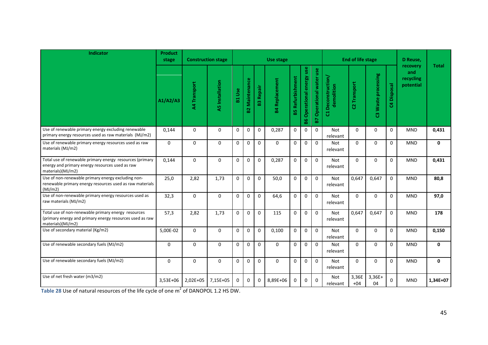| Indicator                                                                                                                            | <b>Product</b><br>stage |              | <b>Construction stage</b> |               |                       |                  | Use stage             |                         |                              |                                 |                                  | <b>End of life stage</b> |                        |                | D Reuse,                                  |              |
|--------------------------------------------------------------------------------------------------------------------------------------|-------------------------|--------------|---------------------------|---------------|-----------------------|------------------|-----------------------|-------------------------|------------------------------|---------------------------------|----------------------------------|--------------------------|------------------------|----------------|-------------------------------------------|--------------|
|                                                                                                                                      | A1/A2/A3                | A4 Transport | <b>A5</b> Installation    | <b>B1 Use</b> | <b>B2 Maintenance</b> | <b>B3 Repair</b> | <b>B4 Replacement</b> | <b>B5 Refurbishment</b> | Operational energy use<br>98 | <b>B7 Operational water use</b> | C1 Deconstruction/<br>demolition | C2 Transport             | Waste processing<br>ၛၟ | Disposal<br>\$ | recovery<br>and<br>recycling<br>potential | <b>Total</b> |
| Use of renewable primary energy excluding renewable<br>primary energy resources used as raw materials (MJ/m2)                        | 0.144                   | $\Omega$     | $\Omega$                  | $\mathbf 0$   | $\Omega$              | $\mathbf 0$      | 0,287                 | $\mathbf 0$             | $\mathbf 0$                  | $\Omega$                        | <b>Not</b><br>relevant           | $\Omega$                 | $\Omega$               | $\Omega$       | <b>MND</b>                                | 0,431        |
| Use of renewable primary energy resources used as raw<br>materials (MJ/m2)                                                           | $\mathbf 0$             | $\mathbf 0$  | $\mathbf{0}$              | $\mathbf 0$   | $\mathbf 0$           | $\mathbf 0$      | $\Omega$              | $\mathbf 0$             | $\mathbf 0$                  | $\mathbf 0$                     | Not<br>relevant                  | $\Omega$                 | $\Omega$               | $\Omega$       | <b>MND</b>                                | $\mathbf 0$  |
| Total use of renewable primary energy resources (primary<br>energy and primary energy resources used as raw<br>materials)(MJ/m2)     | 0,144                   | $\mathbf{0}$ | $\Omega$                  | $\Omega$      | $\Omega$              | $\Omega$         | 0,287                 | $\Omega$                | $\Omega$                     | $\Omega$                        | <b>Not</b><br>relevant           | $\Omega$                 | $\Omega$               | $\Omega$       | <b>MND</b>                                | 0,431        |
| Use of non-renewable primary energy excluding non-<br>renewable primary energy resources used as raw materials<br>(MJ/m2)            | 25,0                    | 2,82         | 1,73                      | $\Omega$      | $\Omega$              | $\Omega$         | 50.0                  | $\Omega$                | $\Omega$                     | $\Omega$                        | <b>Not</b><br>relevant           | 0,647                    | 0.647                  | $\Omega$       | <b>MND</b>                                | 80,8         |
| Use of non-renewable primary energy resources used as<br>raw materials (MJ/m2)                                                       | 32,3                    | $\mathbf 0$  | $\Omega$                  | $\Omega$      | $\Omega$              | $\Omega$         | 64,6                  | $\mathbf 0$             | $\mathbf 0$                  | $\mathbf 0$                     | Not<br>relevant                  | $\Omega$                 | $\Omega$               | $\Omega$       | <b>MND</b>                                | 97,0         |
| Total use of non-renewable primary energy resources<br>(primary energy and primary energy resources used as raw<br>materials)(MJ/m2) | 57,3                    | 2,82         | 1,73                      | $\Omega$      | $\Omega$              | $\Omega$         | 115                   | $\Omega$                | $\mathbf 0$                  | $\Omega$                        | <b>Not</b><br>relevant           | 0.647                    | 0.647                  | $\Omega$       | <b>MND</b>                                | 178          |
| Use of secondary material (Kg/m2)                                                                                                    | 5,00E-02                | $\mathbf 0$  | $\mathbf 0$               | $\mathbf 0$   | $\mathbf 0$           | $\mathbf 0$      | 0.100                 | $\mathbf 0$             | $\mathbf 0$                  | $\mathbf 0$                     | <b>Not</b><br>relevant           | $\Omega$                 | 0                      | $\Omega$       | <b>MND</b>                                | 0,150        |
| Use of renewable secondary fuels (MJ/m2)                                                                                             | $\mathbf 0$             | $\mathbf 0$  | $\mathbf{0}$              | $\mathbf 0$   | $\mathbf 0$           | $\mathbf 0$      | $\Omega$              | $\mathbf{0}$            | $\mathbf 0$                  | $\mathbf 0$                     | <b>Not</b><br>relevant           | $\Omega$                 | 0                      | $\mathbf{0}$   | <b>MND</b>                                | $\mathbf 0$  |
| Use of renewable secondary fuels (MJ/m2)                                                                                             | $\Omega$                | $\mathbf 0$  | $\Omega$                  | $\Omega$      | $\Omega$              | $\Omega$         | $\Omega$              | $\Omega$                | $\mathbf 0$                  | $\Omega$                        | <b>Not</b><br>relevant           | $\Omega$                 | $\Omega$               | $\Omega$       | <b>MND</b>                                | $\mathbf{0}$ |
| Use of net fresh water (m3/m2)                                                                                                       | 3,53E+06                | 2,02E+05     | 7,15E+05                  | $\Omega$      | $\Omega$              | 0                | 8,89E+06              | $\Omega$                | $\mathbf 0$                  | $\Omega$                        | <b>Not</b><br>relevant           | 3,36E<br>$+04$           | $3,36E+$<br>04         | $\Omega$       | <b>MND</b>                                | 1,34E+07     |

**Table 28** Use of natural resources of the life cycle of one m<sup>2</sup> of DANOPOL 1.2 HS DW.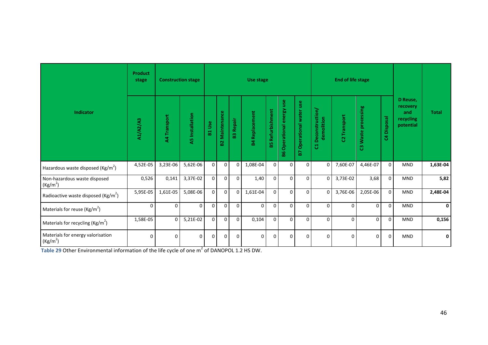|                                                           | <b>Product</b><br>stage | <b>Construction stage</b> |                        |                |                    |                  | Use stage             |                    |                              |                             |                                  | <b>End of life stage</b> |                     |                |                                                       |              |
|-----------------------------------------------------------|-------------------------|---------------------------|------------------------|----------------|--------------------|------------------|-----------------------|--------------------|------------------------------|-----------------------------|----------------------------------|--------------------------|---------------------|----------------|-------------------------------------------------------|--------------|
| Indicator                                                 | A1/A2/A3                | A4 Transport              | <b>A5</b> Installation | <b>Se</b><br>룲 | Maintenance<br>ន្ល | <b>B3 Repair</b> | <b>B4 Replacement</b> | Refurbishment<br>ѩ | Operational energy use<br>86 | Operational water use<br>29 | C1 Deconstruction/<br>demolition | C2 Transport             | C3 Waste processing | Disposal<br>\$ | D Reuse,<br>recovery<br>and<br>recycling<br>potential | <b>Total</b> |
| Hazardous waste disposed (Kg/m <sup>2</sup> )             | $4,52E-05$              | 3,23E-06                  | $5,62E-06$             | $\mathbf{0}$   | $\mathbf 0$        | $\Omega$         | 1,08E-04              | $\mathbf 0$        | $\mathbf 0$                  | $\mathbf 0$                 | $\overline{0}$                   | 7,60E-07                 | 4,46E-07            | $\Omega$       | <b>MND</b>                                            | 1,63E-04     |
| Non-hazardous waste disposed<br>(Kg/m <sup>2</sup> )      | 0,526                   | 0,141                     | 3,37E-02               | $\mathbf{0}$   | $\mathbf 0$        | $\Omega$         | 1,40                  | $\Omega$           | $\mathbf 0$                  | $\mathbf 0$                 | $\overline{0}$                   | 3,73E-02                 | 3,68                | $\Omega$       | <b>MND</b>                                            | 5,82         |
| Radioactive waste disposed ( $\text{Kg/m}^2$ )            | 5,95E-05                | 1,61E-05                  | 5,08E-06               | $\mathbf 0$    | $\mathbf 0$        | $\Omega$         | 1,61E-04              | $\Omega$           | $\mathbf 0$                  | $\mathbf 0$                 | $\mathbf 0$                      | 3,76E-06                 | 2,05E-06            | $\Omega$       | <b>MND</b>                                            | 2,48E-04     |
| Materials for reuse ( $\text{Kg/m}^2$ )                   | $\Omega$                | $\mathbf 0$               | $\Omega$               | $\mathbf 0$    | $\mathbf 0$        | $\Omega$         | $\Omega$              | $\Omega$           | $\mathbf 0$                  | $\mathbf 0$                 | $\mathbf{0}$                     | $\Omega$                 | $\Omega$            | $\mathbf 0$    | <b>MND</b>                                            | 0            |
| Materials for recycling ( $\text{Kg/m}^2$ )               | 1,58E-05                | $\mathbf 0$               | 5,21E-02               | $\mathbf 0$    | $\mathbf 0$        | $\Omega$         | 0,104                 | $\Omega$           | $\mathbf 0$                  | $\mathbf 0$                 | $\mathbf 0$                      | $\Omega$                 | 0                   | $\Omega$       | <b>MND</b>                                            | 0,156        |
| Materials for energy valorisation<br>(Kg/m <sup>2</sup> ) | $\Omega$                | $\Omega$                  | $\Omega$               | $\Omega$       | $\Omega$           | ∩                | $\Omega$              | $\Omega$           | $\Omega$                     | $\Omega$                    | $\Omega$                         | $\Omega$                 | 0                   | $\Omega$       | <b>MND</b>                                            | 0            |

Table 29 Other Environmental information of the life cycle of one m<sup>2</sup> of DANOPOL 1.2 HS DW.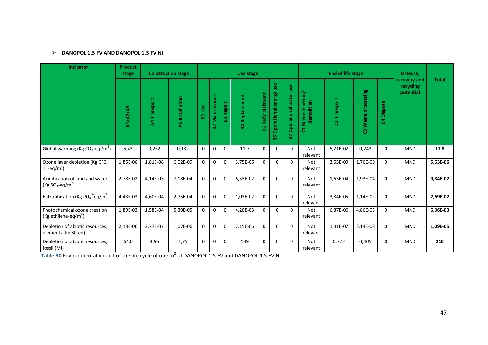# **DANOPOL 1.5 FV AND DANOPOL 1.5 FV NI**

| <b>Indicator</b>                                                                                               | <b>Product</b><br>stage |              | <b>Construction stage</b> |               |                   |                  | Use stage             |                         |                              |                             |                                    | <b>End of life stage</b> |                     |             | D Reuse,                               |              |
|----------------------------------------------------------------------------------------------------------------|-------------------------|--------------|---------------------------|---------------|-------------------|------------------|-----------------------|-------------------------|------------------------------|-----------------------------|------------------------------------|--------------------------|---------------------|-------------|----------------------------------------|--------------|
|                                                                                                                | A1/A2/A3                | A4 Transport | <b>A5</b> Installation    | <b>B1 Use</b> | Maintenance<br>82 | <b>B3 Repair</b> | <b>B4 Replacement</b> | <b>B5 Refurbishment</b> | Operational energy use<br>86 | Operational water use<br>P. | Deconstruction/<br>demolition<br>ದ | C2 Transport             | C3 Waste processing | C4 Disposal | recovery and<br>recycling<br>potential | <b>Total</b> |
| Global warming (Kg CO <sub>2</sub> -eq /m <sup>2</sup> )                                                       | 5,43                    | 0,272        | 0,132                     | $\mathbf 0$   | $\mathbf 0$       | $\mathbf 0$      | 11,7                  | $\mathbf 0$             | $\mathbf 0$                  | $\Omega$                    | <b>Not</b><br>relevant             | 5,21E-02                 | 0,243               | $\mathbf 0$ | <b>MND</b>                             | 17,8         |
| Ozone layer depletion (Kg CFC<br>11-eq/m <sup>2</sup> )                                                        | 1,85E-06                | 1,81E-08     | 6,02E-09                  | $\Omega$      | $\mathbf 0$       | $\mathbf 0$      | 3,75E-06              | $\Omega$                | $\Omega$                     | $\Omega$                    | <b>Not</b><br>relevant             | 3,65E-09                 | 1,76E-09            | $\mathbf 0$ | <b>MND</b>                             | 5,63E-06     |
| Acidification of land and water<br>(Kg SO <sub>2</sub> -eq/m <sup>2</sup> )                                    | 2,78E-02                | 4,14E-03     | 7,18E-04                  | $\mathbf 0$   | $\mathbf 0$       | $\mathbf 0$      | 6,53E-02              | $\mathbf{0}$            | $\Omega$                     | $\Omega$                    | <b>Not</b><br>relevant             | 1,63E-04                 | 1,93E-04            | $\mathbf 0$ | <b>MND</b>                             | 9,84E-02     |
| Eutrophication (Kg PO <sub>4</sub> <sup>3-</sup> eq/m <sup>2</sup> )                                           | 4,43E-03                | 4,60E-04     | 2,75E-04                  | $\mathbf 0$   | $\mathbf 0$       | $\mathbf 0$      | 1,03E-02              | $\mathbf 0$             | $\mathbf 0$                  | $\Omega$                    | <b>Not</b><br>relevant             | 3,84E-05                 | 1,14E-02            | $\mathbf 0$ | <b>MND</b>                             | 2,69E-02     |
| Photochemical ozone creation<br>(Kg ethilene-eq/m <sup>2</sup> )                                               | 1,89E-03                | 1,58E-04     | 5,39E-05                  | $\Omega$      | $\mathbf 0$       | $\mathbf 0$      | 4,20E-03              | $\Omega$                | $\mathbf{0}$                 | $\Omega$                    | <b>Not</b><br>relevant             | 6,87E-06                 | 4,86E-05            | $\Omega$    | <b>MND</b>                             | 6,36E-03     |
| Depletion of abiotic resources,<br>elements (Kg Sb-eq)                                                         | 2,13E-06                | 3,77E-07     | 1,07E-06                  | $\mathbf 0$   | $\mathbf 0$       | $\mathbf 0$      | 7,15E-06              | $\mathbf 0$             | $\mathbf 0$                  | $\Omega$                    | Not<br>relevant                    | 1,31E-07                 | 2,14E-08            | $\mathbf 0$ | <b>MND</b>                             | 1,09E-05     |
| Depletion of abiotic resources,<br>fossil (MJ)                                                                 | 64,0                    | 3,96         | 1,75                      | $\mathbf{0}$  | $\mathbf 0$       | $\mathbf 0$      | 139                   | $\mathbf 0$             | $\Omega$                     | $\Omega$                    | <b>Not</b><br>relevant             | 0,772                    | 0,405               | $\mathbf 0$ | <b>MND</b>                             | 210          |
| Table 30 Environmental impact of the life cycle of one m <sup>2</sup> of DANOPOL 1.5 FV and DANOPOL 1.5 FV NI. |                         |              |                           |               |                   |                  |                       |                         |                              |                             |                                    |                          |                     |             |                                        |              |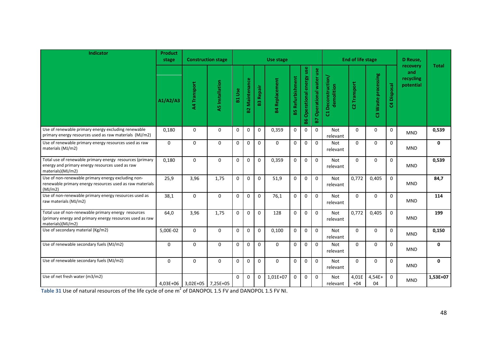| Indicator                                                                                                                            | <b>Product</b><br>stage |                     | <b>Construction stage</b> |               |                       |                  | Use stage             |                         |                              |                                 |                                  | <b>End of life stage</b> |                        |                | D Reuse,                                  |              |
|--------------------------------------------------------------------------------------------------------------------------------------|-------------------------|---------------------|---------------------------|---------------|-----------------------|------------------|-----------------------|-------------------------|------------------------------|---------------------------------|----------------------------------|--------------------------|------------------------|----------------|-------------------------------------------|--------------|
|                                                                                                                                      | A1/A2/A3                | A4 Transport        | <b>A5</b> Installation    | <b>B1 Use</b> | <b>B2 Maintenance</b> | <b>B3 Repair</b> | <b>B4 Replacement</b> | <b>B5 Refurbishment</b> | Operational energy use<br>98 | <b>B7 Operational water use</b> | C1 Deconstruction/<br>demolition | C2 Transport             | Waste processing<br>ၛၟ | Disposal<br>\$ | recovery<br>and<br>recycling<br>potential | <b>Total</b> |
| Use of renewable primary energy excluding renewable<br>primary energy resources used as raw materials (MJ/m2)                        | 0.180                   | $\Omega$            | $\Omega$                  | $\mathbf 0$   | $\Omega$              | $\mathbf 0$      | 0,359                 | $\mathbf 0$             | $\mathbf 0$                  | $\Omega$                        | <b>Not</b><br>relevant           | $\Omega$                 | $\Omega$               | $\Omega$       | <b>MND</b>                                | 0,539        |
| Use of renewable primary energy resources used as raw<br>materials (MJ/m2)                                                           | $\mathbf 0$             | 0                   | $\mathbf{0}$              | $\mathbf 0$   | $\mathbf 0$           | $\mathbf 0$      | $\Omega$              | $\mathbf 0$             | $\mathbf 0$                  | $\mathbf 0$                     | Not<br>relevant                  | $\Omega$                 | $\Omega$               | 0              | <b>MND</b>                                | $\mathbf 0$  |
| Total use of renewable primary energy resources (primary<br>energy and primary energy resources used as raw<br>materials)(MJ/m2)     | 0,180                   | $\mathbf{0}$        | $\Omega$                  | $\Omega$      | $\Omega$              | $\Omega$         | 0,359                 | $\Omega$                | $\Omega$                     | $\Omega$                        | <b>Not</b><br>relevant           | $\Omega$                 | $\Omega$               | $\Omega$       | <b>MND</b>                                | 0,539        |
| Use of non-renewable primary energy excluding non-<br>renewable primary energy resources used as raw materials<br>(MJ/m2)            | 25,9                    | 3,96                | 1,75                      | $\Omega$      | $\Omega$              | $\Omega$         | 51,9                  | $\Omega$                | $\mathbf 0$                  | $\Omega$                        | <b>Not</b><br>relevant           | 0,772                    | 0,405                  | $\Omega$       | <b>MND</b>                                | 84,7         |
| Use of non-renewable primary energy resources used as<br>raw materials (MJ/m2)                                                       | 38,1                    | $\mathbf 0$         | $\Omega$                  | $\Omega$      | $\Omega$              | $\mathbf 0$      | 76,1                  | $\mathbf 0$             | $\mathbf 0$                  | $\mathbf 0$                     | <b>Not</b><br>relevant           | $\Omega$                 | $\Omega$               | $\mathbf 0$    | <b>MND</b>                                | 114          |
| Total use of non-renewable primary energy resources<br>(primary energy and primary energy resources used as raw<br>materials)(MJ/m2) | 64,0                    | 3,96                | 1,75                      | $\mathbf 0$   | $\Omega$              | $\Omega$         | 128                   | $\Omega$                | $\mathbf 0$                  | $\Omega$                        | <b>Not</b><br>relevant           | 0,772                    | 0,405                  | $\Omega$       | <b>MND</b>                                | 199          |
| Use of secondary material (Kg/m2)                                                                                                    | 5,00E-02                | $\mathbf 0$         | $\mathbf 0$               | $\mathbf 0$   | $\mathbf 0$           | $\mathbf 0$      | 0.100                 | $\mathbf 0$             | $\mathbf 0$                  | $\mathbf 0$                     | <b>Not</b><br>relevant           | $\Omega$                 | 0                      | $\Omega$       | <b>MND</b>                                | 0,150        |
| Use of renewable secondary fuels (MJ/m2)                                                                                             | $\mathbf 0$             | $\mathbf 0$         | $\mathbf{0}$              | $\mathbf 0$   | $\mathbf 0$           | $\mathbf 0$      | $\mathbf 0$           | $\mathbf{0}$            | $\mathbf 0$                  | $\mathbf 0$                     | Not<br>relevant                  | $\Omega$                 | 0                      | $\mathbf{0}$   | <b>MND</b>                                | $\mathbf 0$  |
| Use of renewable secondary fuels (MJ/m2)                                                                                             | $\Omega$                | $\Omega$            | $\Omega$                  | $\Omega$      | $\Omega$              | $\Omega$         | $\Omega$              | $\Omega$                | $\mathbf 0$                  | $\Omega$                        | <b>Not</b><br>relevant           | $\Omega$                 | $\Omega$               | $\Omega$       | <b>MND</b>                                | $\mathbf{0}$ |
| Use of net fresh water (m3/m2)                                                                                                       |                         | $4,03E+06$ 3,02E+05 | 7,25E+05                  | $\Omega$      | $\Omega$              | $\mathbf 0$      | 1,01E+07              | $\mathbf 0$             | $\mathbf 0$                  | $\mathbf 0$                     | Not<br>relevant                  | 4,01E<br>$+04$           | $4,54E+$<br>04         | $\Omega$       | <b>MND</b>                                | 1,53E+07     |

**Table 31** Use of natural resources of the life cycle of one  $m^2$  of DANOPOL 1.5 FV and DANOPOL 1.5 FV NI.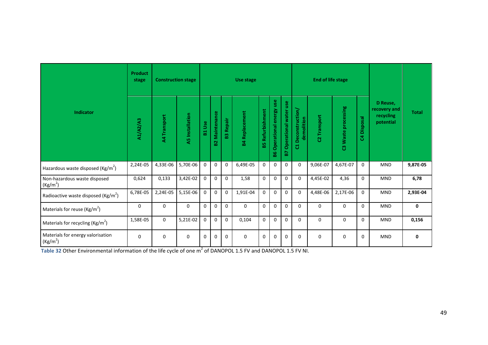|                                                           | <b>Product</b><br>stage | <b>Construction stage</b> |                        |              |                               |                  | Use stage             |                    |                                 |                                   |                                    | <b>End of life stage</b> |                     |                                            |                                                    |              |
|-----------------------------------------------------------|-------------------------|---------------------------|------------------------|--------------|-------------------------------|------------------|-----------------------|--------------------|---------------------------------|-----------------------------------|------------------------------------|--------------------------|---------------------|--------------------------------------------|----------------------------------------------------|--------------|
| Indicator                                                 | A1/A2/A3                | A4 Transport              | <b>A5</b> Installation | <b>B1Use</b> | Maintenance<br>B <sub>2</sub> | <b>B3 Repair</b> | <b>34 Replacement</b> | Refurbishment<br>ѩ | use<br>Operational energy<br>86 | use<br>water<br>Operational<br>B7 | Deconstruction/<br>demolition<br>đ | 2 Transport              | C3 Waste processing | <b>Disposal</b><br>$\overline{\mathbf{S}}$ | D Reuse,<br>recovery and<br>recycling<br>potential | <b>Total</b> |
| Hazardous waste disposed (Kg/m <sup>2</sup> )             | 2,24E-05                | 4,33E-06                  | 5,70E-06               | $\mathbf 0$  | $\mathbf 0$                   | $\mathbf 0$      | 6,49E-05              | $\mathbf 0$        | $\mathbf 0$                     | $\mathbf{0}$                      | $\mathbf 0$                        | 9,06E-07                 | 4,67E-07            | $\mathbf 0$                                | <b>MND</b>                                         | 9,87E-05     |
| Non-hazardous waste disposed<br>(Kg/m <sup>2</sup> )      | 0,624                   | 0,133                     | 3,42E-02               | $\mathbf 0$  | $\mathbf 0$                   | $\Omega$         | 1,58                  | $\Omega$           | $\mathbf 0$                     | $\Omega$                          | $\mathbf 0$                        | 4,45E-02                 | 4,36                | $\Omega$                                   | <b>MND</b>                                         | 6,78         |
| Radioactive waste disposed (Kg/m <sup>2</sup> )           | 6,78E-05                | 2,24E-05                  | 5,15E-06               | $\mathbf 0$  | $\mathbf 0$                   | $\mathbf 0$      | 1,91E-04              | $\Omega$           | $\Omega$                        | $\Omega$                          | $\Omega$                           | 4,48E-06                 | 2,17E-06            | $\mathbf 0$                                | <b>MND</b>                                         | 2,93E-04     |
| Materials for reuse ( $\text{Kg/m}^2$ )                   | $\Omega$                | $\Omega$                  | $\Omega$               | $\Omega$     | $\Omega$                      | $\Omega$         | 0                     | $\Omega$           | $\Omega$                        | $\Omega$                          | $\Omega$                           | $\Omega$                 | $\Omega$            | $\Omega$                                   | <b>MND</b>                                         | 0            |
| Materials for recycling ( $\text{Kg/m}^2$ )               | 1,58E-05                | 0                         | 5,21E-02               | $\mathbf{0}$ | $\mathbf{0}$                  | $\Omega$         | 0,104                 | $\Omega$           | $\Omega$                        | $\Omega$                          | $\Omega$                           | $\Omega$                 | $\Omega$            | $\Omega$                                   | <b>MND</b>                                         | 0,156        |
| Materials for energy valorisation<br>(Kg/m <sup>2</sup> ) | $\Omega$                | 0                         | $\mathbf 0$            | $\mathbf 0$  | $\mathbf 0$                   | $\Omega$         | 0                     | $\Omega$           | 0                               | $\Omega$                          | $\Omega$                           | $\mathbf 0$              | $\mathbf 0$         | $\Omega$                                   | <b>MND</b>                                         | 0            |

**Table 32 Other Environmental information of the life cycle of one m<sup>2</sup> of DANOPOL 1.5 FV and DANOPOL 1.5 FV NI.**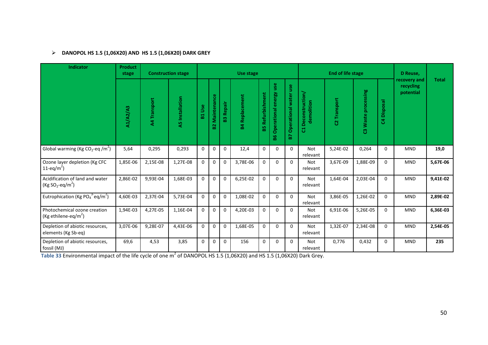# **DANOPOL HS 1.5 (1,06X20) AND HS 1.5 (1,06X20) DARK GREY**

| Indicator                                                            | <b>Product</b><br>stage |              | <b>Construction stage</b> |              |                   |              | <b>Use stage</b>      |                     |                                 |                                |                                    | <b>End of life stage</b> |                     |                       | D Reuse,                               |              |
|----------------------------------------------------------------------|-------------------------|--------------|---------------------------|--------------|-------------------|--------------|-----------------------|---------------------|---------------------------------|--------------------------------|------------------------------------|--------------------------|---------------------|-----------------------|----------------------------------------|--------------|
|                                                                      | A1/A2/A3                | A4 Transport | A5 Installation           | Use<br>E.    | Maintenance<br>82 | Repair<br>23 | <b>B4 Replacement</b> | Refurbishment<br>59 | use<br>Operational energy<br>98 | use<br>Operational water<br>P. | Deconstruction/<br>demolition<br>ដ | <b>C2</b> Transport      | C3 Waste processing | Disposal<br>$\bar{5}$ | recovery and<br>recycling<br>potential | <b>Total</b> |
| Global warming (Kg CO <sub>2</sub> -eq /m <sup>2</sup> )             | 5,64                    | 0,295        | 0,293                     | $\mathbf{0}$ | $\mathbf 0$       | $\mathbf 0$  | 12,4                  | $\mathbf 0$         | $\Omega$                        | $\Omega$                       | Not<br>relevant                    | 5,24E-02                 | 0,264               | $\Omega$              | <b>MND</b>                             | 19,0         |
| Ozone layer depletion (Kg CFC<br>$11 - eq/m^2$                       | 1,85E-06                | 2,15E-08     | 1,27E-08                  | $\mathbf{0}$ | $\mathbf 0$       | $\mathbf 0$  | 3,78E-06              | $\mathbf 0$         | $\Omega$                        | $\Omega$                       | <b>Not</b><br>relevant             | 3,67E-09                 | 1,88E-09            | $\Omega$              | MND                                    | 5,67E-06     |
| Acidification of land and water<br>$(Kg SO2-eq/m2)$                  | 2,86E-02                | 9,93E-04     | 1,68E-03                  | $\Omega$     | $\mathbf 0$       | $\mathbf 0$  | 6,25E-02              | $\mathbf{0}$        | $\Omega$                        | $\Omega$                       | <b>Not</b><br>relevant             | 1,64E-04                 | 2,03E-04            | $\Omega$              | MND                                    | 9,41E-02     |
| Eutrophication (Kg PO <sub>4</sub> <sup>3-</sup> eq/m <sup>2</sup> ) | 4,60E-03                | 2,37E-04     | 5,73E-04                  | $\mathbf{0}$ | $\mathbf 0$       | $\mathbf 0$  | 1,08E-02              | $\Omega$            | $\Omega$                        | $\Omega$                       | <b>Not</b><br>relevant             | 3,86E-05                 | 1,26E-02            | $\Omega$              | <b>MND</b>                             | 2,89E-02     |
| Photochemical ozone creation<br>(Kg ethilene-eq/m <sup>2</sup> )     | 1,94E-03                | 4,27E-05     | 1,16E-04                  | $\Omega$     | $\mathbf 0$       | $\mathbf 0$  | 4,20E-03              | $\mathbf{0}$        | $\Omega$                        | $\Omega$                       | Not<br>relevant                    | 6,91E-06                 | 5,26E-05            | $\Omega$              | <b>MND</b>                             | 6,36E-03     |
| Depletion of abiotic resources,<br>elements (Kg Sb-eq)               | 3,07E-06                | 9,28E-07     | 4,43E-06                  | $\mathbf{0}$ | $\mathbf 0$       | $\mathbf 0$  | 1,68E-05              | $\mathbf 0$         | $\mathbf 0$                     | $\Omega$                       | <b>Not</b><br>relevant             | 1,32E-07                 | 2,34E-08            | $\Omega$              | <b>MND</b>                             | 2,54E-05     |
| Depletion of abiotic resources,<br>fossil (MJ)                       | 69,6                    | 4,53         | 3,85                      | $\Omega$     | $\mathbf 0$       | $\Omega$     | 156                   | $\mathbf 0$         | $\Omega$                        | $\Omega$                       | <b>Not</b><br>relevant             | 0,776                    | 0,432               | $\Omega$              | <b>MND</b>                             | 235          |

**Table 33** Environmental impact of the life cycle of one m<sup>2</sup> of DANOPOL HS 1.5 (1,06X20) and HS 1.5 (1,06X20) Dark Grey.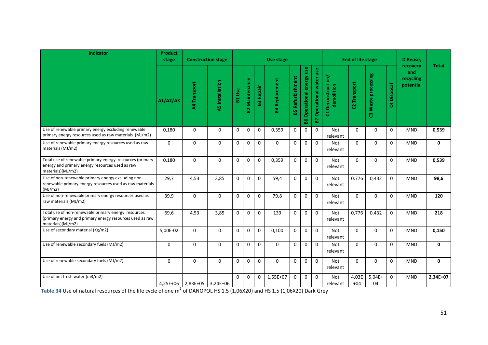| Indicator                                                                                                                            | <b>Product</b><br>stage |                            | <b>Construction stage</b> |               |                       |                  | Use stage             |                         |                              |                                 |                                  | <b>End of life stage</b> |                     |                | D Reuse,                                  |              |
|--------------------------------------------------------------------------------------------------------------------------------------|-------------------------|----------------------------|---------------------------|---------------|-----------------------|------------------|-----------------------|-------------------------|------------------------------|---------------------------------|----------------------------------|--------------------------|---------------------|----------------|-------------------------------------------|--------------|
|                                                                                                                                      | A1/A2/A3                | A4 Transport               | <b>A5</b> Installation    | <b>B1 Use</b> | <b>B2 Maintenance</b> | <b>B3 Repair</b> | <b>B4 Replacement</b> | <b>B5 Refurbishment</b> | Operational energy use<br>98 | <b>B7 Operational water use</b> | C1 Deconstruction/<br>demolition | C2 Transport             | C3 Waste processing | Disposal<br>\$ | recovery<br>and<br>recycling<br>potential | <b>Total</b> |
| Use of renewable primary energy excluding renewable<br>primary energy resources used as raw materials (MJ/m2)                        | 0.180                   | $\Omega$                   | $\Omega$                  | $\mathbf 0$   | $\Omega$              | $\mathbf 0$      | 0,359                 | $\mathbf 0$             | $\mathbf 0$                  | $\Omega$                        | Not<br>relevant                  | $\Omega$                 | $\Omega$            | $\Omega$       | <b>MND</b>                                | 0,539        |
| Use of renewable primary energy resources used as raw<br>materials (MJ/m2)                                                           | $\mathbf 0$             | 0                          | $\mathbf{0}$              | $\mathbf 0$   | $\mathbf 0$           | $\mathbf 0$      | $\Omega$              | $\mathbf 0$             | $\mathbf 0$                  | $\mathbf 0$                     | Not<br>relevant                  | $\Omega$                 | $\Omega$            | 0              | <b>MND</b>                                | $\mathbf 0$  |
| Total use of renewable primary energy resources (primary<br>energy and primary energy resources used as raw<br>materials)(MJ/m2)     | 0,180                   | $\mathbf{0}$               | $\Omega$                  | $\Omega$      | $\Omega$              | $\Omega$         | 0,359                 | $\Omega$                | $\Omega$                     | $\Omega$                        | <b>Not</b><br>relevant           | $\Omega$                 | $\Omega$            | $\Omega$       | <b>MND</b>                                | 0,539        |
| Use of non-renewable primary energy excluding non-<br>renewable primary energy resources used as raw materials<br>(MJ/m2)            | 29,7                    | 4,53                       | 3,85                      | $\Omega$      | $\Omega$              | $\Omega$         | 59,4                  | $\Omega$                | $\mathbf 0$                  | $\Omega$                        | <b>Not</b><br>relevant           | 0,776                    | 0,432               | $\Omega$       | <b>MND</b>                                | 98,6         |
| Use of non-renewable primary energy resources used as<br>raw materials (MJ/m2)                                                       | 39,9                    | $\mathbf 0$                | $\Omega$                  | $\Omega$      | $\Omega$              | $\mathbf 0$      | 79,8                  | $\mathbf 0$             | $\mathbf 0$                  | $\mathbf 0$                     | Not<br>relevant                  | $\Omega$                 | $\Omega$            | $\Omega$       | <b>MND</b>                                | 120          |
| Total use of non-renewable primary energy resources<br>(primary energy and primary energy resources used as raw<br>materials)(MJ/m2) | 69,6                    | 4,53                       | 3,85                      | $\Omega$      | $\Omega$              | $\Omega$         | 139                   | $\Omega$                | $\mathbf 0$                  | $\Omega$                        | <b>Not</b><br>relevant           | 0,776                    | 0,432               | $\Omega$       | <b>MND</b>                                | 218          |
| Use of secondary material (Kg/m2)                                                                                                    | 5,00E-02                | $\mathbf 0$                | $\mathbf 0$               | $\mathbf 0$   | $\mathbf 0$           | $\mathbf 0$      | 0.100                 | $\mathbf 0$             | $\mathbf 0$                  | $\mathbf 0$                     | <b>Not</b><br>relevant           | $\Omega$                 | 0                   | $\mathbf 0$    | <b>MND</b>                                | 0,150        |
| Use of renewable secondary fuels (MJ/m2)                                                                                             | $\mathbf 0$             | $\mathbf 0$                | $\mathbf{0}$              | $\mathbf 0$   | $\mathbf 0$           | $\mathbf 0$      | $\mathbf 0$           | $\mathbf{0}$            | $\mathbf 0$                  | $\mathbf 0$                     | Not<br>relevant                  | $\Omega$                 | 0                   | $\mathbf{0}$   | <b>MND</b>                                | $\mathbf 0$  |
| Use of renewable secondary fuels (MJ/m2)                                                                                             | $\Omega$                | $\Omega$                   | $\Omega$                  | $\Omega$      | $\Omega$              | $\Omega$         | $\Omega$              | $\Omega$                | $\mathbf 0$                  | $\Omega$                        | <b>Not</b><br>relevant           | $\Omega$                 | $\Omega$            | $\Omega$       | <b>MND</b>                                | $\mathbf{0}$ |
| Use of net fresh water (m3/m2)                                                                                                       |                         | 4,25E+06 2,83E+05 3,24E+06 |                           | $\Omega$      | $\Omega$              | $\mathbf 0$      | 1,55E+07              | $\mathbf 0$             | $\mathbf 0$                  | $\mathbf 0$                     | Not<br>relevant                  | 4,03E<br>$+04$           | $5,04E+$<br>04      | $\Omega$       | <b>MND</b>                                | 2,34E+07     |

**Table 34** Use of natural resources of the life cycle of one m<sup>2</sup> of DANOPOL HS 1.5 (1,06X20) and HS 1.5 (1,06X20) Dark Grey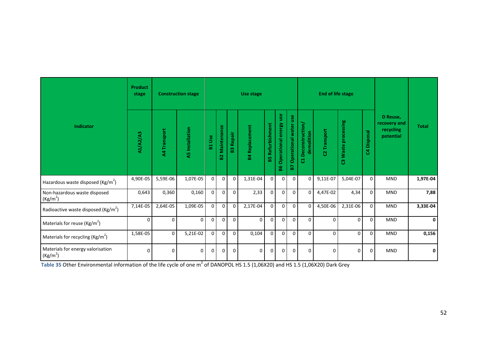|                                                           | <b>Product</b><br>stage |              | <b>Construction stage</b> |                 |                    |                  | Use stage             |                     |                              |                             |                                  | <b>End of life stage</b> |                     |                      |                                                    |              |
|-----------------------------------------------------------|-------------------------|--------------|---------------------------|-----------------|--------------------|------------------|-----------------------|---------------------|------------------------------|-----------------------------|----------------------------------|--------------------------|---------------------|----------------------|----------------------------------------------------|--------------|
| <b>Indicator</b>                                          | A1/A2/A3                | A4 Transport | <b>A5</b> Installation    | <b>Use</b><br>뷺 | Maintenance<br>ន្ល | <b>B3 Repair</b> | <b>B4 Replacement</b> | Refurbishment<br>85 | Operational energy use<br>86 | Operational water use<br>P. | C1 Deconstruction/<br>demolition | Transport<br>ន           | C3 Waste processing | <b>Disposal</b><br>3 | D Reuse,<br>recovery and<br>recycling<br>potential | <b>Total</b> |
| Hazardous waste disposed (Kg/m <sup>2</sup> )             | 4,90E-05                | 5,59E-06     | 1,07E-05                  | $\overline{0}$  | $\mathbf 0$        | $\mathbf 0$      | 1,31E-04              | $\mathbf 0$         | 0                            | $\mathbf 0$                 | $\mathbf 0$                      | 9,11E-07                 | 5,04E-07            | $\mathbf 0$          | <b>MND</b>                                         | 1,97E-04     |
| Non-hazardous waste disposed<br>(Kg/m <sup>2</sup> )      | 0,643                   | 0,360        | 0,160                     | $\Omega$        | $\mathbf 0$        | $\mathbf 0$      | 2,33                  | $\mathbf 0$         | 0                            | $\Omega$                    | $\mathbf 0$                      | 4,47E-02                 | 4,34                | 0                    | <b>MND</b>                                         | 7,88         |
| Radioactive waste disposed ( $\text{Kg/m}^2$ )            | 7,14E-05                | 2,64E-05     | 1,09E-05                  | $\overline{0}$  | $\mathbf 0$        | $\mathbf 0$      | 2,17E-04              | $\mathbf 0$         | 0                            | $\Omega$                    | $\mathbf 0$                      | 4,50E-06                 | 2,31E-06            | 0                    | <b>MND</b>                                         | 3,33E-04     |
| Materials for reuse ( $\text{Kg/m}^2$ )                   | $\mathbf 0$             | $\Omega$     | $\mathbf 0$               | 0               | $\Omega$           | $\mathbf 0$      | $\mathbf 0$           | $\mathbf 0$         | 0                            | $\Omega$                    | $\mathbf 0$                      | $\Omega$                 | $\Omega$            | $\mathbf 0$          | <b>MND</b>                                         | 0            |
| Materials for recycling ( $\text{Kg/m}^2$ )               | 1,58E-05                | $\mathbf 0$  | 5,21E-02                  | $\Omega$        | $\mathbf 0$        | $\Omega$         | 0,104                 | $\Omega$            | 0                            | $\mathbf 0$                 | $\mathbf 0$                      | $\Omega$                 | $\mathbf 0$         | $\mathbf{0}$         | <b>MND</b>                                         | 0,156        |
| Materials for energy valorisation<br>(Kg/m <sup>2</sup> ) | $\mathbf 0$             | $\mathbf 0$  | $\mathbf 0$               | 0               | $\overline{0}$     | $\mathbf 0$      | 0                     | $\Omega$            | 0                            | $\mathbf 0$                 | $\mathbf 0$                      | $\Omega$                 | $\mathbf 0$         | $\mathbf{0}$         | <b>MND</b>                                         | 0            |

**Table 35** Other Environmental information of the life cycle of one m<sup>2</sup> of DANOPOL HS 1.5 (1,06X20) and HS 1.5 (1,06X20) Dark Grey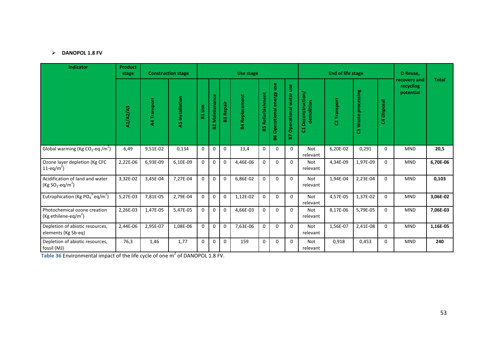# **DANOPOL 1.8 FV**

| <b>Indicator</b>                                                                         | <b>Product</b><br>stage |              | <b>Construction stage</b> |               |                   |                  | Use stage             |                         |                              |                             |                                    | <b>End of life stage</b> |                     |             | D Reuse,                               |              |
|------------------------------------------------------------------------------------------|-------------------------|--------------|---------------------------|---------------|-------------------|------------------|-----------------------|-------------------------|------------------------------|-----------------------------|------------------------------------|--------------------------|---------------------|-------------|----------------------------------------|--------------|
|                                                                                          | A1/A2/A3                | A4 Transport | A5 Installation           | <b>B1 Use</b> | Maintenance<br>53 | <b>B3 Repair</b> | <b>B4 Replacement</b> | <b>B5 Refurbishment</b> | Operational energy use<br>88 | Operational water use<br>P. | Deconstruction/<br>demolition<br>៩ | C2 Transport             | C3 Waste processing | C4 Disposal | recovery and<br>recycling<br>potential | <b>Total</b> |
| Global warming (Kg CO <sub>2</sub> -eq /m <sup>2</sup> )                                 | 6,49                    | 9,51E-02     | 0,134                     | $\mathbf 0$   | $\mathbf 0$       | $\Omega$         | 13,4                  | $\mathbf 0$             | $\mathbf 0$                  | $\Omega$                    | <b>Not</b><br>relevant             | 6,20E-02                 | 0,291               | $\mathbf 0$ | <b>MND</b>                             | 20,5         |
| Ozone layer depletion (Kg CFC<br>11-eq/m <sup>2</sup> )                                  | 2,22E-06                | 6,93E-09     | 6,10E-09                  | $\mathbf 0$   | $\mathbf 0$       | $\mathbf 0$      | 4,46E-06              | $\mathbf 0$             | $\mathbf{0}$                 | $\Omega$                    | <b>Not</b><br>relevant             | 4,34E-09                 | 1,97E-09            | $\mathbf 0$ | <b>MND</b>                             | 6,70E-06     |
| Acidification of land and water<br>(Kg SO <sub>2</sub> -eq/m <sup>2</sup> )              | 3,32E-02                | 3,45E-04     | 7,27E-04                  | $\mathbf{0}$  | $\pmb{0}$         | $\mathbf 0$      | 6,86E-02              | $\mathbf 0$             | $\mathbf 0$                  | $\Omega$                    | Not<br>relevant                    | 1,94E-04                 | 2,23E-04            | $\mathbf 0$ | <b>MND</b>                             | 0,103        |
| Eutrophication (Kg PO <sub>4</sub> <sup>3-</sup> eq/m <sup>2</sup> )                     | 5,27E-03                | 7,81E-05     | 2,79E-04                  | $\Omega$      | $\mathbf 0$       | $\Omega$         | 1,12E-02              | $\Omega$                | $\Omega$                     | $\Omega$                    | <b>Not</b><br>relevant             | 4,57E-05                 | 1,37E-02            | $\Omega$    | <b>MND</b>                             | 3,06E-02     |
| Photochemical ozone creation<br>(Kg ethilene-eq/m <sup>2</sup> )                         | 2,26E-03                | 1,47E-05     | 5,47E-05                  | $\mathbf 0$   | 0                 | $\mathbf 0$      | 4,66E-03              | $\mathbf 0$             | $\mathbf 0$                  | $\Omega$                    | <b>Not</b><br>relevant             | 8,17E-06                 | 5,79E-05            | $\mathbf 0$ | <b>MND</b>                             | 7,06E-03     |
| Depletion of abiotic resources,<br>elements (Kg Sb-eq)                                   | 2,44E-06                | 2,95E-07     | 1,08E-06                  | $\Omega$      | $\mathbf 0$       | $\mathbf 0$      | 7,63E-06              | $\mathbf 0$             | $\Omega$                     | $\Omega$                    | <b>Not</b><br>relevant             | 1,56E-07                 | 2,41E-08            | $\mathbf 0$ | <b>MND</b>                             | 1,16E-05     |
| Depletion of abiotic resources,<br>fossil (MJ)                                           | 76,3                    | 1,46         | 1,77                      | $\Omega$      | $\mathbf 0$       | $\Omega$         | 159                   | $\mathbf 0$             | $\Omega$                     | $\Omega$                    | <b>Not</b><br>relevant             | 0,918                    | 0,453               | $\mathbf 0$ | <b>MND</b>                             | 240          |
| Table 36 Environmental impact of the life cycle of one m <sup>2</sup> of DANOPOL 1.8 FV. |                         |              |                           |               |                   |                  |                       |                         |                              |                             |                                    |                          |                     |             |                                        |              |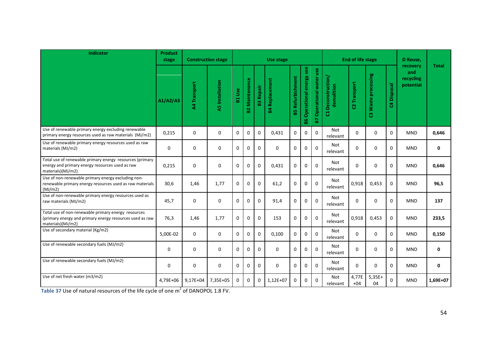| <b>Indicator</b>                                                                                                                     | <b>Product</b><br>stage | <b>Construction stage</b> |                        |               |                   |              | Use stage             |                         |                              |                                 |                                  | <b>End of life stage</b> |                     |               | D Reuse,                                  |              |
|--------------------------------------------------------------------------------------------------------------------------------------|-------------------------|---------------------------|------------------------|---------------|-------------------|--------------|-----------------------|-------------------------|------------------------------|---------------------------------|----------------------------------|--------------------------|---------------------|---------------|-------------------------------------------|--------------|
|                                                                                                                                      | A1/A2/A3                | A4 Transport              | <b>A5</b> Installation | <b>B1 Use</b> | Maintenance<br>B2 | Repair<br>63 | <b>B4 Replacement</b> | <b>B5 Refurbishment</b> | Operational energy use<br>86 | <b>B7 Operational water use</b> | C1 Deconstruction/<br>demolition | C2 Transport             | C3 Waste processing | Disposal<br>3 | recovery<br>and<br>recycling<br>potential | <b>Total</b> |
| Use of renewable primary energy excluding renewable<br>primary energy resources used as raw materials (MJ/m2)                        | 0,215                   | $\mathbf 0$               | $\mathbf 0$            | 0             | 0                 | $\mathbf 0$  | 0,431                 | $\Omega$                | $\mathbf 0$                  | $\mathbf{0}$                    | <b>Not</b><br>relevant           | $\Omega$                 | $\Omega$            | $\Omega$      | <b>MND</b>                                | 0,646        |
| Use of renewable primary energy resources used as raw<br>materials (MJ/m2)                                                           | $\mathbf 0$             | $\mathbf 0$               | $\Omega$               | 0             | $\Omega$          | $\Omega$     | $\Omega$              | $\Omega$                | $\Omega$                     | $\Omega$                        | Not<br>relevant                  | $\Omega$                 | $\Omega$            | $\Omega$      | <b>MND</b>                                | $\mathbf{0}$ |
| Total use of renewable primary energy resources (primary<br>energy and primary energy resources used as raw<br>materials)(MJ/m2)     | 0,215                   | 0                         | $\mathbf 0$            | 0             | 0                 | $\mathbf 0$  | 0,431                 | $\mathbf 0$             | $\mathbf 0$                  | $\pmb{0}$                       | Not<br>relevant                  | $\Omega$                 | 0                   | $\mathbf 0$   | <b>MND</b>                                | 0,646        |
| Use of non-renewable primary energy excluding non-<br>renewable primary energy resources used as raw materials<br>(MJ/m2)            | 30,6                    | 1,46                      | 1,77                   | 0             | $\Omega$          | $\mathbf 0$  | 61,2                  | $\mathbf{0}$            | $\mathbf 0$                  | $\Omega$                        | Not<br>relevant                  | 0,918                    | 0,453               | $\mathbf 0$   | <b>MND</b>                                | 96,5         |
| Use of non-renewable primary energy resources used as<br>raw materials (MJ/m2)                                                       | 45,7                    | 0                         | 0                      | $\mathbf 0$   | $\Omega$          | $\mathbf 0$  | 91,4                  | $\mathbf 0$             | $\mathbf 0$                  | $\Omega$                        | Not<br>relevant                  | $\Omega$                 | 0                   | 0             | <b>MND</b>                                | 137          |
| Total use of non-renewable primary energy resources<br>(primary energy and primary energy resources used as raw<br>materials)(MJ/m2) | 76,3                    | 1,46                      | 1,77                   | 0             | $\Omega$          | $\Omega$     | 153                   | $\mathbf{0}$            | $\mathbf 0$                  | $\mathbf 0$                     | Not<br>relevant                  | 0,918                    | 0,453               | $\mathbf 0$   | <b>MND</b>                                | 233,5        |
| Use of secondary material (Kg/m2)                                                                                                    | 5,00E-02                | $\mathbf 0$               | $\mathbf 0$            | $\mathbf 0$   | $\Omega$          | $\mathbf 0$  | 0,100                 | $\mathbf 0$             | $\mathbf 0$                  | $\mathbf 0$                     | Not<br>relevant                  | $\Omega$                 | 0                   | $\mathbf 0$   | <b>MND</b>                                | 0,150        |
| Use of renewable secondary fuels (MJ/m2)                                                                                             | $\mathbf 0$             | $\mathbf 0$               | $\mathbf 0$            | $\mathbf 0$   | $\Omega$          | $\Omega$     | $\Omega$              | $\mathbf 0$             | $\mathbf 0$                  | $\Omega$                        | Not<br>relevant                  | $\Omega$                 | $\Omega$            | $\mathbf 0$   | <b>MND</b>                                | $\mathbf 0$  |
| Use of renewable secondary fuels (MJ/m2)                                                                                             | $\mathbf 0$             | $\mathbf 0$               | 0                      | $\mathbf 0$   | 0                 | $\mathbf 0$  | $\mathbf 0$           | $\mathbf 0$             | $\mathbf 0$                  | $\Omega$                        | Not<br>relevant                  | $\Omega$                 | 0                   | $\mathbf{0}$  | <b>MND</b>                                | $\mathbf 0$  |
| Use of net fresh water (m3/m2)                                                                                                       | 4,79E+06                | 9,17E+04                  | 7,35E+05               | $\Omega$      | $\Omega$          | $\Omega$     | $1,12E+07$            | $\Omega$                | $\Omega$                     | $\Omega$                        | Not<br>relevant                  | 4,77E<br>$+04$           | $5,35E+$<br>04      | $\Omega$      | <b>MND</b>                                | 1,69E+07     |

**Table 37** Use of natural resources of the life cycle of one  $m^2$  of DANOPOL 1.8 FV.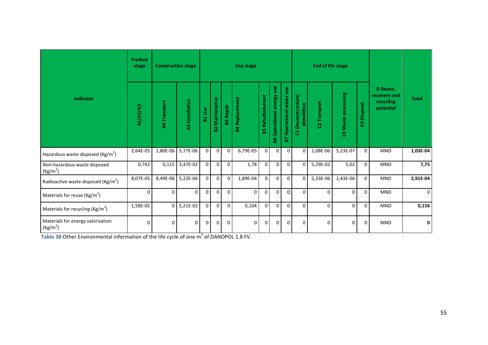|                                                           | <b>Product</b><br>stage | <b>Construction stage</b> |                        |                |                   |                  | Use stage             |                     |                                 |                             |                                    | <b>End of life stage</b> |                     |                                   |                                                    |              |
|-----------------------------------------------------------|-------------------------|---------------------------|------------------------|----------------|-------------------|------------------|-----------------------|---------------------|---------------------------------|-----------------------------|------------------------------------|--------------------------|---------------------|-----------------------------------|----------------------------------------------------|--------------|
| Indicator                                                 | A1/A2/A3                | A4 Transport              | <b>A5</b> Installation | <b>B1 Use</b>  | Maintenance<br>S. | <b>B3 Repair</b> | <b>B4 Replacement</b> | Refurbishment<br>59 | use<br>Operational energy<br>98 | Operational water use<br>B7 | Deconstruction/<br>demolition<br>ដ | <b>22 Transport</b>      | C3 Waste processing | <b>Disposal</b><br>$\overline{5}$ | D Reuse,<br>recovery and<br>recycling<br>potential | <b>Total</b> |
| Hazardous waste disposed (Kg/m <sup>2</sup> )             | 2,64E-05                |                           | 1,80E-06 5,77E-06      | $\overline{0}$ | $\overline{0}$    | $\Omega$         | 6,79E-05              | $\overline{0}$      | $\overline{0}$                  | $\mathbf 0$                 | $\overline{0}$                     | 1,08E-06                 | 5,23E-07            | $\mathbf{0}$                      | <b>MND</b>                                         | 1,03E-04     |
| Non-hazardous waste disposed<br>(Kg/m <sup>2</sup> )      | 0,742                   | 0,115                     | 3,47E-02               | $\overline{0}$ | $\Omega$          | $\Omega$         | 1,78                  | 0                   | $\overline{0}$                  | $\mathbf 0$                 | $\mathbf{0}$                       | 5,29E-02                 | 5,02                | 0                                 | <b>MND</b>                                         | 7,75         |
| Radioactive waste disposed ( $\text{Kg/m}^2$ )            | 8,07E-05                | 8,49E-06                  | 5,22E-06               | $\Omega$       | $\Omega$          | $\Omega$         | 1,89E-04              | $\Omega$            | $\overline{0}$                  | $\mathbf 0$                 | $\mathbf 0$                        | 5,33E-06                 | 2,43E-06            | 0                                 | <b>MND</b>                                         | 2,91E-04     |
| Materials for reuse ( $\text{Kg/m}^2$ )                   | 0                       | $\Omega$                  | $\Omega$               | $\mathbf 0$    | $\Omega$          | $\Omega$         | $\Omega$              | $\Omega$            | $\Omega$                        | $\Omega$                    | $\Omega$                           | $\Omega$                 | $\Omega$            | 0                                 | <b>MND</b>                                         | $\Omega$     |
| Materials for recycling ( $\text{Kg/m}^2$ )               | 1,58E-05                |                           | $0 \mid 5,21E-02$      | $\overline{0}$ | $\overline{0}$    | $\Omega$         | 0,104                 | $\overline{0}$      | $\overline{0}$                  | $\mathbf 0$                 | $\mathbf{0}$                       | $\Omega$                 | $\Omega$            | $\Omega$                          | <b>MND</b>                                         | 0,156        |
| Materials for energy valorisation<br>(Kg/m <sup>2</sup> ) | 0                       | $\Omega$                  | $\mathbf 0$            | $\Omega$       | $\Omega$          | $\Omega$         | $\Omega$              | $\Omega$            | $\Omega$                        | $\Omega$                    | $\Omega$                           | $\Omega$                 | $\mathbf 0$         | 0                                 | <b>MND</b>                                         | 0            |

**Table 38 Other Environmental information of the life cycle of one**  $m^2$  **of DANOPOL 1.8 FV.**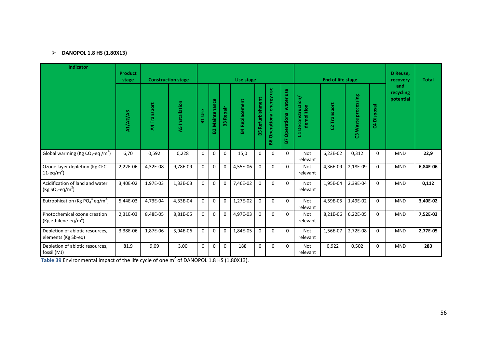# **DANOPOL 1.8 HS (1,80X13)**

| <b>Indicator</b>                                                     | <b>Product</b><br>stage |                     | <b>Construction stage</b> |               |                             |                  | Use stage             |                     |                              |                                       |                                          | <b>End of life stage</b> |                     |             | D Reuse,<br>recovery          | <b>Total</b> |
|----------------------------------------------------------------------|-------------------------|---------------------|---------------------------|---------------|-----------------------------|------------------|-----------------------|---------------------|------------------------------|---------------------------------------|------------------------------------------|--------------------------|---------------------|-------------|-------------------------------|--------------|
|                                                                      | A1/A2/A3                | <b>A4 Transport</b> | <b>A5</b> Installation    | <b>B1 Use</b> | Maintenance<br>$\mathbf{S}$ | <b>B3 Repair</b> | <b>B4 Replacement</b> | Refurbishment<br>85 | Operational energy use<br>88 | Operational water use<br>$\mathbf{E}$ | <b>Deconstruction</b><br>demolition<br>đ | C2 Transport             | C3 Waste processing | C4 Disposal | and<br>recycling<br>potential |              |
| Global warming (Kg CO <sub>2</sub> -eq /m <sup>2</sup> )             | 6,70                    | 0,592               | 0,228                     | $\Omega$      | $\mathbf 0$                 | $\mathbf 0$      | 15,0                  | $\Omega$            | $\mathbf 0$                  | 0                                     | <b>Not</b><br>relevant                   | 6,23E-02                 | 0,312               | $\Omega$    | <b>MND</b>                    | 22,9         |
| Ozone layer depletion (Kg CFC<br>11-eq/m <sup>2</sup> )              | 2,22E-06                | 4,32E-08            | 9,78E-09                  | $\Omega$      | $\mathbf 0$                 | $\mathbf 0$      | 4,55E-06              | $\Omega$            | $\Omega$                     | $\Omega$                              | Not<br>relevant                          | 4,36E-09                 | 2,18E-09            | $\Omega$    | <b>MND</b>                    | 6,84E-06     |
| Acidification of land and water<br>$(Kg SO2-eq/m2)$                  | 3,40E-02                | 1,97E-03            | 1,33E-03                  | $\mathbf{0}$  | $\mathbf 0$                 | $\mathbf 0$      | 7,46E-02              | $\mathbf 0$         | $\mathbf 0$                  | 0                                     | Not<br>relevant                          | 1,95E-04                 | 2,39E-04            | $\Omega$    | <b>MND</b>                    | 0,112        |
| Eutrophication (Kg PO <sub>4</sub> <sup>3-</sup> eq/m <sup>2</sup> ) | 5,44E-03                | 4,73E-04            | 4,33E-04                  | $\mathbf 0$   | $\mathbf 0$                 | $\mathbf 0$      | 1,27E-02              | $\mathbf 0$         | 0                            | 0                                     | <b>Not</b><br>relevant                   | 4,59E-05                 | 1,49E-02            | $\Omega$    | <b>MND</b>                    | 3,40E-02     |
| Photochemical ozone creation<br>(Kg ethilene-eq/m <sup>2</sup> )     | 2,31E-03                | 8,48E-05            | 8,81E-05                  | $\mathbf{0}$  | $\mathbf 0$                 | $\mathbf 0$      | 4,97E-03              | $\mathbf{0}$        | $\Omega$                     | $\Omega$                              | Not<br>relevant                          | 8,21E-06                 | 6,22E-05            | $\Omega$    | <b>MND</b>                    | 7,52E-03     |
| Depletion of abiotic resources,<br>elements (Kg Sb-eq)               | 3,38E-06                | 1,87E-06            | 3,94E-06                  | $\mathbf 0$   | $\mathbf 0$                 | $\mathbf 0$      | 1,84E-05              | $\mathbf 0$         | $\mathbf 0$                  | 0                                     | Not<br>relevant                          | 1,56E-07                 | 2,72E-08            | $\mathbf 0$ | <b>MND</b>                    | 2,77E-05     |
| Depletion of abiotic resources,<br>fossil (MJ)                       | 81,9                    | 9,09                | 3,00                      | $\mathbf 0$   | $\mathbf 0$                 | $\mathbf{0}$     | 188                   | $\Omega$            | $\mathbf 0$                  | $\Omega$                              | Not<br>relevant                          | 0,922                    | 0,502               | $\Omega$    | <b>MND</b>                    | 283          |

**Table 39** Environmental impact of the life cycle of one  $m^2$  of DANOPOL 1.8 HS (1,80X13).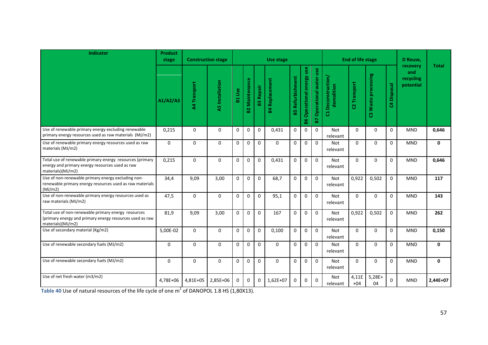| Indicator                                                                                                                            | <b>Product</b><br>stage | <b>Construction stage</b> |                        |               |                       | Use stage    |                       |                         |                              |                                         | <b>End of life stage</b>         | D Reuse,       |                     |                |                                           |              |
|--------------------------------------------------------------------------------------------------------------------------------------|-------------------------|---------------------------|------------------------|---------------|-----------------------|--------------|-----------------------|-------------------------|------------------------------|-----------------------------------------|----------------------------------|----------------|---------------------|----------------|-------------------------------------------|--------------|
|                                                                                                                                      | A1/A2/A3                | A4 Transport              | <b>A5</b> Installation | <b>B1 Use</b> | <b>B2 Maintenance</b> | Repair<br>63 | <b>B4 Replacement</b> | <b>B5 Refurbishment</b> | Operational energy use<br>96 | Operational water use<br>$\overline{B}$ | C1 Deconstruction/<br>demolition | C2 Transport   | C3 Waste processing | Disposal<br>\$ | recovery<br>and<br>recycling<br>potential | <b>Total</b> |
| Use of renewable primary energy excluding renewable<br>primary energy resources used as raw materials (MJ/m2)                        | 0,215                   | $\mathbf 0$               | $\mathbf 0$            | $\mathbf 0$   | $\mathbf 0$           | $\mathbf 0$  | 0,431                 | $\mathbf 0$             | $\mathbf 0$                  | $\mathbf{0}$                            | Not<br>relevant                  | $\Omega$       | 0                   | $\mathbf{0}$   | <b>MND</b>                                | 0,646        |
| Use of renewable primary energy resources used as raw<br>materials (MJ/m2)                                                           | $\mathbf 0$             | $\mathbf 0$               | $\mathbf 0$            | $\mathbf 0$   | $\mathbf 0$           | $\mathbf 0$  | $\Omega$              | $\mathbf 0$             | $\mathbf 0$                  | $\mathbf 0$                             | Not<br>relevant                  | $\Omega$       | $\Omega$            | $\mathbf 0$    | <b>MND</b>                                | $\mathbf 0$  |
| Total use of renewable primary energy resources (primary<br>energy and primary energy resources used as raw<br>materials)(MJ/m2)     | 0,215                   | $\mathbf{0}$              | $\mathbf{0}$           | $\Omega$      | $\Omega$              | $\mathbf 0$  | 0,431                 | $\Omega$                | $\mathbf 0$                  | $\mathbf 0$                             | <b>Not</b><br>relevant           | $\Omega$       | $\Omega$            | $\Omega$       | <b>MND</b>                                | 0,646        |
| Use of non-renewable primary energy excluding non-<br>renewable primary energy resources used as raw materials<br>(MJ/m2)            | 34,4                    | 9,09                      | 3,00                   | $\Omega$      | $\Omega$              | $\Omega$     | 68,7                  | $\Omega$                | $\Omega$                     | $\Omega$                                | <b>Not</b><br>relevant           | 0,922          | 0,502               | $\Omega$       | <b>MND</b>                                | 117          |
| Use of non-renewable primary energy resources used as<br>raw materials (MJ/m2)                                                       | 47,5                    | $\mathbf 0$               | $\mathbf 0$            | $\mathbf 0$   | $\mathbf 0$           | $\mathbf 0$  | 95,1                  | $\mathbf 0$             | $\mathbf 0$                  | $\mathbf 0$                             | Not<br>relevant                  | $\Omega$       | 0                   | $\mathbf 0$    | <b>MND</b>                                | 143          |
| Total use of non-renewable primary energy resources<br>(primary energy and primary energy resources used as raw<br>materials)(MJ/m2) | 81,9                    | 9,09                      | 3,00                   | $\mathbf 0$   | $\mathbf 0$           | $\mathbf 0$  | 167                   | $\mathbf{0}$            | $\mathbf 0$                  | $\mathbf 0$                             | <b>Not</b><br>relevant           | 0,922          | 0,502               | $\mathbf{0}$   | <b>MND</b>                                | 262          |
| Use of secondary material (Kg/m2)                                                                                                    | 5,00E-02                | $\mathbf{0}$              | $\mathbf 0$            | $\Omega$      | $\Omega$              | $\Omega$     | 0,100                 | $\Omega$                | $\mathbf 0$                  | $\Omega$                                | <b>Not</b><br>relevant           | $\Omega$       | $\Omega$            | $\Omega$       | <b>MND</b>                                | 0,150        |
| Use of renewable secondary fuels (MJ/m2)                                                                                             | $\mathbf 0$             | $\mathbf 0$               | $\mathbf 0$            | $\mathbf 0$   | $\mathbf 0$           | $\mathbf 0$  | $\Omega$              | $\mathbf 0$             | $\mathbf 0$                  | $\mathbf 0$                             | Not<br>relevant                  | $\Omega$       | $\Omega$            | $\Omega$       | <b>MND</b>                                | $\mathbf 0$  |
| Use of renewable secondary fuels (MJ/m2)                                                                                             | $\mathbf 0$             | $\mathbf{0}$              | $\mathbf 0$            | $\mathbf 0$   | $\mathbf 0$           | $\mathbf 0$  | $\Omega$              | $\mathbf{0}$            | $\mathbf 0$                  | $\mathbf 0$                             | <b>Not</b><br>relevant           | $\Omega$       | $\Omega$            | $\mathbf 0$    | <b>MND</b>                                | $\mathbf 0$  |
| Use of net fresh water (m3/m2)                                                                                                       | 4,78E+06                | 4,81E+05                  | 2,85E+06               | $\Omega$      | 0                     | $\mathbf{0}$ | $1,62E+07$            | $\Omega$                | $\mathbf 0$                  | $\Omega$                                | Not<br>relevant                  | 4,11E<br>$+04$ | $5,28E+$<br>04      | $\Omega$       | <b>MND</b>                                | 2,44E+07     |

**Table 40** Use of natural resources of the life cycle of one  $m^2$  of DANOPOL 1.8 HS (1,80X13).